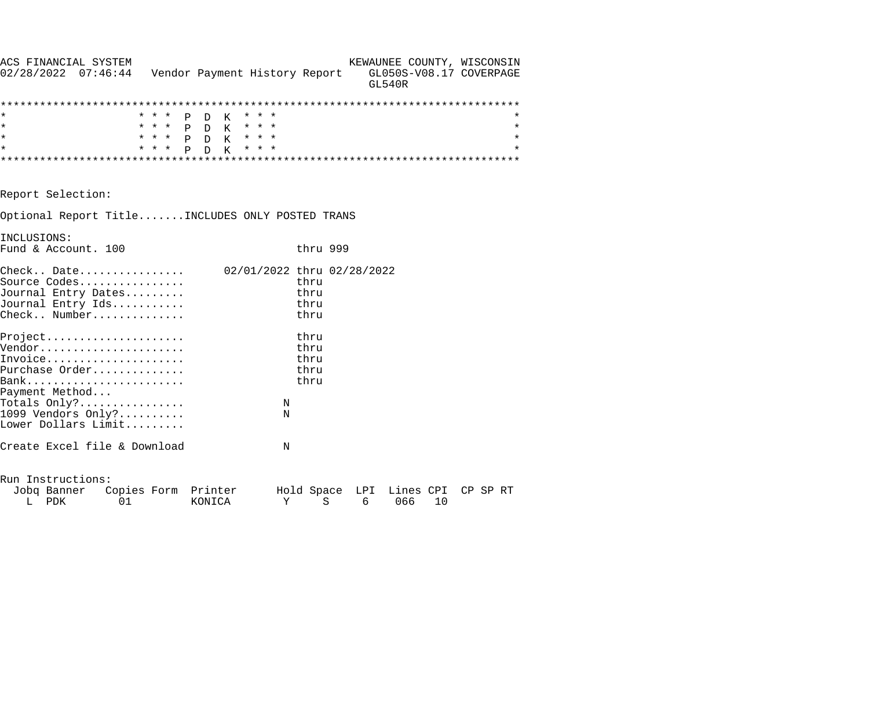| ACS FINANCIAL SYSTEM<br>$02/28/2022$ $07:46:44$                                                             |       | Vendor Payment History Report |                            |                              | <b>GL540R</b> | GL050S-V08.17 COVERPAGE  | KEWAUNEE COUNTY, WISCONSIN |
|-------------------------------------------------------------------------------------------------------------|-------|-------------------------------|----------------------------|------------------------------|---------------|--------------------------|----------------------------|
|                                                                                                             |       |                               |                            |                              |               |                          |                            |
|                                                                                                             |       | * * * P D K                   | * * *                      |                              |               |                          |                            |
| $\star$                                                                                                     |       | * * * P D K * * *             |                            |                              |               |                          | $\star$                    |
| $\star$                                                                                                     |       | * * * P D K * * *             |                            |                              |               |                          | $\star$                    |
| $\star$                                                                                                     | * * * | P D K                         | * * *                      |                              |               |                          | $\star$                    |
|                                                                                                             |       |                               |                            |                              |               |                          |                            |
| Report Selection:                                                                                           |       |                               |                            |                              |               |                          |                            |
| Optional Report TitleINCLUDES ONLY POSTED TRANS                                                             |       |                               |                            |                              |               |                          |                            |
| INCLUSIONS:                                                                                                 |       |                               |                            |                              |               |                          |                            |
| Fund & Account. 100                                                                                         |       |                               |                            | thru 999                     |               |                          |                            |
| $\text{Check. . } \text{Date.}$<br>Source Codes<br>Journal Entry Dates<br>Journal Entry Ids<br>Check Number |       |                               | 02/01/2022 thru 02/28/2022 | thru<br>thru<br>thru<br>thru |               |                          |                            |
| Project                                                                                                     |       |                               |                            | thru                         |               |                          |                            |
| Vendor                                                                                                      |       |                               |                            | thru                         |               |                          |                            |
| Invoice                                                                                                     |       |                               |                            | thru                         |               |                          |                            |
| Purchase Order                                                                                              |       |                               |                            | thru                         |               |                          |                            |
| Payment Method                                                                                              |       |                               |                            | thru                         |               |                          |                            |
| Totals $Only?$                                                                                              |       |                               | N                          |                              |               |                          |                            |
| 1099 Vendors Only?                                                                                          |       |                               | N                          |                              |               |                          |                            |
| Lower Dollars Limit                                                                                         |       |                               |                            |                              |               |                          |                            |
| Create Excel file & Download                                                                                |       |                               | N                          |                              |               |                          |                            |
| Run Instructions:                                                                                           |       |                               |                            |                              |               |                          |                            |
| Jobq Banner Copies Form Printer                                                                             |       |                               |                            |                              |               | Hold Space LPI Lines CPI | CP SP RT                   |
| L PDK                                                                                                       | 01    | KONICA                        | Υ                          | $\rm S$                      | 6             | 066<br>10                |                            |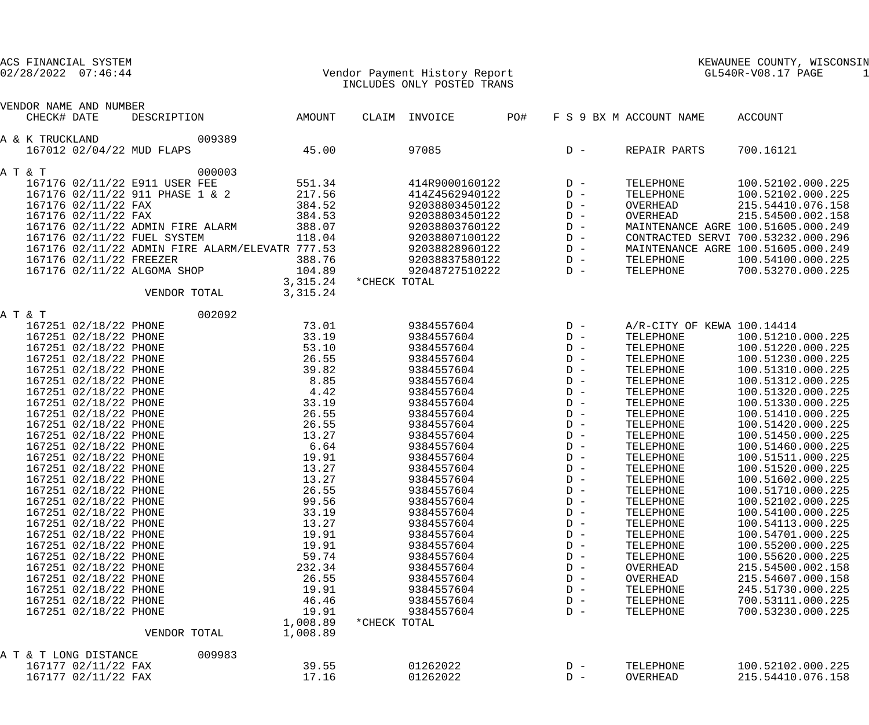| ACS FINANCIAL SYSTEM<br>$02/28/2022$ $07:46:44$ |                   |              | Vendor Payment History Report<br>INCLUDES ONLY POSTED TRANS |     |                |                            | KEWAUNEE COUNTY, WISCONSIN<br>GL540R-V08.17 PAGE<br>-1 |
|-------------------------------------------------|-------------------|--------------|-------------------------------------------------------------|-----|----------------|----------------------------|--------------------------------------------------------|
|                                                 |                   |              |                                                             |     |                |                            |                                                        |
| VENDOR NAME AND NUMBER                          |                   |              |                                                             |     |                |                            |                                                        |
| CHECK# DATE<br>DESCRIPTION                      | AMOUNT            |              | CLAIM INVOICE                                               | PO# |                | F S 9 BX M ACCOUNT NAME    | ACCOUNT                                                |
| 009389<br>A & K TRUCKLAND                       |                   |              |                                                             |     |                |                            |                                                        |
| 167012 02/04/22 MUD FLAPS                       | 45.00             |              | 97085                                                       |     | $D -$          | REPAIR PARTS               | 700.16121                                              |
| A T & T<br>000003                               |                   |              |                                                             |     |                |                            |                                                        |
| 167176 02/11/22 E911 USER FEE                   | 551.34            |              | 414R9000160122                                              |     | $D -$          | TELEPHONE                  | 100.52102.000.225                                      |
| 167176 02/11/22 911 PHASE 1 & 2                 | 217.56            |              | 414Z4562940122                                              |     | $D -$          | TELEPHONE                  | 100.52102.000.225                                      |
| 167176 02/11/22 FAX                             | 384.52            |              | 92038803450122                                              |     | $D -$          | OVERHEAD                   | 215.54410.076.158                                      |
| 167176 02/11/22 FAX                             | 384.53            |              | 92038803450122                                              |     | $D -$          | OVERHEAD                   | 215.54500.002.158                                      |
| 167176 02/11/22 ADMIN FIRE ALARM                | 388.07            |              | 92038803760122                                              |     | $D -$          |                            | MAINTENANCE AGRE 100.51605.000.249                     |
| 167176 02/11/22 FUEL SYSTEM                     | 118.04            |              | 92038807100122                                              |     | $D -$          |                            | CONTRACTED SERVI 700.53232.000.296                     |
| 167176 02/11/22 ADMIN FIRE ALARM/ELEVATR 777.53 |                   |              | 92038828960122                                              |     | $D -$          |                            | MAINTENANCE AGRE 100.51605.000.249                     |
| 167176 02/11/22 FREEZER                         | 388.76            |              | 92038837580122                                              |     | $D -$          | TELEPHONE                  | 100.54100.000.225                                      |
| 167176 02/11/22 ALGOMA SHOP                     | 104.89            |              | 92048727510222                                              |     | $D -$          | TELEPHONE                  | 700.53270.000.225                                      |
|                                                 | 3,315.24          | *CHECK TOTAL |                                                             |     |                |                            |                                                        |
| VENDOR TOTAL                                    | 3,315.24          |              |                                                             |     |                |                            |                                                        |
| 002092<br>A T & T                               |                   |              |                                                             |     |                |                            |                                                        |
| 167251 02/18/22 PHONE                           | 73.01             |              | 9384557604                                                  |     | $D -$          | A/R-CITY OF KEWA 100.14414 |                                                        |
| 167251 02/18/22 PHONE                           | 33.19             |              | 9384557604                                                  |     | $D -$          | TELEPHONE                  | 100.51210.000.225                                      |
| 167251 02/18/22 PHONE                           | 53.10             |              | 9384557604                                                  |     | $D -$          | TELEPHONE                  | 100.51220.000.225                                      |
| 167251 02/18/22 PHONE                           | 26.55             |              | 9384557604                                                  |     | $D -$          | TELEPHONE                  | 100.51230.000.225                                      |
| 167251 02/18/22 PHONE                           | 39.82             |              | 9384557604                                                  |     | $D -$          | TELEPHONE                  | 100.51310.000.225                                      |
| 167251 02/18/22 PHONE                           | 8.85              |              | 9384557604                                                  |     | $D -$          | TELEPHONE                  | 100.51312.000.225                                      |
| 167251 02/18/22 PHONE                           | 4.42              |              | 9384557604                                                  |     | $D -$          | TELEPHONE                  | 100.51320.000.225                                      |
| 167251 02/18/22 PHONE                           | 33.19             |              | 9384557604                                                  |     | $D -$          | TELEPHONE                  | 100.51330.000.225                                      |
| 167251 02/18/22 PHONE                           | 26.55             |              | 9384557604                                                  |     | $D -$          | TELEPHONE                  | 100.51410.000.225                                      |
| 167251 02/18/22 PHONE                           | 26.55             |              | 9384557604                                                  |     | $D -$          | TELEPHONE                  | 100.51420.000.225                                      |
| 167251 02/18/22 PHONE                           | 13.27             |              | 9384557604                                                  |     | $D -$          | TELEPHONE                  | 100.51450.000.225                                      |
| 167251 02/18/22 PHONE                           | 6.64              |              | 9384557604                                                  |     | $D -$          | TELEPHONE                  | 100.51460.000.225                                      |
| 167251 02/18/22 PHONE                           | 19.91             |              | 9384557604                                                  |     | $D -$          | TELEPHONE                  | 100.51511.000.225                                      |
| 167251 02/18/22 PHONE                           | 13.27             |              | 9384557604                                                  |     | $D -$          | TELEPHONE                  | 100.51520.000.225                                      |
| 167251 02/18/22 PHONE                           | 13.27             |              | 9384557604                                                  |     | $D -$          | TELEPHONE                  | 100.51602.000.225                                      |
| 167251 02/18/22 PHONE                           | 26.55             |              | 9384557604                                                  |     | $\mathbb{D}$ – | TELEPHONE                  | 100.51710.000.225                                      |
| 167251 02/18/22 PHONE                           | 99.56             |              | 9384557604                                                  |     | $\mathbb{D}$ – | TELEPHONE                  | 100.52102.000.225                                      |
| 167251 02/18/22 PHONE                           | 33.19             |              | 9384557604                                                  |     | $D -$          | TELEPHONE                  | 100.54100.000.225                                      |
| 167251 02/18/22 PHONE                           | 13.27             |              | 9384557604                                                  |     | $D -$          | TELEPHONE                  | 100.54113.000.225                                      |
| 167251 02/18/22 PHONE                           | 19.91             |              | 9384557604                                                  |     | $\mathbb{D}$ – | TELEPHONE                  | 100.54701.000.225                                      |
| 167251 02/18/22 PHONE                           | 19.91             |              | 9384557604                                                  |     | $\mathbb{D}$ – | TELEPHONE                  | 100.55200.000.225                                      |
| 167251 02/18/22 PHONE                           | 59.74             |              | 9384557604                                                  |     | $\mathbb{D}$ – | TELEPHONE                  | 100.55620.000.225                                      |
| 167251 02/18/22 PHONE                           | 232.34            |              | 9384557604                                                  |     | $\mathbb{D}$ – | OVERHEAD                   | 215.54500.002.158                                      |
| 167251 02/18/22 PHONE                           | 26.55             |              | 9384557604                                                  |     | $\mathbb{D}$ – | OVERHEAD                   | 215.54607.000.158                                      |
| 167251 02/18/22 PHONE                           | 19.91             |              | 9384557604                                                  |     | $\mathbb{D}$ – | TELEPHONE                  | 245.51730.000.225                                      |
| 167251 02/18/22 PHONE                           | 46.46             |              | 9384557604                                                  |     | $D -$          | TELEPHONE                  | 700.53111.000.225                                      |
| 167251 02/18/22 PHONE                           | 19.91<br>1,008.89 | *CHECK TOTAL | 9384557604                                                  |     | $D -$          | TELEPHONE                  | 700.53230.000.225                                      |
| VENDOR TOTAL                                    | 1,008.89          |              |                                                             |     |                |                            |                                                        |
|                                                 |                   |              |                                                             |     |                |                            |                                                        |
| A T & T LONG DISTANCE<br>009983                 |                   |              |                                                             |     |                |                            |                                                        |
| 167177 02/11/22 FAX                             | 39.55             |              | 01262022                                                    |     | $D -$          | TELEPHONE                  | 100.52102.000.225                                      |

167177 02/11/22 FAX 17.16 01262022 D - OVERHEAD 215.54410.076.158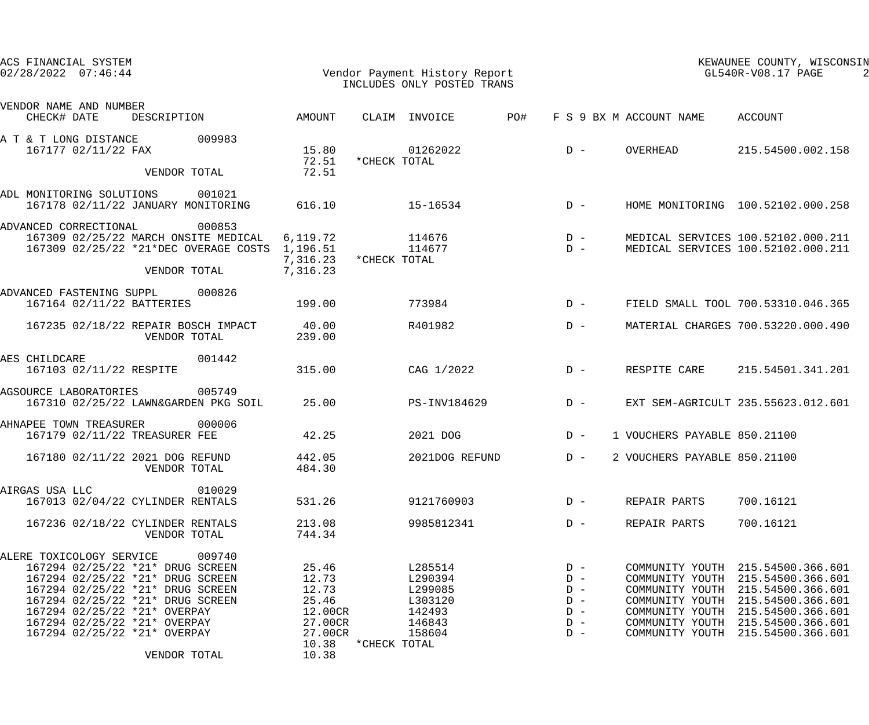|                | ACS FINANCIAL SYSTEM<br>$02/28/2022$ $07:46:44$ |                                                                      |                                                                                         |                                              | Vendor Payment History Report<br>INCLUDES ONLY POSTED TRANS |                    | KEWAUNEE COUNTY, WISCONSIN<br>GL540R-V08.17 PAGE |                |                              |                                                                          |
|----------------|-------------------------------------------------|----------------------------------------------------------------------|-----------------------------------------------------------------------------------------|----------------------------------------------|-------------------------------------------------------------|--------------------|--------------------------------------------------|----------------|------------------------------|--------------------------------------------------------------------------|
|                | VENDOR NAME AND NUMBER<br>CHECK# DATE           | DESCRIPTION                                                          |                                                                                         | AMOUNT                                       |                                                             | CLAIM INVOICE      | PO#                                              |                | F S 9 BX M ACCOUNT NAME      | ACCOUNT                                                                  |
|                | A T & T LONG DISTANCE<br>167177 02/11/22 FAX    |                                                                      | 009983                                                                                  | 15.80<br>72.51                               | *CHECK TOTAL                                                | 01262022           |                                                  | $D -$          | OVERHEAD                     | 215.54500.002.158                                                        |
|                |                                                 | VENDOR TOTAL                                                         |                                                                                         | 72.51                                        |                                                             |                    |                                                  |                |                              |                                                                          |
|                | ADL MONITORING SOLUTIONS                        |                                                                      | 001021<br>167178 02/11/22 JANUARY MONITORING                                            | 616.10                                       |                                                             | 15-16534           |                                                  | $D -$          |                              | HOME MONITORING 100.52102.000.258                                        |
|                | ADVANCED CORRECTIONAL                           | VENDOR TOTAL                                                         | 000853<br>167309 02/25/22 MARCH ONSITE MEDICAL<br>167309 02/25/22 *21*DEC OVERAGE COSTS | 6,119.72<br>1,196.51<br>7,316.23<br>7,316.23 | *CHECK TOTAL                                                | 114676<br>114677   |                                                  | $D -$<br>$D -$ |                              | MEDICAL SERVICES 100.52102.000.211<br>MEDICAL SERVICES 100.52102.000.211 |
|                | ADVANCED FASTENING SUPPL                        | 167164 02/11/22 BATTERIES                                            | 000826                                                                                  | 199.00                                       |                                                             | 773984             |                                                  | $D -$          |                              | FIELD SMALL TOOL 700.53310.046.365                                       |
|                |                                                 | VENDOR TOTAL                                                         | 167235 02/18/22 REPAIR BOSCH IMPACT                                                     | 40.00<br>239.00                              |                                                             | R401982            |                                                  | $D -$          |                              | MATERIAL CHARGES 700.53220.000.490                                       |
| AES CHILDCARE  | 167103 02/11/22 RESPITE                         |                                                                      | 001442                                                                                  | 315.00                                       |                                                             | CAG 1/2022         |                                                  | $D -$          | RESPITE CARE                 | 215.54501.341.201                                                        |
|                | AGSOURCE LABORATORIES                           |                                                                      | 005749<br>167310 02/25/22 LAWN&GARDEN PKG SOIL                                          | 25.00                                        |                                                             | PS-INV184629       |                                                  | $D -$          |                              | EXT SEM-AGRICULT 235.55623.012.601                                       |
|                | AHNAPEE TOWN TREASURER                          | 167179 02/11/22 TREASURER FEE                                        | 000006                                                                                  | 42.25                                        |                                                             | 2021 DOG           |                                                  | $D -$          | 1 VOUCHERS PAYABLE 850.21100 |                                                                          |
|                |                                                 | 167180 02/11/22 2021 DOG REFUND<br>VENDOR TOTAL                      |                                                                                         | 442.05<br>484.30                             |                                                             | 2021DOG REFUND     |                                                  | $D -$          | 2 VOUCHERS PAYABLE 850.21100 |                                                                          |
| AIRGAS USA LLC |                                                 | 167013 02/04/22 CYLINDER RENTALS                                     | 010029                                                                                  | 531.26                                       |                                                             | 9121760903         |                                                  | $D -$          | REPAIR PARTS                 | 700.16121                                                                |
|                |                                                 | 167236 02/18/22 CYLINDER RENTALS<br>VENDOR TOTAL                     |                                                                                         | 213.08<br>744.34                             |                                                             | 9985812341         |                                                  | $D -$          | REPAIR PARTS                 | 700.16121                                                                |
|                | ALERE TOXICOLOGY SERVICE                        |                                                                      | 009740                                                                                  |                                              |                                                             |                    |                                                  |                |                              |                                                                          |
|                |                                                 | 167294 02/25/22 *21* DRUG SCREEN<br>167294 02/25/22 *21* DRUG SCREEN |                                                                                         | 25.46<br>12.73                               |                                                             | L285514<br>L290394 |                                                  | $D -$<br>$D -$ |                              | COMMUNITY YOUTH 215.54500.366.601<br>COMMUNITY YOUTH 215.54500.366.601   |
|                |                                                 | 167294 02/25/22 *21* DRUG SCREEN                                     |                                                                                         | 12.73                                        |                                                             | L299085            |                                                  | $D -$          |                              | COMMUNITY YOUTH 215.54500.366.601                                        |
|                |                                                 | 167294 02/25/22 *21* DRUG SCREEN                                     |                                                                                         | 25.46                                        |                                                             | L303120            |                                                  | $D -$          |                              | COMMUNITY YOUTH 215.54500.366.601                                        |
|                |                                                 | 167294 02/25/22 *21* OVERPAY                                         |                                                                                         | 12.00CR                                      |                                                             | 142493             |                                                  | $D -$          |                              | COMMUNITY YOUTH 215.54500.366.601                                        |
|                |                                                 | 167294 02/25/22 *21* OVERPAY<br>167294 02/25/22 *21* OVERPAY         |                                                                                         | 27.00CR<br>27.00CR                           |                                                             | 146843<br>158604   |                                                  | $D -$<br>$D -$ |                              | COMMUNITY YOUTH 215.54500.366.601<br>COMMUNITY YOUTH 215.54500.366.601   |
|                |                                                 | VENDOR TOTAL                                                         |                                                                                         | 10.38<br>10.38                               | *CHECK TOTAL                                                |                    |                                                  |                |                              |                                                                          |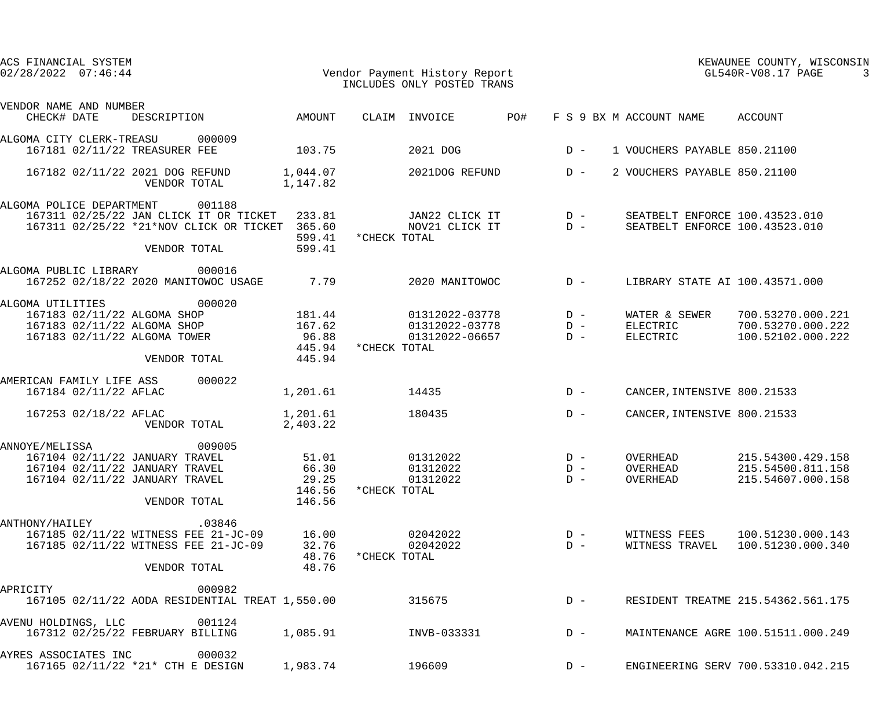| ACS FINANCIAL SYSTEM<br>$02/28/2022$ $07:46:44$                                                                      |                                                                                                                           |                                               |              | Vendor Payment History Report<br>INCLUDES ONLY POSTED TRANS |     |                         |                                  |                                | KEWAUNEE COUNTY, WISCONSIN<br>GL540R-V08.17 PAGE                 |
|----------------------------------------------------------------------------------------------------------------------|---------------------------------------------------------------------------------------------------------------------------|-----------------------------------------------|--------------|-------------------------------------------------------------|-----|-------------------------|----------------------------------|--------------------------------|------------------------------------------------------------------|
| VENDOR NAME AND NUMBER<br>CHECK# DATE                                                                                | DESCRIPTION                                                                                                               | AMOUNT                                        |              | CLAIM INVOICE                                               | PO# |                         | F S 9 BX M ACCOUNT NAME          |                                | ACCOUNT                                                          |
| ALGOMA CITY CLERK-TREASU<br>167181 02/11/22 TREASURER FEE                                                            | 000009                                                                                                                    | 103.75                                        |              | 2021 DOG                                                    |     | $D -$                   |                                  |                                | 1 VOUCHERS PAYABLE 850.21100                                     |
| 167182 02/11/22 2021 DOG REFUND                                                                                      | VENDOR TOTAL                                                                                                              | 1,044.07<br>1,147.82                          |              | 2021DOG REFUND                                              |     | $D -$                   |                                  |                                | 2 VOUCHERS PAYABLE 850.21100                                     |
| ALGOMA POLICE DEPARTMENT                                                                                             | 001188<br>167311 02/25/22 JAN CLICK IT OR TICKET 233.81<br>167311 02/25/22 *21*NOV CLICK OR TICKET 365.60<br>VENDOR TOTAL | 599.41<br>599.41                              | *CHECK TOTAL | JAN22 CLICK IT<br>NOV21 CLICK IT                            |     | $D -$<br>$D -$          |                                  |                                | SEATBELT ENFORCE 100.43523.010<br>SEATBELT ENFORCE 100.43523.010 |
| ALGOMA PUBLIC LIBRARY                                                                                                | 000016<br>167252 02/18/22 2020 MANITOWOC USAGE                                                                            | 7.79                                          |              | 2020 MANITOWOC                                              |     | $D -$                   |                                  |                                | LIBRARY STATE AI 100.43571.000                                   |
| ALGOMA UTILITIES<br>167183 02/11/22 ALGOMA SHOP<br>167183 02/11/22 ALGOMA SHOP<br>167183 02/11/22 ALGOMA TOWER       | 000020<br>VENDOR TOTAL                                                                                                    | 181.44<br>167.62<br>96.88<br>445.94<br>445.94 | *CHECK TOTAL | 01312022-03778<br>01312022-03778 D-<br>01312022-06657       |     | $D -$<br>$D -$          | ELECTRIC<br>ELECTRIC             | WATER & SEWER                  | 700.53270.000.221<br>700.53270.000.222<br>100.52102.000.222      |
| AMERICAN FAMILY LIFE ASS<br>167184 02/11/22 AFLAC                                                                    | 000022                                                                                                                    | 1,201.61                                      |              | 14435                                                       |     | $D -$                   |                                  |                                | CANCER, INTENSIVE 800.21533                                      |
| 167253 02/18/22 AFLAC                                                                                                | VENDOR TOTAL                                                                                                              | 1,201.61<br>2,403.22                          |              | 180435                                                      |     | $D -$                   |                                  |                                | CANCER, INTENSIVE 800.21533                                      |
| ANNOYE/MELISSA<br>167104 02/11/22 JANUARY TRAVEL<br>167104 02/11/22 JANUARY TRAVEL<br>167104 02/11/22 JANUARY TRAVEL | 009005<br>VENDOR TOTAL                                                                                                    | 51.01<br>66.30<br>29.25<br>146.56<br>146.56   | *CHECK TOTAL | 01312022<br>01312022<br>01312022                            |     | $D -$<br>$D -$<br>$D -$ | OVERHEAD<br>OVERHEAD<br>OVERHEAD |                                | 215.54300.429.158<br>215.54500.811.158<br>215.54607.000.158      |
| ANTHONY/HAILEY                                                                                                       | .03846<br>167185 02/11/22 WITNESS FEE 21-JC-09<br>167185 02/11/22 WITNESS FEE 21-JC-09<br>VENDOR TOTAL                    | 16.00<br>32.76<br>48.76<br>48.76              | *CHECK TOTAL | 02042022<br>02042022                                        |     | $D -$<br>$D -$          |                                  | WITNESS FEES<br>WITNESS TRAVEL | 100.51230.000.143<br>100.51230.000.340                           |
| APRICITY                                                                                                             | 000982<br>167105 02/11/22 AODA RESIDENTIAL TREAT 1,550.00                                                                 |                                               |              | 315675                                                      |     | $D -$                   |                                  |                                | RESIDENT TREATME 215.54362.561.175                               |
| AVENU HOLDINGS, LLC                                                                                                  | 001124<br>167312 02/25/22 FEBRUARY BILLING                                                                                | 1,085.91                                      |              | INVB-033331                                                 |     | $D -$                   |                                  |                                | MAINTENANCE AGRE 100.51511.000.249                               |
| AYRES ASSOCIATES INC                                                                                                 | 000032<br>167165 02/11/22 *21* CTH E DESIGN                                                                               | 1,983.74                                      |              | 196609                                                      |     | $D -$                   |                                  |                                | ENGINEERING SERV 700.53310.042.215                               |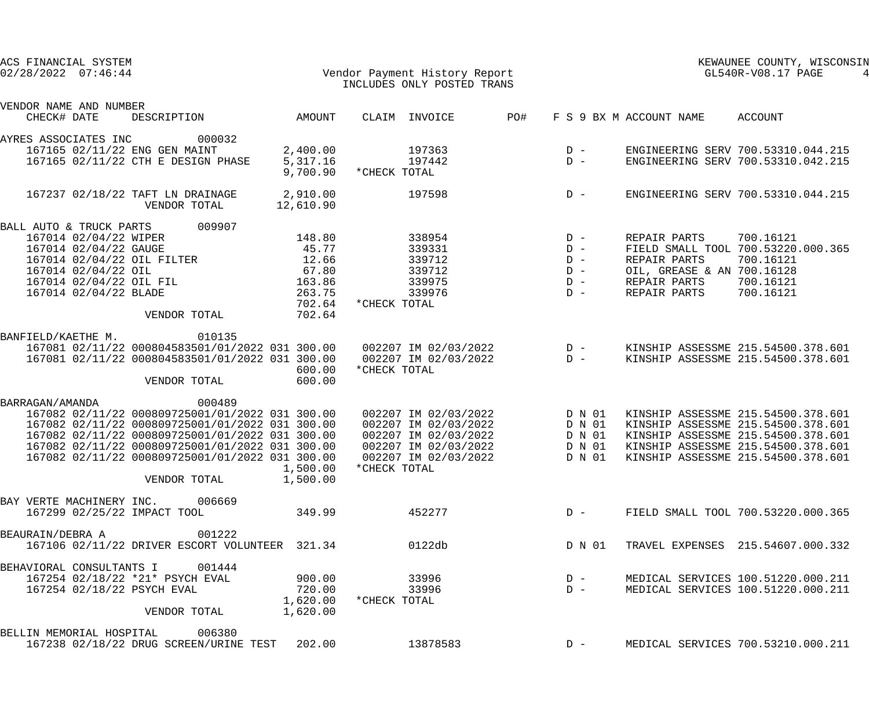| ACS FINANCIAL SYSTEM<br>$02/28/2022$ $07:46:44$ |                                                                                                    |                       | Vendor Payment History Report<br>INCLUDES ONLY POSTED TRANS |     | KEWAUNEE COUNTY, WISCONSIN<br>GL540R-V08.17 PAGE             |                                            |                                                                          |
|-------------------------------------------------|----------------------------------------------------------------------------------------------------|-----------------------|-------------------------------------------------------------|-----|--------------------------------------------------------------|--------------------------------------------|--------------------------------------------------------------------------|
| VENDOR NAME AND NUMBER                          |                                                                                                    |                       |                                                             |     |                                                              |                                            |                                                                          |
| CHECK# DATE                                     | DESCRIPTION                                                                                        | AMOUNT                | CLAIM INVOICE                                               | PO# |                                                              | F S 9 BX M ACCOUNT NAME                    | ACCOUNT                                                                  |
| AYRES ASSOCIATES INC                            | 000032                                                                                             |                       |                                                             |     |                                                              |                                            |                                                                          |
|                                                 | 167165 02/11/22 ENG GEN MAINT                                                                      | 2,400.00              | 197363                                                      |     | $\begin{array}{cc} \text{D} & - \\ \text{D} & - \end{array}$ |                                            | ENGINEERING SERV 700.53310.044.215                                       |
|                                                 | 167165 02/11/22 CTH E DESIGN PHASE                                                                 | 5,317.16<br>9,700.90  | 197442<br>*CHECK TOTAL                                      |     |                                                              |                                            | ENGINEERING SERV 700.53310.042.215                                       |
|                                                 | 167237 02/18/22 TAFT LN DRAINAGE<br>VENDOR TOTAL                                                   | 2,910.00<br>12,610.90 | 197598                                                      |     | $D -$                                                        |                                            | ENGINEERING SERV 700.53310.044.215                                       |
| BALL AUTO & TRUCK PARTS                         | 009907                                                                                             |                       |                                                             |     |                                                              |                                            |                                                                          |
| 167014 02/04/22 WIPER                           |                                                                                                    | 148.80                | 338954                                                      |     | $D -$                                                        | REPAIR PARTS                               | 700.16121                                                                |
| 167014 02/04/22 GAUGE                           |                                                                                                    | 45.77                 | 339331                                                      |     | $D -$                                                        |                                            | FIELD SMALL TOOL 700.53220.000.365                                       |
| 167014 02/04/22 OIL                             | 167014 02/04/22 OIL FILTER                                                                         | 12.66<br>67.80        | 339712<br>339712                                            |     | $D -$<br>$D -$                                               | REPAIR PARTS<br>OIL, GREASE & AN 700.16128 | 700.16121                                                                |
| 167014 02/04/22 OIL FIL                         |                                                                                                    | 163.86                | 339975                                                      |     | $D -$                                                        | REPAIR PARTS                               | 700.16121                                                                |
| 167014 02/04/22 BLADE                           |                                                                                                    | 263.75                | 339976                                                      |     | $D -$                                                        | REPAIR PARTS                               | 700.16121                                                                |
|                                                 |                                                                                                    | 702.64                | *CHECK TOTAL                                                |     |                                                              |                                            |                                                                          |
|                                                 | VENDOR TOTAL                                                                                       | 702.64                |                                                             |     |                                                              |                                            |                                                                          |
| BANFIELD/KAETHE M.                              | 010135                                                                                             |                       |                                                             |     |                                                              |                                            |                                                                          |
|                                                 | 167081 02/11/22 000804583501/01/2022 031 300.00                                                    |                       | 002207 IM 02/03/2022                                        |     | $\begin{array}{c}\nD & - \\ D & -\n\end{array}$              |                                            | KINSHIP ASSESSME 215.54500.378.601                                       |
|                                                 | 167081 02/11/22 000804583501/01/2022 031 300.00                                                    |                       | 002207 IM 02/03/2022                                        |     |                                                              |                                            | KINSHIP ASSESSME 215.54500.378.601                                       |
|                                                 | VENDOR TOTAL                                                                                       | 600.00<br>600.00      | *CHECK TOTAL                                                |     |                                                              |                                            |                                                                          |
|                                                 |                                                                                                    |                       |                                                             |     |                                                              |                                            |                                                                          |
| BARRAGAN/AMANDA                                 | 000489                                                                                             |                       |                                                             |     |                                                              |                                            |                                                                          |
|                                                 | 167082 02/11/22 000809725001/01/2022 031 300.00                                                    |                       | 002207 IM 02/03/2022                                        |     | D N 01                                                       |                                            | KINSHIP ASSESSME 215.54500.378.601                                       |
|                                                 | 167082 02/11/22 000809725001/01/2022 031 300.00                                                    |                       | 002207 IM 02/03/2022                                        |     | D N 01                                                       |                                            | KINSHIP ASSESSME 215.54500.378.601                                       |
|                                                 | 167082 02/11/22 000809725001/01/2022 031 300.00<br>167082 02/11/22 000809725001/01/2022 031 300.00 |                       | 002207 IM 02/03/2022<br>002207 IM 02/03/2022                |     | D N 01<br>D N 01                                             |                                            | KINSHIP ASSESSME 215.54500.378.601<br>KINSHIP ASSESSME 215.54500.378.601 |
|                                                 | 167082 02/11/22 000809725001/01/2022 031 300.00                                                    |                       | 002207 IM 02/03/2022                                        |     | D N 01                                                       |                                            | KINSHIP ASSESSME 215.54500.378.601                                       |
|                                                 |                                                                                                    | 1,500.00              | *CHECK TOTAL                                                |     |                                                              |                                            |                                                                          |
|                                                 | VENDOR TOTAL                                                                                       | 1,500.00              |                                                             |     |                                                              |                                            |                                                                          |
| BAY VERTE MACHINERY INC.                        | 006669                                                                                             |                       |                                                             |     |                                                              |                                            |                                                                          |
|                                                 | 167299 02/25/22 IMPACT TOOL                                                                        | 349.99                | 452277                                                      |     | $D -$                                                        |                                            | FIELD SMALL TOOL 700.53220.000.365                                       |
| BEAURAIN/DEBRA A                                | 001222                                                                                             |                       |                                                             |     |                                                              |                                            |                                                                          |
|                                                 | 167106 02/11/22 DRIVER ESCORT VOLUNTEER 321.34                                                     |                       | 0122db                                                      |     | D N 01                                                       |                                            | TRAVEL EXPENSES 215.54607.000.332                                        |
| BEHAVIORAL CONSULTANTS I                        | 001444                                                                                             |                       |                                                             |     |                                                              |                                            |                                                                          |
|                                                 | 167254 02/18/22 *21* PSYCH EVAL                                                                    | 900.00                | 33996                                                       |     | $D -$                                                        |                                            | MEDICAL SERVICES 100.51220.000.211                                       |
| 167254 02/18/22 PSYCH EVAL                      |                                                                                                    | 720.00                | 33996                                                       |     | $D -$                                                        |                                            | MEDICAL SERVICES 100.51220.000.211                                       |
|                                                 | VENDOR TOTAL                                                                                       | 1,620.00<br>1,620.00  | *CHECK TOTAL                                                |     |                                                              |                                            |                                                                          |
| BELLIN MEMORIAL HOSPITAL                        | 006380                                                                                             |                       |                                                             |     |                                                              |                                            |                                                                          |
|                                                 | 167238 02/18/22 DRUG SCREEN/URINE TEST                                                             | 202.00                | 13878583                                                    |     | $D -$                                                        |                                            | MEDICAL SERVICES 700.53210.000.211                                       |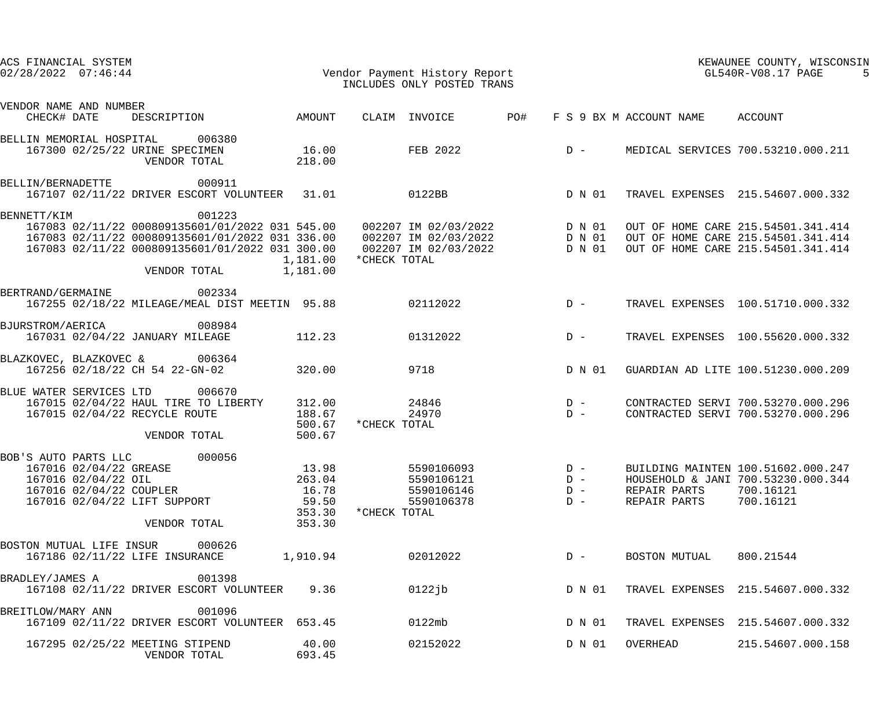|                         | ACS FINANCIAL SYSTEM<br>$02/28/2022$ $07:46:44$ |                                                                                   |                                                                                                                                                                                                                                                |                                                       | Vendor Payment History Report<br>INCLUDES ONLY POSTED TRANS |                                                      |     |                                  |                              | KEWAUNEE COUNTY, WISCONSIN<br>GL540R-V08.17 PAGE                                                               |  |  |
|-------------------------|-------------------------------------------------|-----------------------------------------------------------------------------------|------------------------------------------------------------------------------------------------------------------------------------------------------------------------------------------------------------------------------------------------|-------------------------------------------------------|-------------------------------------------------------------|------------------------------------------------------|-----|----------------------------------|------------------------------|----------------------------------------------------------------------------------------------------------------|--|--|
| VENDOR NAME AND NUMBER  | CHECK# DATE                                     | DESCRIPTION                                                                       |                                                                                                                                                                                                                                                | AMOUNT                                                |                                                             | CLAIM INVOICE                                        | PO# |                                  | F S 9 BX M ACCOUNT NAME      | ACCOUNT                                                                                                        |  |  |
|                         |                                                 | BELLIN MEMORIAL HOSPITAL 006380<br>167300 02/25/22 URINE SPECIMEN<br>VENDOR TOTAL |                                                                                                                                                                                                                                                | 16.00<br>218.00                                       |                                                             | FEB 2022                                             |     | $D -$                            |                              | MEDICAL SERVICES 700.53210.000.211                                                                             |  |  |
| BELLIN/BERNADETTE       |                                                 |                                                                                   | 000911<br>167107 02/11/22 DRIVER ESCORT VOLUNTEER 31.01                                                                                                                                                                                        |                                                       |                                                             | 0122BB                                               |     | D N 01                           |                              | TRAVEL EXPENSES 215.54607.000.332                                                                              |  |  |
| BENNETT/KIM             |                                                 | VENDOR TOTAL                                                                      | 001223<br>167083 02/11/22 000809135601/01/2022 031 545.00 002207 IM 02/03/2022 D N 01<br>167083 02/11/22 000809135601/01/2022 031 336.00 002207 IM 02/03/2022 D N 01<br>167083 02/11/22 000809135601/01/2022 031 300.00 002207 IM 02/03/2022 D | 1,181.00<br>1,181.00                                  | *CHECK TOTAL                                                |                                                      |     |                                  |                              | OUT OF HOME CARE 215.54501.341.414<br>OUT OF HOME CARE 215.54501.341.414<br>OUT OF HOME CARE 215.54501.341.414 |  |  |
| BERTRAND/GERMAINE       |                                                 |                                                                                   | 002334<br>167255 02/18/22 MILEAGE/MEAL DIST MEETIN 95.88                                                                                                                                                                                       |                                                       |                                                             | 02112022                                             |     | $D -$                            |                              | TRAVEL EXPENSES 100.51710.000.332                                                                              |  |  |
| BJURSTROM/AERICA        |                                                 | 008984<br>167031 02/04/22 JANUARY MILEAGE                                         |                                                                                                                                                                                                                                                | 112.23                                                |                                                             | 01312022                                             |     | $D -$                            |                              | TRAVEL EXPENSES 100.55620.000.332                                                                              |  |  |
|                         |                                                 | BLAZKOVEC, BLAZKOVEC & 006364<br>167256 02/18/22 CH 54 22-GN-02                   |                                                                                                                                                                                                                                                | 320.00                                                |                                                             | 9718                                                 |     | D N 01                           |                              | GUARDIAN AD LITE 100.51230.000.209                                                                             |  |  |
| BLUE WATER SERVICES LTD |                                                 | 167015 02/04/22 RECYCLE ROUTE<br>VENDOR TOTAL                                     | 006670<br>167015 02/04/22 HAUL TIRE TO LIBERTY                                                                                                                                                                                                 | 312.00<br>188.67<br>500.67<br>500.67                  | *CHECK TOTAL                                                | 24846<br>24970                                       |     | $D -$<br>$D -$                   |                              | CONTRACTED SERVI 700.53270.000.296<br>CONTRACTED SERVI 700.53270.000.296                                       |  |  |
| BOB'S AUTO PARTS LLC    | 167016 02/04/22 GREASE<br>167016 02/04/22 OIL   | 167016 02/04/22 COUPLER<br>167016 02/04/22 LIFT SUPPORT<br>VENDOR TOTAL           | 000056                                                                                                                                                                                                                                         | 13.98<br>263.04<br>16.78<br>59.50<br>353.30<br>353.30 | *CHECK TOTAL                                                | 5590106093<br>5590106121<br>5590106146<br>5590106378 |     | $D -$<br>$D -$<br>$D -$<br>$D -$ | REPAIR PARTS<br>REPAIR PARTS | BUILDING MAINTEN 100.51602.000.247<br>HOUSEHOLD & JANI 700.53230.000.344<br>700.16121<br>700.16121             |  |  |
|                         |                                                 | BOSTON MUTUAL LIFE INSUR 000626<br>167186 02/11/22 LIFE INSURANCE                 |                                                                                                                                                                                                                                                | 1,910.94                                              |                                                             | 02012022                                             |     | $D -$                            | BOSTON MUTUAL                | 800.21544                                                                                                      |  |  |
| BRADLEY/JAMES A         |                                                 |                                                                                   | 001398<br>167108 02/11/22 DRIVER ESCORT VOLUNTEER                                                                                                                                                                                              | 9.36                                                  |                                                             | $0122j$ b                                            |     | D N 01                           |                              | TRAVEL EXPENSES 215.54607.000.332                                                                              |  |  |
| BREITLOW/MARY ANN       |                                                 |                                                                                   | 001096<br>167109 02/11/22 DRIVER ESCORT VOLUNTEER 653.45                                                                                                                                                                                       |                                                       |                                                             | 0122mb                                               |     | D N 01                           |                              | TRAVEL EXPENSES 215.54607.000.332                                                                              |  |  |
|                         |                                                 | 167295 02/25/22 MEETING STIPEND<br>VENDOR TOTAL                                   |                                                                                                                                                                                                                                                | 40.00<br>693.45                                       |                                                             | 02152022                                             |     | D N 01                           | OVERHEAD                     | 215.54607.000.158                                                                                              |  |  |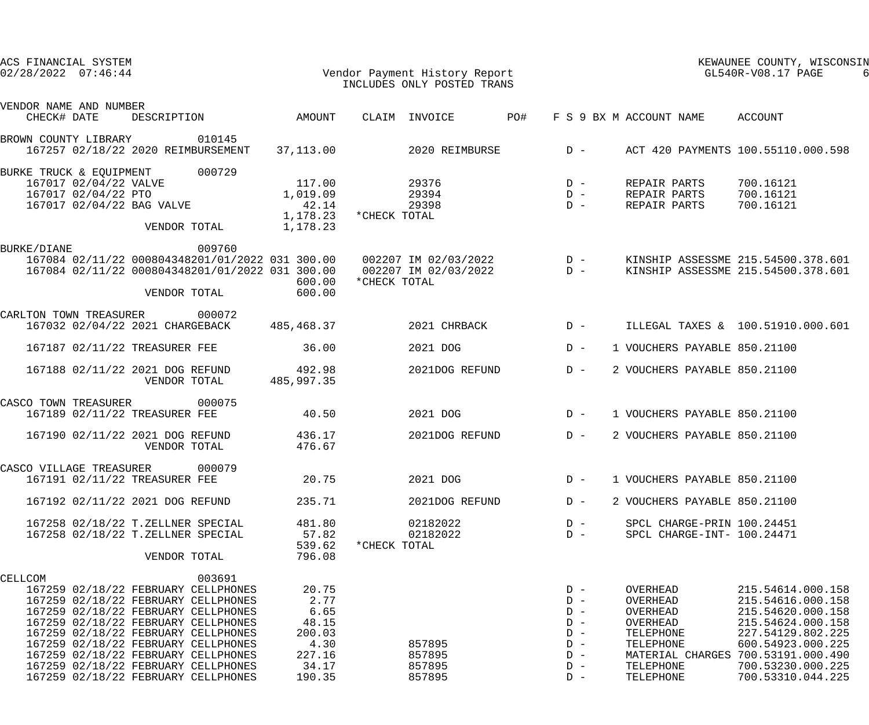| ACS FINANCIAL SYSTEM<br>$02/28/2022$ $07:46:44$                                                                                                                                                                                                                                                                                                                                  |                                                                               | Vendor Payment History Report<br>INCLUDES ONLY POSTED TRANS | KEWAUNEE COUNTY, WISCONSIN<br>GL540R-V08.17 PAGE                                                                                                                                                      |                                                                                                                                                                                           |  |
|----------------------------------------------------------------------------------------------------------------------------------------------------------------------------------------------------------------------------------------------------------------------------------------------------------------------------------------------------------------------------------|-------------------------------------------------------------------------------|-------------------------------------------------------------|-------------------------------------------------------------------------------------------------------------------------------------------------------------------------------------------------------|-------------------------------------------------------------------------------------------------------------------------------------------------------------------------------------------|--|
| VENDOR NAME AND NUMBER                                                                                                                                                                                                                                                                                                                                                           |                                                                               |                                                             |                                                                                                                                                                                                       |                                                                                                                                                                                           |  |
| DESCRIPTION AMOUNT<br>CHECK# DATE                                                                                                                                                                                                                                                                                                                                                |                                                                               | <b>PO#</b><br>CLAIM INVOICE                                 | F S 9 BX M ACCOUNT NAME                                                                                                                                                                               | ACCOUNT                                                                                                                                                                                   |  |
| 010145<br>BROWN COUNTY LIBRARY<br>167257 02/18/22 2020 REIMBURSEMENT                                                                                                                                                                                                                                                                                                             | 37,113.00                                                                     | 2020 REIMBURSE D -                                          |                                                                                                                                                                                                       | ACT 420 PAYMENTS 100.55110.000.598                                                                                                                                                        |  |
| 000729<br>BURKE TRUCK & EQUIPMENT<br>167017 02/04/22 VALVE<br>167017 02/04/22 PTO<br>167017 02/04/22 BAG VALVE<br>VENDOR TOTAL                                                                                                                                                                                                                                                   | 117.00<br>1,019.09<br>42.14<br>1,178.23<br>1,178.23                           | 29376<br>29394<br>29398<br>*CHECK TOTAL                     | $D -$<br>REPAIR PARTS<br>$D -$<br>REPAIR PARTS<br>$D -$<br>REPAIR PARTS                                                                                                                               | 700.16121<br>700.16121<br>700.16121                                                                                                                                                       |  |
| 009760<br>BURKE/DIANE<br>167084 02/11/22 000804348201/01/2022 031 300.00  002207 IM 02/03/2022<br>167084 02/11/22 000804348201/01/2022 031 300.00<br>VENDOR TOTAL                                                                                                                                                                                                                | 600.00<br>600.00                                                              | 002207 IM 02/03/2022<br>*CHECK TOTAL                        | $D -$<br>$D -$                                                                                                                                                                                        | KINSHIP ASSESSME 215.54500.378.601<br>KINSHIP ASSESSME 215.54500.378.601                                                                                                                  |  |
| CARLTON TOWN TREASURER<br>000072<br>167032 02/04/22 2021 CHARGEBACK                                                                                                                                                                                                                                                                                                              | 485,468.37                                                                    | 2021 CHRBACK                                                | $D -$                                                                                                                                                                                                 | ILLEGAL TAXES & 100.51910.000.601                                                                                                                                                         |  |
| 167187 02/11/22 TREASURER FEE                                                                                                                                                                                                                                                                                                                                                    | 36.00                                                                         | 2021 DOG                                                    | $D -$                                                                                                                                                                                                 | 1 VOUCHERS PAYABLE 850.21100                                                                                                                                                              |  |
| 167188 02/11/22 2021 DOG REFUND<br>VENDOR TOTAL                                                                                                                                                                                                                                                                                                                                  | 492.98<br>485,997.35                                                          | 2021DOG REFUND                                              | $D -$                                                                                                                                                                                                 | 2 VOUCHERS PAYABLE 850.21100                                                                                                                                                              |  |
| 000075<br>CASCO TOWN TREASURER<br>167189 02/11/22 TREASURER FEE                                                                                                                                                                                                                                                                                                                  | 40.50                                                                         | 2021 DOG                                                    | $D -$                                                                                                                                                                                                 | 1 VOUCHERS PAYABLE 850.21100                                                                                                                                                              |  |
| 167190 02/11/22 2021 DOG REFUND<br>VENDOR TOTAL                                                                                                                                                                                                                                                                                                                                  | 436.17<br>476.67                                                              | 2021DOG REFUND D -                                          |                                                                                                                                                                                                       | 2 VOUCHERS PAYABLE 850.21100                                                                                                                                                              |  |
| 000079<br>CASCO VILLAGE TREASURER<br>167191 02/11/22 TREASURER FEE                                                                                                                                                                                                                                                                                                               | 20.75                                                                         | 2021 DOG                                                    | $D -$                                                                                                                                                                                                 | 1 VOUCHERS PAYABLE 850.21100                                                                                                                                                              |  |
| 167192 02/11/22 2021 DOG REFUND                                                                                                                                                                                                                                                                                                                                                  | 235.71                                                                        | 2021DOG REFUND                                              | $D -$                                                                                                                                                                                                 | 2 VOUCHERS PAYABLE 850.21100                                                                                                                                                              |  |
| 167258 02/18/22 T.ZELLNER SPECIAL<br>167258 02/18/22 T.ZELLNER SPECIAL<br>VENDOR TOTAL                                                                                                                                                                                                                                                                                           | 481.80<br>57.82<br>539.62<br>796.08                                           | 02182022<br>02182022<br>*CHECK TOTAL                        | $D -$<br>$D -$                                                                                                                                                                                        | SPCL CHARGE-PRIN 100.24451<br>SPCL CHARGE-INT- 100.24471                                                                                                                                  |  |
| 003691<br>CELLCOM<br>167259 02/18/22 FEBRUARY CELLPHONES<br>167259 02/18/22 FEBRUARY CELLPHONES<br>167259 02/18/22 FEBRUARY CELLPHONES<br>167259 02/18/22 FEBRUARY CELLPHONES<br>167259 02/18/22 FEBRUARY CELLPHONES<br>167259 02/18/22 FEBRUARY CELLPHONES<br>167259 02/18/22 FEBRUARY CELLPHONES<br>167259 02/18/22 FEBRUARY CELLPHONES<br>167259 02/18/22 FEBRUARY CELLPHONES | 20.75<br>2.77<br>6.65<br>48.15<br>200.03<br>4.30<br>227.16<br>34.17<br>190.35 | 857895<br>857895<br>857895<br>857895                        | $D -$<br>OVERHEAD<br>$D -$<br>OVERHEAD<br>$D -$<br>OVERHEAD<br>$D -$<br>OVERHEAD<br>$D -$<br>TELEPHONE<br>$D -$<br>TELEPHONE<br>$D -$<br>MATERIAL CHARGES<br>TELEPHONE<br>$D -$<br>TELEPHONE<br>$D -$ | 215.54614.000.158<br>215.54616.000.158<br>215.54620.000.158<br>215.54624.000.158<br>227.54129.802.225<br>600.54923.000.225<br>700.53191.000.490<br>700.53230.000.225<br>700.53310.044.225 |  |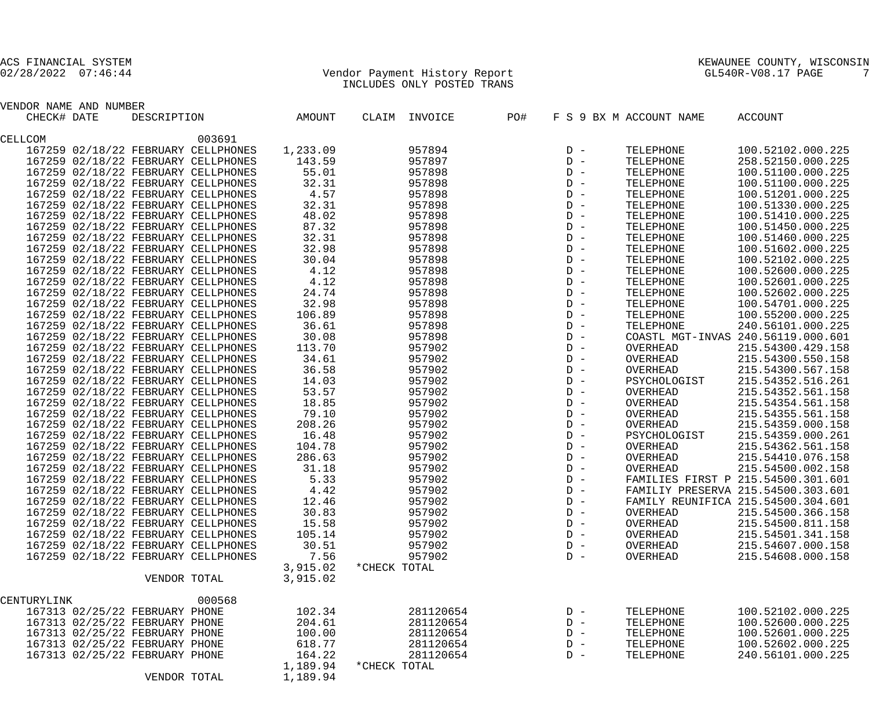# 02/28/2022 07:46:44 Vendor Payment History Report GL540R-V08.17 PAGE 7 INCLUDES ONLY POSTED TRANS

| VENDOR NAME AND NUMBER              |                    |          |              |               |     |       |                                    |                                    |
|-------------------------------------|--------------------|----------|--------------|---------------|-----|-------|------------------------------------|------------------------------------|
| CHECK# DATE                         | DESCRIPTION AMOUNT |          |              | CLAIM INVOICE | PO# |       | F S 9 BX M ACCOUNT NAME            | ACCOUNT                            |
| CELLCOM                             | 003691             |          |              |               |     |       |                                    |                                    |
| 167259 02/18/22 FEBRUARY CELLPHONES |                    | 1,233.09 |              | 957894        |     |       | TELEPHONE                          | 100.52102.000.225                  |
| 167259 02/18/22 FEBRUARY CELLPHONES |                    | 143.59   |              | 957897        |     |       | TELEPHONE                          | 258.52150.000.225                  |
| 167259 02/18/22 FEBRUARY CELLPHONES |                    | 55.01    |              | 957898        |     |       | TELEPHONE                          | 100.51100.000.225                  |
| 167259 02/18/22 FEBRUARY CELLPHONES |                    | 32.31    |              | 957898        |     |       | TELEPHONE                          | 100.51100.000.225                  |
| 167259 02/18/22 FEBRUARY CELLPHONES |                    | 4.57     |              | 957898        |     |       | TELEPHONE                          | 100.51201.000.225                  |
| 167259 02/18/22 FEBRUARY CELLPHONES |                    | 32.31    |              | 957898        |     |       | TELEPHONE                          | 100.51330.000.225                  |
| 167259 02/18/22 FEBRUARY CELLPHONES |                    | 48.02    |              | 957898        |     |       | TELEPHONE                          | 100.51410.000.225                  |
| 167259 02/18/22 FEBRUARY CELLPHONES |                    | 87.32    |              | 957898        |     |       | TELEPHONE                          | 100.51450.000.225                  |
| 167259 02/18/22 FEBRUARY CELLPHONES |                    | 32.31    |              | 957898        |     |       | TELEPHONE                          | 100.51460.000.225                  |
| 167259 02/18/22 FEBRUARY CELLPHONES |                    | 32.98    |              | 957898        |     |       | TELEPHONE                          | 100.51602.000.225                  |
| 167259 02/18/22 FEBRUARY CELLPHONES |                    | 30.04    |              | 957898        |     |       | TELEPHONE                          | 100.52102.000.225                  |
| 167259 02/18/22 FEBRUARY CELLPHONES |                    | 4.12     |              | 957898        |     |       | TELEPHONE                          | 100.52600.000.225                  |
| 167259 02/18/22 FEBRUARY CELLPHONES |                    | 4.12     |              | 957898        |     |       | TELEPHONE                          | 100.52601.000.225                  |
| 167259 02/18/22 FEBRUARY CELLPHONES |                    | 24.74    |              | 957898        |     |       | TELEPHONE                          | 100.52602.000.225                  |
| 167259 02/18/22 FEBRUARY CELLPHONES |                    | 32.98    |              | 957898        |     |       | TELEPHONE                          | 100.54701.000.225                  |
| 167259 02/18/22 FEBRUARY CELLPHONES |                    | 106.89   |              | 957898        |     |       | TELEPHONE                          | 100.55200.000.225                  |
| 167259 02/18/22 FEBRUARY CELLPHONES |                    | 36.61    |              | 957898        |     |       | TELEPHONE                          | 240.56101.000.225                  |
| 167259 02/18/22 FEBRUARY CELLPHONES |                    | 30.08    |              | 957898        |     |       |                                    | COASTL MGT-INVAS 240.56119.000.601 |
| 167259 02/18/22 FEBRUARY CELLPHONES |                    | 113.70   |              | 957902        |     |       | OVERHEAD                           | 215.54300.429.158                  |
| 167259 02/18/22 FEBRUARY CELLPHONES |                    | 34.61    |              | 957902        |     |       | OVERHEAD                           | 215.54300.550.158                  |
| 167259 02/18/22 FEBRUARY CELLPHONES |                    | 36.58    |              | 957902        |     |       | OVERHEAD                           | 215.54300.567.158                  |
| 167259 02/18/22 FEBRUARY CELLPHONES |                    | 14.03    |              | 957902        |     |       | PSYCHOLOGIST                       | 215.54352.516.261                  |
| 167259 02/18/22 FEBRUARY CELLPHONES |                    | 53.57    |              | 957902        |     |       | OVERHEAD                           | 215.54352.561.158                  |
| 167259 02/18/22 FEBRUARY CELLPHONES |                    | 18.85    |              | 957902        |     |       | OVERHEAD                           | 215.54354.561.158                  |
| 167259 02/18/22 FEBRUARY CELLPHONES |                    | 79.10    |              | 957902        |     |       | OVERHEAD                           | 215.54355.561.158                  |
| 167259 02/18/22 FEBRUARY CELLPHONES |                    | 208.26   |              | 957902        |     |       | OVERHEAD                           | 215.54359.000.158                  |
| 167259 02/18/22 FEBRUARY CELLPHONES |                    | 16.48    |              | 957902        |     |       | PSYCHOLOGIST                       | 215.54359.000.261                  |
| 167259 02/18/22 FEBRUARY CELLPHONES |                    | 104.78   |              | 957902        |     |       | OVERHEAD                           | 215.54362.561.158                  |
| 167259 02/18/22 FEBRUARY CELLPHONES |                    | 286.63   |              | 957902        |     |       | OVERHEAD                           | 215.54410.076.158                  |
| 167259 02/18/22 FEBRUARY CELLPHONES |                    | 31.18    |              | 957902        |     |       | OVERHEAD                           | 215.54500.002.158                  |
| 167259 02/18/22 FEBRUARY CELLPHONES |                    | 5.33     |              | 957902        |     |       | FAMILIES FIRST P 215.54500.301.601 |                                    |
| 167259 02/18/22 FEBRUARY CELLPHONES |                    | 4.42     |              | 957902        |     |       | FAMILIY PRESERVA 215.54500.303.601 |                                    |
| 167259 02/18/22 FEBRUARY CELLPHONES |                    | 12.46    |              | 957902        |     |       |                                    | FAMILY REUNIFICA 215.54500.304.601 |
| 167259 02/18/22 FEBRUARY CELLPHONES |                    | 30.83    |              | 957902        |     | $D -$ | OVERHEAD                           | 215.54500.366.158                  |
| 167259 02/18/22 FEBRUARY CELLPHONES |                    | 15.58    |              | 957902        |     | $D -$ | OVERHEAD                           | 215.54500.811.158                  |
| 167259 02/18/22 FEBRUARY CELLPHONES |                    | 105.14   |              | 957902        |     | $D -$ | OVERHEAD                           | 215.54501.341.158                  |
| 167259 02/18/22 FEBRUARY CELLPHONES |                    | 30.51    |              | 957902        |     | $D -$ | OVERHEAD                           | 215.54607.000.158                  |
| 167259 02/18/22 FEBRUARY CELLPHONES |                    | 7.56     |              | 957902        |     | $D -$ | OVERHEAD                           | 215.54608.000.158                  |
|                                     |                    | 3,915.02 | *CHECK TOTAL |               |     |       |                                    |                                    |
|                                     | VENDOR TOTAL       | 3,915.02 |              |               |     |       |                                    |                                    |
| CENTURYLINK                         | 000568             |          |              |               |     |       |                                    |                                    |
| 167313 02/25/22 FEBRUARY PHONE      |                    | 102.34   |              | 281120654     |     | $D -$ | TELEPHONE                          | 100.52102.000.225                  |
| 167313 02/25/22 FEBRUARY PHONE      |                    | 204.61   |              | 281120654     |     | $D -$ | TELEPHONE                          | 100.52600.000.225                  |
| 167313 02/25/22 FEBRUARY PHONE      |                    | 100.00   |              | 281120654     |     | $D -$ | TELEPHONE                          | 100.52601.000.225                  |
| 167313 02/25/22 FEBRUARY PHONE      |                    | 618.77   |              | 281120654     |     | $D -$ | TELEPHONE                          | 100.52602.000.225                  |
| 167313 02/25/22 FEBRUARY PHONE      |                    | 164.22   |              | 281120654     |     | $D -$ | TELEPHONE                          | 240.56101.000.225                  |
|                                     |                    | 1,189.94 | *CHECK TOTAL |               |     |       |                                    |                                    |
|                                     | VENDOR TOTAL       | 1,189.94 |              |               |     |       |                                    |                                    |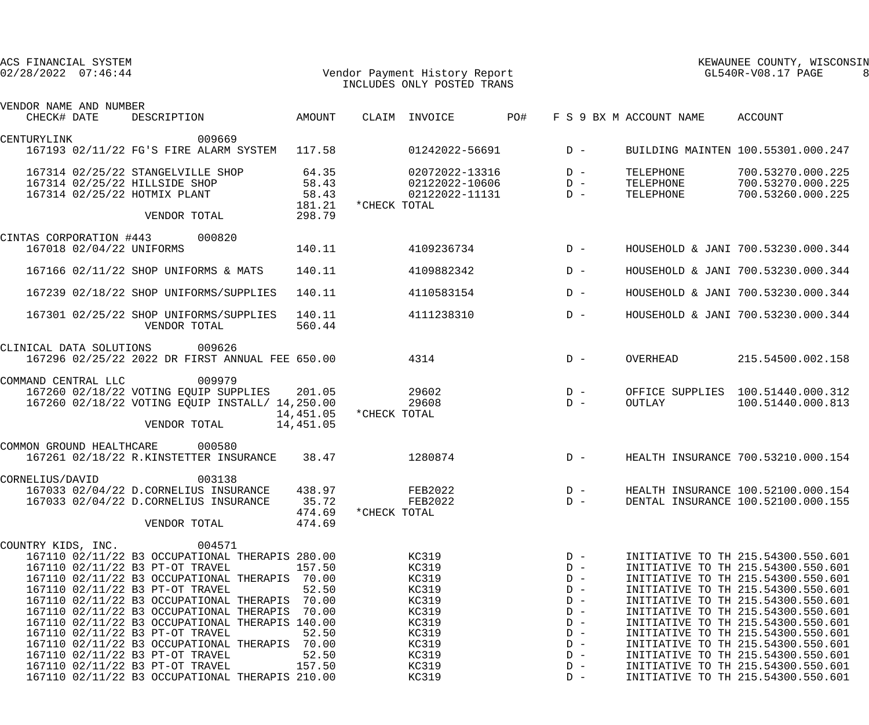|                 | ACS FINANCIAL SYSTEM<br>$02/28/2022$ $07:46:44$ |                                                                                                                                                                                                                                                                                                                                                                                                                                                                             |                                                                                 |              | Vendor Payment History Report<br>INCLUDES ONLY POSTED TRANS                                     |     |                                                                                                 |                                     | KEWAUNEE COUNTY, WISCONSIN<br>GL540R-V08.17 PAGE                                                                                                                                                                                                                                                                                                                                                                               |  |
|-----------------|-------------------------------------------------|-----------------------------------------------------------------------------------------------------------------------------------------------------------------------------------------------------------------------------------------------------------------------------------------------------------------------------------------------------------------------------------------------------------------------------------------------------------------------------|---------------------------------------------------------------------------------|--------------|-------------------------------------------------------------------------------------------------|-----|-------------------------------------------------------------------------------------------------|-------------------------------------|--------------------------------------------------------------------------------------------------------------------------------------------------------------------------------------------------------------------------------------------------------------------------------------------------------------------------------------------------------------------------------------------------------------------------------|--|
| CHECK# DATE     | VENDOR NAME AND NUMBER                          | DESCRIPTION                                                                                                                                                                                                                                                                                                                                                                                                                                                                 | AMOUNT                                                                          |              | CLAIM INVOICE                                                                                   | PO# |                                                                                                 | F S 9 BX M ACCOUNT NAME             | ACCOUNT                                                                                                                                                                                                                                                                                                                                                                                                                        |  |
| CENTURYLINK     |                                                 | 009669                                                                                                                                                                                                                                                                                                                                                                                                                                                                      |                                                                                 |              |                                                                                                 |     |                                                                                                 |                                     |                                                                                                                                                                                                                                                                                                                                                                                                                                |  |
|                 |                                                 | 167193 02/11/22 FG'S FIRE ALARM SYSTEM 117.58                                                                                                                                                                                                                                                                                                                                                                                                                               |                                                                                 |              | $01242022 - 56691$ D -                                                                          |     |                                                                                                 |                                     | BUILDING MAINTEN 100.55301.000.247                                                                                                                                                                                                                                                                                                                                                                                             |  |
|                 |                                                 | 167314 02/25/22 STANGELVILLE SHOP<br>167314 02/25/22 HILLSIDE SHOP<br>167314 02/25/22 HOTMIX PLANT                                                                                                                                                                                                                                                                                                                                                                          | 64.35<br>58.43<br>58.43<br>181.21                                               | *CHECK TOTAL | 02072022-13316<br>02122022-10606<br>02122022-11131                                              |     | $D -$<br>$D -$<br>$D -$                                                                         | TELEPHONE<br>TELEPHONE<br>TELEPHONE | 700.53270.000.225<br>700.53270.000.225<br>700.53260.000.225                                                                                                                                                                                                                                                                                                                                                                    |  |
|                 |                                                 | VENDOR TOTAL                                                                                                                                                                                                                                                                                                                                                                                                                                                                | 298.79                                                                          |              |                                                                                                 |     |                                                                                                 |                                     |                                                                                                                                                                                                                                                                                                                                                                                                                                |  |
|                 |                                                 | CINTAS CORPORATION #443 000820<br>167018 02/04/22 UNIFORMS                                                                                                                                                                                                                                                                                                                                                                                                                  | 140.11                                                                          |              | 4109236734                                                                                      |     | $D -$                                                                                           |                                     | HOUSEHOLD & JANI 700.53230.000.344                                                                                                                                                                                                                                                                                                                                                                                             |  |
|                 |                                                 | 167166 02/11/22 SHOP UNIFORMS & MATS                                                                                                                                                                                                                                                                                                                                                                                                                                        | 140.11                                                                          |              | 4109882342                                                                                      |     | $D -$                                                                                           |                                     | HOUSEHOLD & JANI 700.53230.000.344                                                                                                                                                                                                                                                                                                                                                                                             |  |
|                 |                                                 | 167239 02/18/22 SHOP UNIFORMS/SUPPLIES                                                                                                                                                                                                                                                                                                                                                                                                                                      | 140.11                                                                          |              | 4110583154                                                                                      |     | $D -$                                                                                           |                                     | HOUSEHOLD & JANI 700.53230.000.344                                                                                                                                                                                                                                                                                                                                                                                             |  |
|                 |                                                 | 167301 02/25/22 SHOP UNIFORMS/SUPPLIES<br>VENDOR TOTAL                                                                                                                                                                                                                                                                                                                                                                                                                      | 140.11<br>560.44                                                                |              | 4111238310                                                                                      |     | $D -$                                                                                           |                                     | HOUSEHOLD & JANI 700.53230.000.344                                                                                                                                                                                                                                                                                                                                                                                             |  |
|                 | CLINICAL DATA SOLUTIONS                         | 009626<br>167296 02/25/22 2022 DR FIRST ANNUAL FEE 650.00                                                                                                                                                                                                                                                                                                                                                                                                                   |                                                                                 |              | 4314                                                                                            |     | $D -$                                                                                           | OVERHEAD                            | 215.54500.002.158                                                                                                                                                                                                                                                                                                                                                                                                              |  |
|                 | COMMAND CENTRAL LLC                             | 009979<br>167260 02/18/22 VOTING EQUIP SUPPLIES 201.05<br>167260 02/18/22 VOTING EQUIP INSTALL/ 14,250.00<br>VENDOR TOTAL                                                                                                                                                                                                                                                                                                                                                   | 14,451.05<br>14,451.05                                                          | *CHECK TOTAL | 29602<br>29608                                                                                  |     | $D -$<br>$D -$                                                                                  | <b>OUTLAY</b>                       | OFFICE SUPPLIES 100.51440.000.312<br>100.51440.000.813                                                                                                                                                                                                                                                                                                                                                                         |  |
|                 | COMMON GROUND HEALTHCARE                        | 000580<br>167261 02/18/22 R.KINSTETTER INSURANCE                                                                                                                                                                                                                                                                                                                                                                                                                            | 38.47                                                                           |              | 1280874                                                                                         |     | $D -$                                                                                           |                                     | HEALTH INSURANCE 700.53210.000.154                                                                                                                                                                                                                                                                                                                                                                                             |  |
| CORNELIUS/DAVID |                                                 | 003138<br>167033 02/04/22 D.CORNELIUS INSURANCE<br>167033 02/04/22 D.CORNELIUS INSURANCE<br>VENDOR TOTAL                                                                                                                                                                                                                                                                                                                                                                    | 438.97<br>35.72<br>474.69<br>474.69                                             | *CHECK TOTAL | FEB2022<br>FEB2022                                                                              |     | $D -$<br>$D -$                                                                                  |                                     | HEALTH INSURANCE 100.52100.000.154<br>DENTAL INSURANCE 100.52100.000.155                                                                                                                                                                                                                                                                                                                                                       |  |
|                 | COUNTRY KIDS, INC.                              | 004571<br>167110 02/11/22 B3 OCCUPATIONAL THERAPIS 280.00<br>167110 02/11/22 B3 PT-OT TRAVEL<br>167110 02/11/22 B3 OCCUPATIONAL THERAPIS<br>167110 02/11/22 B3 PT-OT TRAVEL<br>167110 02/11/22 B3 OCCUPATIONAL THERAPIS<br>167110 02/11/22 B3 OCCUPATIONAL THERAPIS<br>167110 02/11/22 B3 OCCUPATIONAL THERAPIS 140.00<br>167110 02/11/22 B3 PT-OT TRAVEL<br>167110 02/11/22 B3 OCCUPATIONAL THERAPIS<br>167110 02/11/22 B3 PT-OT TRAVEL<br>167110 02/11/22 B3 PT-OT TRAVEL | 157.50<br>70.00<br>52.50<br>70.00<br>70.00<br>52.50<br>70.00<br>52.50<br>157.50 |              | KC319<br>KC319<br>KC319<br>KC319<br>KC319<br>KC319<br>KC319<br>KC319<br>KC319<br>KC319<br>KC319 |     | $D -$<br>$D -$<br>$D -$<br>$D -$<br>$D -$<br>$D -$<br>$D -$<br>$D -$<br>$D -$<br>$D -$<br>$D -$ |                                     | INITIATIVE TO TH 215.54300.550.601<br>INITIATIVE TO TH 215.54300.550.601<br>INITIATIVE TO TH 215.54300.550.601<br>INITIATIVE TO TH 215.54300.550.601<br>INITIATIVE TO TH 215.54300.550.601<br>INITIATIVE TO TH 215.54300.550.601<br>INITIATIVE TO TH 215.54300.550.601<br>INITIATIVE TO TH 215.54300.550.601<br>INITIATIVE TO TH 215.54300.550.601<br>INITIATIVE TO TH 215.54300.550.601<br>INITIATIVE TO TH 215.54300.550.601 |  |
|                 |                                                 | 167110 02/11/22 B3 OCCUPATIONAL THERAPIS 210.00                                                                                                                                                                                                                                                                                                                                                                                                                             |                                                                                 |              | KC319                                                                                           |     | $D -$                                                                                           |                                     | INITIATIVE TO TH 215.54300.550.601                                                                                                                                                                                                                                                                                                                                                                                             |  |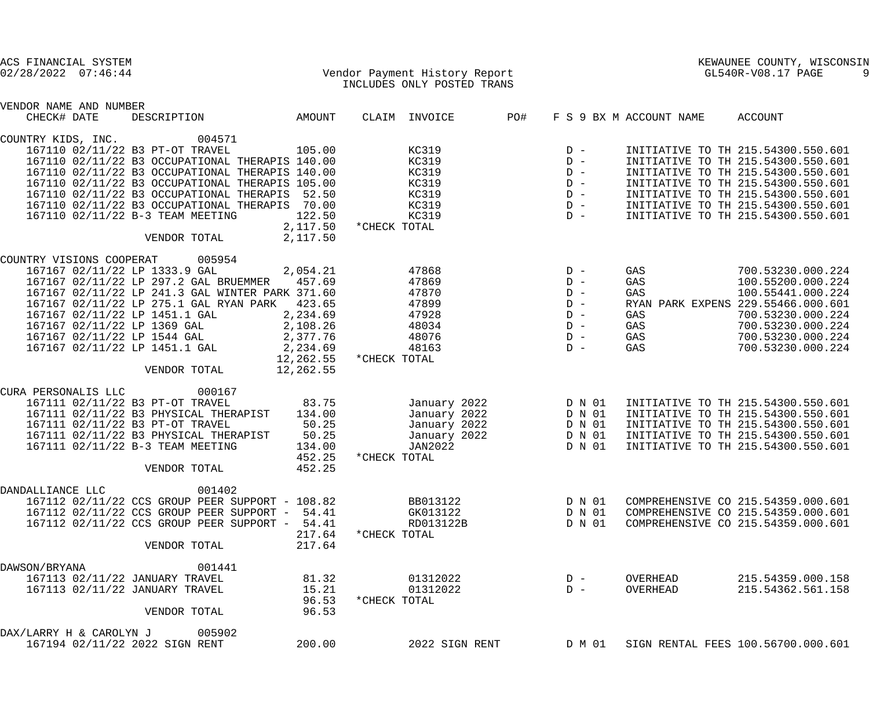| ACS FINANCIAL SYSTEM<br>$02/28/2022$ $07:46:44$                  |                                                                                                   |                        | Vendor Payment History Report<br>INCLUDES ONLY POSTED TRANS                                                    |     |                  |                         | KEWAUNEE COUNTY, WISCONSIN<br>GL540R-V08.17 PAGE                         |  |
|------------------------------------------------------------------|---------------------------------------------------------------------------------------------------|------------------------|----------------------------------------------------------------------------------------------------------------|-----|------------------|-------------------------|--------------------------------------------------------------------------|--|
|                                                                  |                                                                                                   |                        |                                                                                                                |     |                  |                         |                                                                          |  |
| VENDOR NAME AND NUMBER<br>CHECK# DATE                            | DESCRIPTION                                                                                       | AMOUNT                 | CLAIM INVOICE                                                                                                  | PO# |                  | F S 9 BX M ACCOUNT NAME | ACCOUNT                                                                  |  |
|                                                                  |                                                                                                   |                        |                                                                                                                |     |                  |                         |                                                                          |  |
| COUNTRY KIDS, INC.                                               | 004571                                                                                            |                        |                                                                                                                |     |                  |                         |                                                                          |  |
|                                                                  | 167110 02/11/22 B3 PT-OT TRAVEL                                                                   | 105.00                 | KC319                                                                                                          |     | $D -$            |                         | INITIATIVE TO TH 215.54300.550.601                                       |  |
|                                                                  | 167110 02/11/22 B3 OCCUPATIONAL THERAPIS 140.00                                                   |                        | KC319                                                                                                          |     | $D -$            |                         | INITIATIVE TO TH 215.54300.550.601                                       |  |
|                                                                  | 167110 02/11/22 B3 OCCUPATIONAL THERAPIS 140.00                                                   |                        | KC319                                                                                                          |     | $D -$            |                         | INITIATIVE TO TH 215.54300.550.601                                       |  |
|                                                                  | 167110 02/11/22 B3 OCCUPATIONAL THERAPIS 105.00<br>167110 02/11/22 B3 OCCUPATIONAL THERAPIS 52.50 |                        | KC319<br>KC319                                                                                                 |     | $D -$<br>$D -$   |                         | INITIATIVE TO TH 215.54300.550.601<br>INITIATIVE TO TH 215.54300.550.601 |  |
|                                                                  | 167110 02/11/22 B3 OCCUPATIONAL THERAPIS                                                          | 70.00                  | KC319                                                                                                          |     | $D -$            |                         | INITIATIVE TO TH 215.54300.550.601                                       |  |
|                                                                  | 167110 02/11/22 B-3 TEAM MEETING                                                                  | 122.50                 | KC319                                                                                                          |     | $D -$            |                         | INITIATIVE TO TH 215.54300.550.601                                       |  |
|                                                                  |                                                                                                   | 2,117.50               | *CHECK TOTAL                                                                                                   |     |                  |                         |                                                                          |  |
|                                                                  | VENDOR TOTAL                                                                                      | 2,117.50               |                                                                                                                |     |                  |                         |                                                                          |  |
|                                                                  |                                                                                                   |                        |                                                                                                                |     |                  |                         |                                                                          |  |
| COUNTRY VISIONS COOPERAT 005954<br>167167 02/11/22 LP 1333.9 GAL |                                                                                                   | 2,054.21               | 47868                                                                                                          |     | $D -$            | GAS                     | 700.53230.000.224                                                        |  |
|                                                                  | 167167 02/11/22 LP 297.2 GAL BRUEMMER 457.69                                                      |                        | 47869                                                                                                          |     | $D -$            | GAS                     | 100.55200.000.224                                                        |  |
|                                                                  | 167167 02/11/22 LP 241.3 GAL WINTER PARK 371.60                                                   |                        | 47870                                                                                                          |     | $D -$            | GAS                     | 100.55441.000.224                                                        |  |
|                                                                  | 167167 02/11/22 LP 275.1 GAL RYAN PARK 423.65                                                     |                        | 47899                                                                                                          |     | $D -$            |                         | RYAN PARK EXPENS 229.55466.000.601                                       |  |
| 167167 02/11/22 LP 1451.1 GAL                                    |                                                                                                   | 2,234.69               | 47928                                                                                                          |     | $D -$            | GAS                     | 700.53230.000.224                                                        |  |
| 167167 02/11/22 LP 1369 GAL                                      |                                                                                                   | 2,108.26               | 48034                                                                                                          |     | $D -$            | GAS                     | 700.53230.000.224                                                        |  |
| 167167 02/11/22 LP 1544 GAL                                      |                                                                                                   | 2,377.76               | 48076                                                                                                          |     | $D -$            | GAS                     | 700.53230.000.224                                                        |  |
| 167167 02/11/22 LP 1451.1 GAL                                    |                                                                                                   | 2,234.69               | 48163                                                                                                          |     | $D -$            | GAS                     | 700.53230.000.224                                                        |  |
|                                                                  | VENDOR TOTAL                                                                                      | 12,262.55<br>12,262.55 | *CHECK TOTAL                                                                                                   |     |                  |                         |                                                                          |  |
|                                                                  |                                                                                                   |                        |                                                                                                                |     |                  |                         |                                                                          |  |
| CURA PERSONALIS LLC                                              | 000167                                                                                            |                        |                                                                                                                |     |                  |                         |                                                                          |  |
|                                                                  | 167111 02/11/22 B3 PT-OT TRAVEL                                                                   | 83.75                  | January 2022                                                                                                   |     | D N 01           |                         | INITIATIVE TO TH 215.54300.550.601                                       |  |
|                                                                  | 167111 02/11/22 B3 PHYSICAL THERAPIST                                                             | 134.00                 | January 2022                                                                                                   |     | D N 01           |                         | INITIATIVE TO TH 215.54300.550.601                                       |  |
|                                                                  | 167111 02/11/22 B3 PT-OT TRAVEL                                                                   | 50.25                  | January 2022                                                                                                   |     | D N 01           |                         | INITIATIVE TO TH 215.54300.550.601                                       |  |
|                                                                  | 167111 02/11/22 B3 PHYSICAL THERAPIST<br>167111 02/11/22 B-3 TEAM MEETING                         | 50.25<br>134.00        | January 2022<br>JAN2022                                                                                        |     | D N 01<br>D N 01 |                         | INITIATIVE TO TH 215.54300.550.601<br>INITIATIVE TO TH 215.54300.550.601 |  |
|                                                                  |                                                                                                   | 452.25                 | *CHECK TOTAL                                                                                                   |     |                  |                         |                                                                          |  |
|                                                                  | VENDOR TOTAL                                                                                      | 452.25                 |                                                                                                                |     |                  |                         |                                                                          |  |
|                                                                  |                                                                                                   |                        |                                                                                                                |     |                  |                         |                                                                          |  |
| DANDALLIANCE LLC                                                 | 001402                                                                                            |                        |                                                                                                                |     |                  |                         |                                                                          |  |
|                                                                  | 167112 02/11/22 CCS GROUP PEER SUPPORT - 108.82                                                   |                        | BB013122 and the state of the state of the state of the state of the state of the state of the state of the st |     | D N 01           |                         | COMPREHENSIVE CO 215.54359.000.601                                       |  |
|                                                                  | 167112 02/11/22 CCS GROUP PEER SUPPORT - 54.41<br>167112 02/11/22 CCS GROUP PEER SUPPORT - 54.41  |                        | GK013122<br>RD013122B                                                                                          |     | D N 01<br>D N 01 |                         | COMPREHENSIVE CO 215.54359.000.601<br>COMPREHENSIVE CO 215.54359.000.601 |  |
|                                                                  |                                                                                                   | 217.64                 | *CHECK TOTAL                                                                                                   |     |                  |                         |                                                                          |  |
|                                                                  | VENDOR TOTAL                                                                                      | 217.64                 |                                                                                                                |     |                  |                         |                                                                          |  |
|                                                                  |                                                                                                   |                        |                                                                                                                |     |                  |                         |                                                                          |  |
| DAWSON/BRYANA<br>167113 02/11/22 JANUARY TRAVEL                  | 001441                                                                                            | 81.32                  | 01312022                                                                                                       |     | $D -$            | OVERHEAD                | 215.54359.000.158                                                        |  |
| 167113 02/11/22 JANUARY TRAVEL                                   |                                                                                                   | 15.21                  | 01312022                                                                                                       |     | $D -$            | OVERHEAD                | 215.54362.561.158                                                        |  |
|                                                                  |                                                                                                   | 96.53                  | *CHECK TOTAL                                                                                                   |     |                  |                         |                                                                          |  |
|                                                                  | VENDOR TOTAL                                                                                      | 96.53                  |                                                                                                                |     |                  |                         |                                                                          |  |
| DAX/LARRY H & CAROLYN J 005902                                   |                                                                                                   |                        |                                                                                                                |     |                  |                         |                                                                          |  |
| 167194 02/11/22 2022 SIGN RENT                                   |                                                                                                   | 200.00                 | 2022 SIGN RENT                                                                                                 |     | D M 01           |                         | SIGN RENTAL FEES 100.56700.000.601                                       |  |
|                                                                  |                                                                                                   |                        |                                                                                                                |     |                  |                         |                                                                          |  |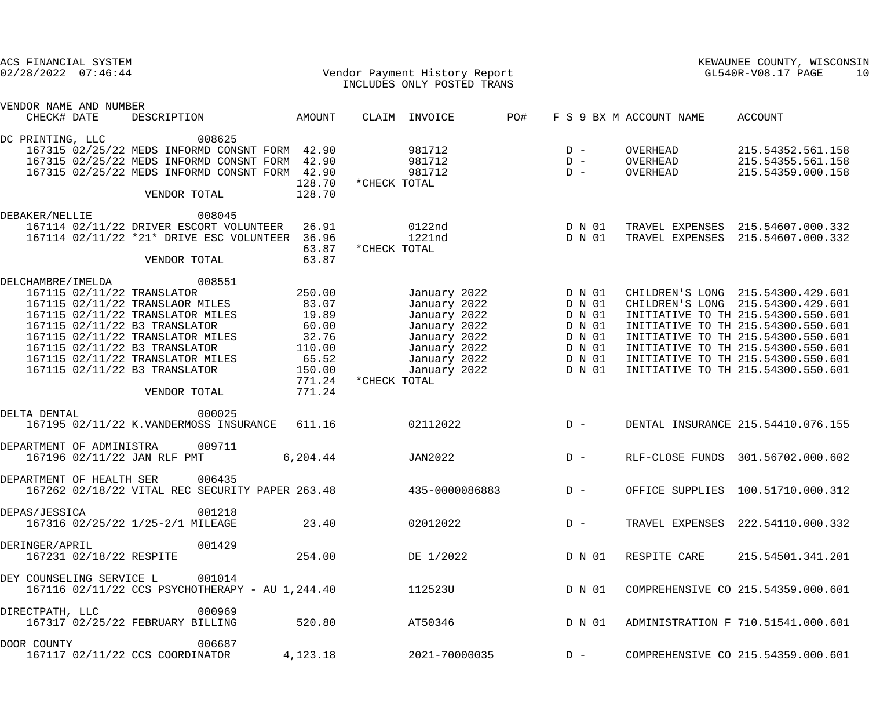| ACS FINANCIAL SYSTEM<br>$02/28/2022$ $07:46:44$ |                                                                                                                                                                                                                                                                                                        |                                                                                             |              | Vendor Payment History Report<br>INCLUDES ONLY POSTED TRANS                                                                  |       |                                                                              | GL540R-V08.17 PAGE               | KEWAUNEE COUNTY, WISCONSIN<br>10                                                                                                                                                                                                                                                                           |
|-------------------------------------------------|--------------------------------------------------------------------------------------------------------------------------------------------------------------------------------------------------------------------------------------------------------------------------------------------------------|---------------------------------------------------------------------------------------------|--------------|------------------------------------------------------------------------------------------------------------------------------|-------|------------------------------------------------------------------------------|----------------------------------|------------------------------------------------------------------------------------------------------------------------------------------------------------------------------------------------------------------------------------------------------------------------------------------------------------|
| VENDOR NAME AND NUMBER                          |                                                                                                                                                                                                                                                                                                        |                                                                                             |              |                                                                                                                              |       |                                                                              |                                  |                                                                                                                                                                                                                                                                                                            |
| CHECK# DATE                                     | DESCRIPTION                                                                                                                                                                                                                                                                                            | AMOUNT                                                                                      |              | CLAIM INVOICE                                                                                                                | PO#   |                                                                              | F S 9 BX M ACCOUNT NAME          | ACCOUNT                                                                                                                                                                                                                                                                                                    |
| DC PRINTING, LLC                                | 008625<br>167315 02/25/22 MEDS INFORMD CONSNT FORM 42.90<br>167315 02/25/22 MEDS INFORMD CONSNT FORM 42.90<br>167315 02/25/22 MEDS INFORMD CONSNT FORM 42.90<br>VENDOR TOTAL                                                                                                                           | 128.70<br>128.70                                                                            | *CHECK TOTAL | 981712<br>981712<br>981712                                                                                                   | $D -$ | $D -$<br>$D -$                                                               | OVERHEAD<br>OVERHEAD<br>OVERHEAD | 215.54352.561.158<br>215.54355.561.158<br>215.54359.000.158                                                                                                                                                                                                                                                |
| DEBAKER/NELLIE                                  | 008045<br>167114 02/11/22 DRIVER ESCORT VOLUNTEER<br>167114 02/11/22 *21* DRIVE ESC VOLUNTEER<br>VENDOR TOTAL                                                                                                                                                                                          | 26.91<br>36.96<br>63.87<br>63.87                                                            | *CHECK TOTAL | 0122nd<br>1221nd                                                                                                             |       | D N 01<br>D N 01                                                             |                                  | TRAVEL EXPENSES 215.54607.000.332<br>TRAVEL EXPENSES 215.54607.000.332                                                                                                                                                                                                                                     |
| DELCHAMBRE / IMELDA                             | 008551<br>167115 02/11/22 TRANSLATOR<br>167115 02/11/22 TRANSLAOR MILES<br>167115 02/11/22 TRANSLATOR MILES<br>167115 02/11/22 B3 TRANSLATOR<br>167115 02/11/22 TRANSLATOR MILES<br>167115 02/11/22 B3 TRANSLATOR<br>167115 02/11/22 TRANSLATOR MILES<br>167115 02/11/22 B3 TRANSLATOR<br>VENDOR TOTAL | 250.00<br>83.07<br>19.89<br>60.00<br>32.76<br>110.00<br>65.52<br>150.00<br>771.24<br>771.24 | *CHECK TOTAL | January 2022<br>January 2022<br>January 2022<br>January 2022<br>January 2022<br>January 2022<br>January 2022<br>January 2022 |       | D N 01<br>D N 01<br>D N 01<br>D N 01<br>D N 01<br>D N 01<br>D N 01<br>D N 01 |                                  | CHILDREN'S LONG 215.54300.429.601<br>CHILDREN'S LONG 215.54300.429.601<br>INITIATIVE TO TH 215.54300.550.601<br>INITIATIVE TO TH 215.54300.550.601<br>INITIATIVE TO TH 215.54300.550.601<br>INITIATIVE TO TH 215.54300.550.601<br>INITIATIVE TO TH 215.54300.550.601<br>INITIATIVE TO TH 215.54300.550.601 |
| DELTA DENTAL                                    | 000025<br>167195 02/11/22 K.VANDERMOSS INSURANCE 611.16                                                                                                                                                                                                                                                |                                                                                             |              | 02112022                                                                                                                     |       | $D -$                                                                        |                                  | DENTAL INSURANCE 215.54410.076.155                                                                                                                                                                                                                                                                         |
| DEPARTMENT OF ADMINISTRA                        | 009711<br>167196 02/11/22 JAN RLF PMT                                                                                                                                                                                                                                                                  | 6, 204.44                                                                                   |              | JAN2022                                                                                                                      |       | $D -$                                                                        |                                  | RLF-CLOSE FUNDS 301.56702.000.602                                                                                                                                                                                                                                                                          |
|                                                 | DEPARTMENT OF HEALTH SER 006435<br>167262 02/18/22 VITAL REC SECURITY PAPER 263.48 435-0000086883                                                                                                                                                                                                      |                                                                                             |              |                                                                                                                              |       | $D -$                                                                        |                                  | OFFICE SUPPLIES 100.51710.000.312                                                                                                                                                                                                                                                                          |
| DEPAS/JESSICA                                   | 001218<br>167316 02/25/22 1/25-2/1 MILEAGE                                                                                                                                                                                                                                                             | 23.40                                                                                       |              | 02012022                                                                                                                     |       | $D -$                                                                        |                                  | TRAVEL EXPENSES 222.54110.000.332                                                                                                                                                                                                                                                                          |
| DERINGER/APRIL                                  | 001429<br>167231 02/18/22 RESPITE                                                                                                                                                                                                                                                                      | 254.00                                                                                      |              | DE 1/2022                                                                                                                    |       | D N 01                                                                       | RESPITE CARE                     | 215.54501.341.201                                                                                                                                                                                                                                                                                          |
| DEY COUNSELING SERVICE L                        | 001014<br>167116 02/11/22 CCS PSYCHOTHERAPY - AU 1,244.40                                                                                                                                                                                                                                              |                                                                                             |              | 112523U                                                                                                                      |       | D N 01                                                                       |                                  | COMPREHENSIVE CO 215.54359.000.601                                                                                                                                                                                                                                                                         |
| DIRECTPATH, LLC                                 | 000969<br>167317 02/25/22 FEBRUARY BILLING                                                                                                                                                                                                                                                             | 520.80                                                                                      |              | AT50346                                                                                                                      |       | D N 01                                                                       |                                  | ADMINISTRATION F 710.51541.000.601                                                                                                                                                                                                                                                                         |
| DOOR COUNTY                                     | 006687<br>167117 02/11/22 CCS COORDINATOR                                                                                                                                                                                                                                                              | 4,123.18                                                                                    |              | 2021-70000035                                                                                                                |       | $D -$                                                                        |                                  | COMPREHENSIVE CO 215.54359.000.601                                                                                                                                                                                                                                                                         |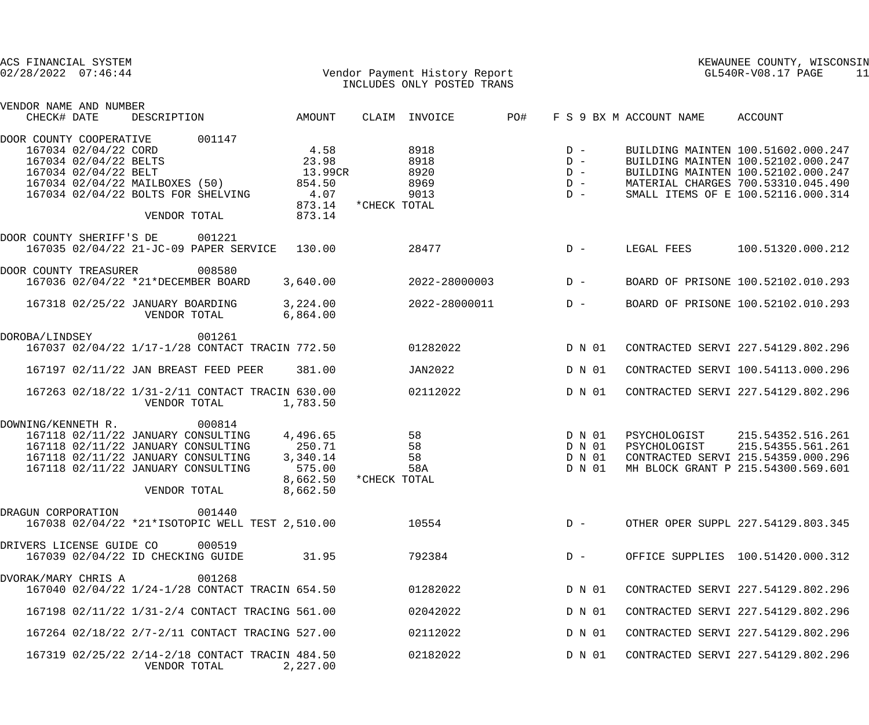| ACS FINANCIAL SYSTEM<br>Vendor Payment History Report<br>$02/28/2022$ $07:46:44$ |                                       |                                                                       |  |                                                  |                                                                                                                                                                |                                                                  |              | INCLUDES ONLY POSTED TRANS           |     | KEWAUNEE COUNTY, WISCONSIN<br>GL540R-V08.17 PAGE<br>11 |                              |                                                                                                                                                                                            |  |
|----------------------------------------------------------------------------------|---------------------------------------|-----------------------------------------------------------------------|--|--------------------------------------------------|----------------------------------------------------------------------------------------------------------------------------------------------------------------|------------------------------------------------------------------|--------------|--------------------------------------|-----|--------------------------------------------------------|------------------------------|--------------------------------------------------------------------------------------------------------------------------------------------------------------------------------------------|--|
|                                                                                  | VENDOR NAME AND NUMBER<br>CHECK# DATE |                                                                       |  | DESCRIPTION                                      |                                                                                                                                                                | AMOUNT                                                           |              | CLAIM INVOICE                        | PO# |                                                        | F S 9 BX M ACCOUNT NAME      | ACCOUNT                                                                                                                                                                                    |  |
|                                                                                  | DOOR COUNTY COOPERATIVE               | 167034 02/04/22 CORD<br>167034 02/04/22 BELTS<br>167034 02/04/22 BELT |  | 167034 02/04/22 MAILBOXES (50)<br>VENDOR TOTAL   | 001147<br>167034 02/04/22 BOLTS FOR SHELVING                                                                                                                   | 4.58<br>23.98<br>13.99CR<br>854.50<br>4.07<br>873.14<br>873.14   | *CHECK TOTAL | 8918<br>8918<br>8920<br>8969<br>9013 |     | $D -$<br>$D -$<br>$D -$<br>$D -$<br>$D -$              |                              | BUILDING MAINTEN 100.51602.000.247<br>BUILDING MAINTEN 100.52102.000.247<br>BUILDING MAINTEN 100.52102.000.247<br>MATERIAL CHARGES 700.53310.045.490<br>SMALL ITEMS OF E 100.52116.000.314 |  |
|                                                                                  | DOOR COUNTY SHERIFF'S DE              |                                                                       |  |                                                  | 001221<br>167035 02/04/22 21-JC-09 PAPER SERVICE                                                                                                               | 130.00                                                           |              | 28477                                |     | $D -$                                                  | LEGAL FEES                   | 100.51320.000.212                                                                                                                                                                          |  |
|                                                                                  | DOOR COUNTY TREASURER                 |                                                                       |  |                                                  | 008580<br>167036 02/04/22 *21*DECEMBER BOARD                                                                                                                   | 3,640.00                                                         |              | 2022-28000003                        |     | $D -$                                                  |                              | BOARD OF PRISONE 100.52102.010.293                                                                                                                                                         |  |
|                                                                                  |                                       |                                                                       |  | 167318 02/25/22 JANUARY BOARDING<br>VENDOR TOTAL |                                                                                                                                                                | 3,224.00<br>6,864.00                                             |              | 2022-28000011                        |     | $D -$                                                  |                              | BOARD OF PRISONE 100.52102.010.293                                                                                                                                                         |  |
|                                                                                  | DOROBA/LINDSEY                        |                                                                       |  |                                                  | 001261<br>167037 02/04/22 1/17-1/28 CONTACT TRACIN 772.50                                                                                                      |                                                                  |              | 01282022                             |     | D N 01                                                 |                              | CONTRACTED SERVI 227.54129.802.296                                                                                                                                                         |  |
|                                                                                  |                                       |                                                                       |  |                                                  | 167197 02/11/22 JAN BREAST FEED PEER                                                                                                                           | 381.00                                                           |              | JAN2022                              |     | D N 01                                                 |                              | CONTRACTED SERVI 100.54113.000.296                                                                                                                                                         |  |
|                                                                                  |                                       |                                                                       |  | VENDOR TOTAL                                     | 167263 02/18/22 1/31-2/11 CONTACT TRACIN 630.00                                                                                                                | 1,783.50                                                         |              | 02112022                             |     | D N 01                                                 |                              | CONTRACTED SERVI 227.54129.802.296                                                                                                                                                         |  |
|                                                                                  | DOWNING/KENNETH R.                    |                                                                       |  | VENDOR TOTAL                                     | 000814<br>167118 02/11/22 JANUARY CONSULTING<br>167118 02/11/22 JANUARY CONSULTING<br>167118 02/11/22 JANUARY CONSULTING<br>167118 02/11/22 JANUARY CONSULTING | 4,496.65<br>250.71<br>3,340.14<br>575.00<br>8,662.50<br>8,662.50 | *CHECK TOTAL | 58<br>58<br>58<br>58A                |     | D N 01<br>D N 01<br>D N 01<br>D N 01                   | PSYCHOLOGIST<br>PSYCHOLOGIST | 215.54352.516.261<br>215.54355.561.261<br>CONTRACTED SERVI 215.54359.000.296<br>MH BLOCK GRANT P 215.54300.569.601                                                                         |  |
|                                                                                  | DRAGUN CORPORATION                    |                                                                       |  |                                                  | 001440<br>167038 02/04/22 *21*ISOTOPIC WELL TEST 2,510.00                                                                                                      |                                                                  |              | 10554                                |     | $D -$                                                  |                              | OTHER OPER SUPPL 227.54129.803.345                                                                                                                                                         |  |
|                                                                                  | DRIVERS LICENSE GUIDE CO              |                                                                       |  | 167039 02/04/22 ID CHECKING GUIDE                | 000519                                                                                                                                                         | 31.95                                                            |              | 792384                               |     | $D -$                                                  |                              | OFFICE SUPPLIES 100.51420.000.312                                                                                                                                                          |  |
|                                                                                  | DVORAK/MARY CHRIS A                   |                                                                       |  |                                                  | 001268<br>167040 02/04/22 1/24-1/28 CONTACT TRACIN 654.50                                                                                                      |                                                                  |              | 01282022                             |     | D N 01                                                 |                              | CONTRACTED SERVI 227.54129.802.296                                                                                                                                                         |  |
|                                                                                  |                                       |                                                                       |  |                                                  | 167198 02/11/22 1/31-2/4 CONTACT TRACING 561.00                                                                                                                |                                                                  |              | 02042022                             |     | D N 01                                                 |                              | CONTRACTED SERVI 227.54129.802.296                                                                                                                                                         |  |
|                                                                                  |                                       |                                                                       |  |                                                  | 167264 02/18/22 2/7-2/11 CONTACT TRACING 527.00                                                                                                                |                                                                  |              | 02112022                             |     | D N 01                                                 |                              | CONTRACTED SERVI 227.54129.802.296                                                                                                                                                         |  |
|                                                                                  |                                       |                                                                       |  | VENDOR TOTAL                                     | 167319 02/25/22 2/14-2/18 CONTACT TRACIN 484.50                                                                                                                | 2,227.00                                                         |              | 02182022                             |     | D N 01                                                 |                              | CONTRACTED SERVI 227.54129.802.296                                                                                                                                                         |  |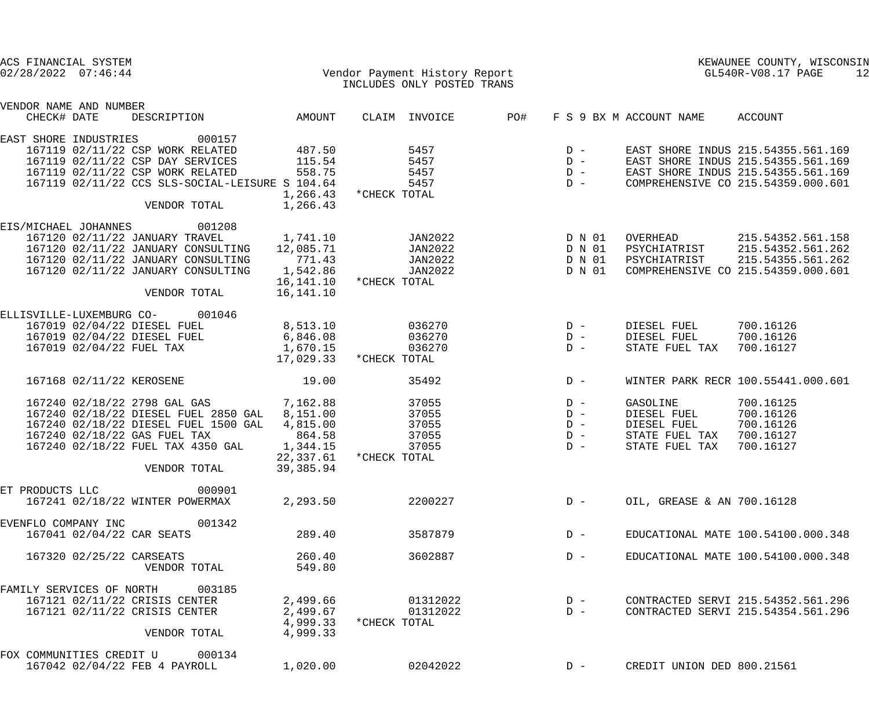|                 | ACS FINANCIAL SYSTEM<br>$02/28/2022$ $07:46:44$ |                                                 |                       |              | Vendor Payment History Report<br>INCLUDES ONLY POSTED TRANS |     |        |                            | KEWAUNEE COUNTY, WISCONSIN<br>GL540R-V08.17 PAGE<br>12 |
|-----------------|-------------------------------------------------|-------------------------------------------------|-----------------------|--------------|-------------------------------------------------------------|-----|--------|----------------------------|--------------------------------------------------------|
|                 | VENDOR NAME AND NUMBER<br>CHECK# DATE           | DESCRIPTION                                     | AMOUNT                |              | CLAIM INVOICE                                               | PO# |        | F S 9 BX M ACCOUNT NAME    | ACCOUNT                                                |
|                 | EAST SHORE INDUSTRIES                           | 000157                                          |                       |              |                                                             |     |        |                            |                                                        |
|                 |                                                 | 167119 02/11/22 CSP WORK RELATED                | 487.50                |              | 5457                                                        |     | $D -$  |                            | EAST SHORE INDUS 215.54355.561.169                     |
|                 |                                                 | 167119 02/11/22 CSP DAY SERVICES                | 115.54                |              | 5457                                                        |     | $D -$  |                            | EAST SHORE INDUS 215.54355.561.169                     |
|                 |                                                 | 167119 02/11/22 CSP WORK RELATED                | 558.75                |              | 5457                                                        |     | $D -$  |                            | EAST SHORE INDUS 215.54355.561.169                     |
|                 |                                                 | 167119 02/11/22 CCS SLS-SOCIAL-LEISURE S 104.64 |                       |              | 5457                                                        |     | $D -$  |                            | COMPREHENSIVE CO 215.54359.000.601                     |
|                 |                                                 | VENDOR TOTAL                                    | 1,266.43<br>1,266.43  | *CHECK TOTAL |                                                             |     |        |                            |                                                        |
|                 | EIS/MICHAEL JOHANNES                            | 001208                                          |                       |              |                                                             |     |        |                            |                                                        |
|                 |                                                 | 167120 02/11/22 JANUARY TRAVEL                  | 1,741.10              |              | JAN2022                                                     |     | D N 01 | OVERHEAD                   | 215.54352.561.158                                      |
|                 |                                                 | 167120 02/11/22 JANUARY CONSULTING              | 12,085.71             |              | JAN2022                                                     |     | D N 01 | PSYCHIATRIST               | 215.54352.561.262                                      |
|                 |                                                 | 167120 02/11/22 JANUARY CONSULTING              | 771.43                |              | JAN2022                                                     |     | D N 01 | PSYCHIATRIST               | 215.54355.561.262                                      |
|                 |                                                 | 167120 02/11/22 JANUARY CONSULTING              | 1,542.86              |              | JAN2022                                                     |     | D N 01 |                            | COMPREHENSIVE CO 215.54359.000.601                     |
|                 |                                                 |                                                 | 16,141.10             | *CHECK TOTAL |                                                             |     |        |                            |                                                        |
|                 |                                                 | VENDOR TOTAL                                    | 16,141.10             |              |                                                             |     |        |                            |                                                        |
|                 | ELLISVILLE-LUXEMBURG CO-                        | 001046                                          |                       |              |                                                             |     |        |                            |                                                        |
|                 |                                                 | 167019 02/04/22 DIESEL FUEL                     | 8,513.10              |              | 036270                                                      |     | $D -$  | DIESEL FUEL                | 700.16126                                              |
|                 |                                                 | 167019 02/04/22 DIESEL FUEL                     | 6,846.08              |              | 036270                                                      |     | $D -$  | DIESEL FUEL                | 700.16126                                              |
|                 |                                                 | 167019 02/04/22 FUEL TAX                        | 1,670.15<br>17,029.33 | *CHECK TOTAL | 036270                                                      |     | $D -$  | STATE FUEL TAX             | 700.16127                                              |
|                 |                                                 |                                                 |                       |              |                                                             |     |        |                            |                                                        |
|                 |                                                 | 167168 02/11/22 KEROSENE                        | 19.00                 |              | 35492                                                       |     | $D -$  |                            | WINTER PARK RECR 100.55441.000.601                     |
|                 |                                                 | 167240 02/18/22 2798 GAL GAS                    | 7,162.88              |              | 37055                                                       |     | $D -$  | GASOLINE                   | 700.16125                                              |
|                 |                                                 | 167240 02/18/22 DIESEL FUEL 2850 GAL            | 8,151.00              |              | 37055                                                       |     | $D -$  | DIESEL FUEL                | 700.16126                                              |
|                 |                                                 | 167240 02/18/22 DIESEL FUEL 1500 GAL            | 4,815.00              |              | 37055                                                       |     | $D -$  | DIESEL FUEL                | 700.16126                                              |
|                 |                                                 | 167240 02/18/22 GAS FUEL TAX                    | 864.58                |              | 37055                                                       |     | $D -$  | STATE FUEL TAX             | 700.16127                                              |
|                 |                                                 | 167240 02/18/22 FUEL TAX 4350 GAL               | 1,344.15              |              | 37055                                                       |     | $D -$  | STATE FUEL TAX             | 700.16127                                              |
|                 |                                                 |                                                 | 22,337.61             | *CHECK TOTAL |                                                             |     |        |                            |                                                        |
|                 |                                                 | VENDOR TOTAL                                    | 39, 385.94            |              |                                                             |     |        |                            |                                                        |
| ET PRODUCTS LLC |                                                 | 000901                                          |                       |              |                                                             |     |        |                            |                                                        |
|                 |                                                 | 167241 02/18/22 WINTER POWERMAX                 | 2,293.50              |              | 2200227                                                     |     | $D -$  | OIL, GREASE & AN 700.16128 |                                                        |
|                 | EVENFLO COMPANY INC                             | 001342                                          |                       |              |                                                             |     |        |                            |                                                        |
|                 |                                                 | 167041 02/04/22 CAR SEATS                       | 289.40                |              | 3587879                                                     |     | $D -$  |                            | EDUCATIONAL MATE 100.54100.000.348                     |
|                 |                                                 | 167320 02/25/22 CARSEATS                        | 260.40                |              | 3602887                                                     |     | $D -$  |                            | EDUCATIONAL MATE 100.54100.000.348                     |
|                 |                                                 | VENDOR TOTAL                                    | 549.80                |              |                                                             |     |        |                            |                                                        |
|                 |                                                 | FAMILY SERVICES OF NORTH 003185                 |                       |              |                                                             |     |        |                            |                                                        |
|                 |                                                 | 167121 02/11/22 CRISIS CENTER                   | 2,499.66              |              | 01312022                                                    |     | $D -$  |                            | CONTRACTED SERVI 215.54352.561.296                     |
|                 |                                                 | 167121 02/11/22 CRISIS CENTER                   | 2,499.67              |              | 01312022                                                    |     | $D -$  |                            | CONTRACTED SERVI 215.54354.561.296                     |
|                 |                                                 |                                                 | 4,999.33              | *CHECK TOTAL |                                                             |     |        |                            |                                                        |
|                 |                                                 | VENDOR TOTAL                                    | 4,999.33              |              |                                                             |     |        |                            |                                                        |
|                 |                                                 | FOX COMMUNITIES CREDIT U 000134                 |                       |              |                                                             |     |        |                            |                                                        |
|                 |                                                 | 167042 02/04/22 FEB 4 PAYROLL                   | 1,020.00              |              | 02042022                                                    |     | $D -$  | CREDIT UNION DED 800.21561 |                                                        |
|                 |                                                 |                                                 |                       |              |                                                             |     |        |                            |                                                        |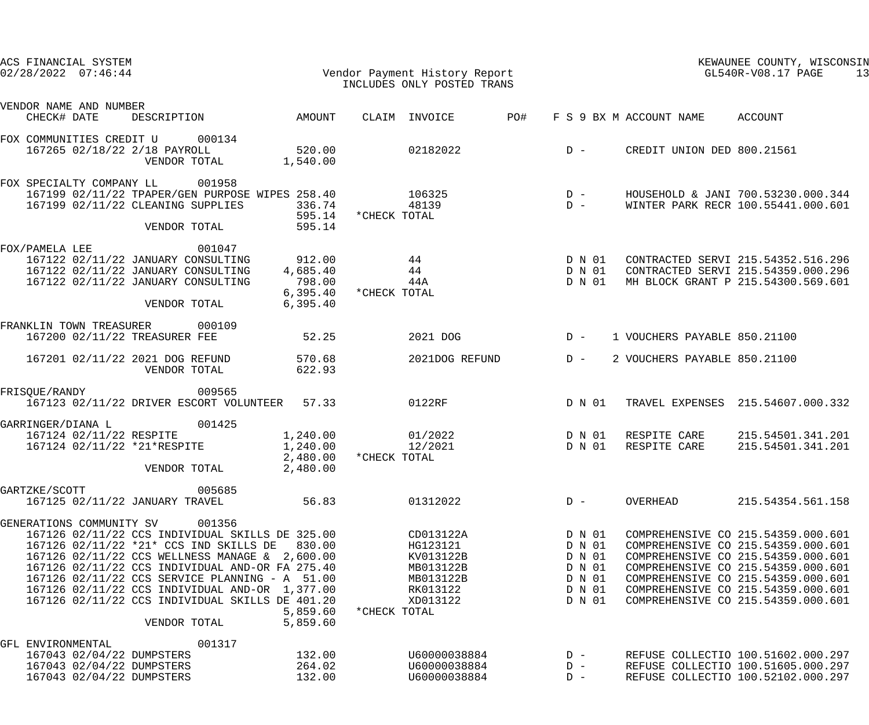| ACS FINANCIAL SYSTEM<br>$02/28/2022$ $07:46:44$                                                                                                                                                                                                                                                                                                                                                             |                                                       | Vendor Payment History Report<br>INCLUDES ONLY POSTED TRANS                                          |                                                                    |                              | KEWAUNEE COUNTY, WISCONSIN<br>GL540R-V08.17 PAGE<br>13                                                                                                                                                                                                                 |
|-------------------------------------------------------------------------------------------------------------------------------------------------------------------------------------------------------------------------------------------------------------------------------------------------------------------------------------------------------------------------------------------------------------|-------------------------------------------------------|------------------------------------------------------------------------------------------------------|--------------------------------------------------------------------|------------------------------|------------------------------------------------------------------------------------------------------------------------------------------------------------------------------------------------------------------------------------------------------------------------|
| VENDOR NAME AND NUMBER<br>CHECK# DATE<br>DESCRIPTION                                                                                                                                                                                                                                                                                                                                                        | AMOUNT                                                | CLAIM INVOICE<br>PO#                                                                                 | F S 9 BX M ACCOUNT NAME                                            |                              | ACCOUNT                                                                                                                                                                                                                                                                |
| FOX COMMUNITIES CREDIT U<br>000134<br>167265 02/18/22 2/18 PAYROLL<br>VENDOR TOTAL                                                                                                                                                                                                                                                                                                                          | 520.00<br>1,540.00                                    | 02182022                                                                                             | $D -$                                                              | CREDIT UNION DED 800.21561   |                                                                                                                                                                                                                                                                        |
| FOX SPECIALTY COMPANY LL<br>001958<br>167199 02/11/22 TPAPER/GEN PURPOSE WIPES 258.40<br>167199 02/11/22 CLEANING SUPPLIES<br>VENDOR TOTAL                                                                                                                                                                                                                                                                  | 336.74<br>595.14<br>595.14                            | 106325<br>48139<br>*CHECK TOTAL                                                                      | $D -$<br>$D -$                                                     |                              | HOUSEHOLD & JANI 700.53230.000.344<br>WINTER PARK RECR 100.55441.000.601                                                                                                                                                                                               |
| FOX/PAMELA LEE<br>001047<br>167122 02/11/22 JANUARY CONSULTING<br>167122 02/11/22 JANUARY CONSULTING<br>167122 02/11/22 JANUARY CONSULTING<br>VENDOR TOTAL                                                                                                                                                                                                                                                  | 912.00<br>4,685.40<br>798.00<br>6,395.40<br>6, 395.40 | 44<br>44<br>44A<br>*CHECK TOTAL                                                                      | D N 01<br>D N 01<br>D N 01                                         |                              | CONTRACTED SERVI 215.54352.516.296<br>CONTRACTED SERVI 215.54359.000.296<br>MH BLOCK GRANT P 215.54300.569.601                                                                                                                                                         |
| FRANKLIN TOWN TREASURER<br>000109<br>167200 02/11/22 TREASURER FEE                                                                                                                                                                                                                                                                                                                                          | 52.25                                                 | 2021 DOG                                                                                             | $D -$                                                              | 1 VOUCHERS PAYABLE 850.21100 |                                                                                                                                                                                                                                                                        |
| 167201 02/11/22 2021 DOG REFUND<br>VENDOR TOTAL                                                                                                                                                                                                                                                                                                                                                             | 570.68<br>622.93                                      | 2021DOG REFUND                                                                                       | $D -$                                                              | 2 VOUCHERS PAYABLE 850.21100 |                                                                                                                                                                                                                                                                        |
| FRISQUE/RANDY<br>009565<br>167123 02/11/22 DRIVER ESCORT VOLUNTEER 57.33                                                                                                                                                                                                                                                                                                                                    |                                                       | 0122RF                                                                                               | D N 01                                                             |                              | TRAVEL EXPENSES 215.54607.000.332                                                                                                                                                                                                                                      |
| 001425<br>GARRINGER/DIANA L<br>167124 02/11/22 RESPITE<br>167124 02/11/22 *21*RESPITE<br>VENDOR TOTAL                                                                                                                                                                                                                                                                                                       | 1,240.00<br>1,240.00<br>2,480.00<br>2,480.00          | 01/2022<br>12/2021<br>*CHECK TOTAL                                                                   | D N 01<br>D N 01                                                   | RESPITE CARE<br>RESPITE CARE | 215.54501.341.201<br>215.54501.341.201                                                                                                                                                                                                                                 |
| 005685<br>GARTZKE/SCOTT<br>167125 02/11/22 JANUARY TRAVEL                                                                                                                                                                                                                                                                                                                                                   | 56.83                                                 | 01312022                                                                                             | $D -$                                                              | OVERHEAD                     | 215.54354.561.158                                                                                                                                                                                                                                                      |
| GENERATIONS COMMUNITY SV<br>001356<br>167126 02/11/22 CCS INDIVIDUAL SKILLS DE 325.00<br>167126 02/11/22 *21* CCS IND SKILLS DE<br>167126 02/11/22 CCS WELLNESS MANAGE & 2,600.00<br>167126 02/11/22 CCS INDIVIDUAL AND-OR FA 275.40<br>167126 02/11/22 CCS SERVICE PLANNING - A 51.00<br>167126 02/11/22 CCS INDIVIDUAL AND-OR 1,377.00<br>167126 02/11/22 CCS INDIVIDUAL SKILLS DE 401.20<br>VENDOR TOTAL | 830.00<br>5,859.60<br>5,859.60                        | CD013122A<br>HG123121<br>KV013122B<br>MB013122B<br>MB013122B<br>RK013122<br>XD013122<br>*CHECK TOTAL | D N 01<br>D N 01<br>D N 01<br>D N 01<br>D N 01<br>D N 01<br>D N 01 |                              | COMPREHENSIVE CO 215.54359.000.601<br>COMPREHENSIVE CO 215.54359.000.601<br>COMPREHENSIVE CO 215.54359.000.601<br>COMPREHENSIVE CO 215.54359.000.601<br>COMPREHENSIVE CO 215.54359.000.601<br>COMPREHENSIVE CO 215.54359.000.601<br>COMPREHENSIVE CO 215.54359.000.601 |
| 001317<br>GFL ENVIRONMENTAL<br>167043 02/04/22 DUMPSTERS<br>167043 02/04/22 DUMPSTERS<br>167043 02/04/22 DUMPSTERS                                                                                                                                                                                                                                                                                          | 132.00<br>264.02<br>132.00                            | U60000038884<br>U60000038884<br>U60000038884                                                         | $D -$<br>$D -$<br>$D -$                                            |                              | REFUSE COLLECTIO 100.51602.000.297<br>REFUSE COLLECTIO 100.51605.000.297<br>REFUSE COLLECTIO 100.52102.000.297                                                                                                                                                         |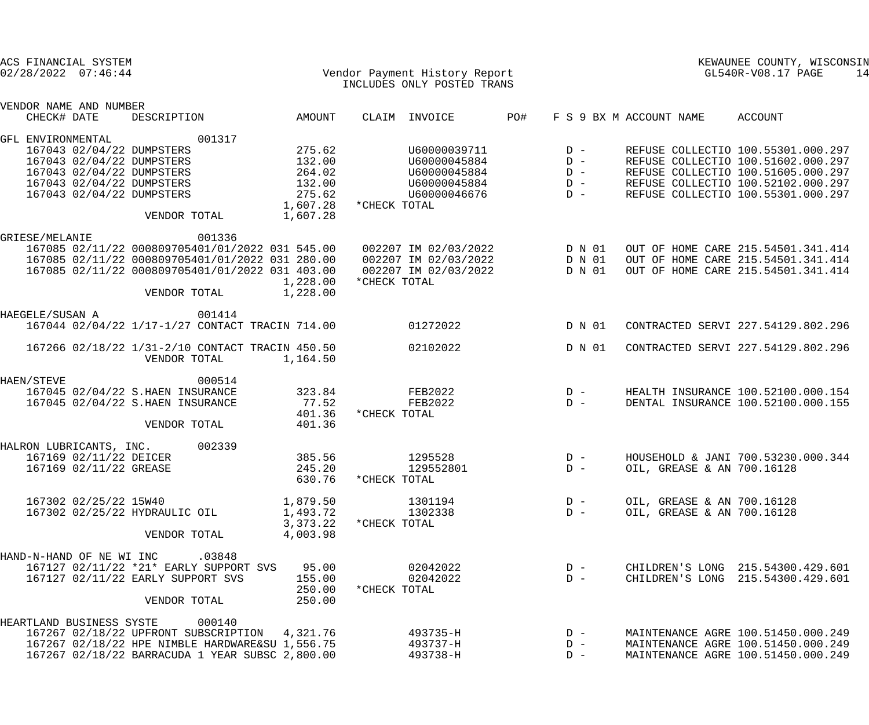|                 | ACS FINANCIAL SYSTEM<br>$02/28/2022$ $07:46:44$                             |                                                                                                                                                                                 |                                                |              | Vendor Payment History Report<br>INCLUDES ONLY POSTED TRANS                  |     |                                           |                                                          | KEWAUNEE COUNTY, WISCONSIN<br>GL540R-V08.17 PAGE                                                                                                                                           | 14 |
|-----------------|-----------------------------------------------------------------------------|---------------------------------------------------------------------------------------------------------------------------------------------------------------------------------|------------------------------------------------|--------------|------------------------------------------------------------------------------|-----|-------------------------------------------|----------------------------------------------------------|--------------------------------------------------------------------------------------------------------------------------------------------------------------------------------------------|----|
| CHECK# DATE     | VENDOR NAME AND NUMBER                                                      | DESCRIPTION                                                                                                                                                                     | AMOUNT                                         |              | CLAIM INVOICE                                                                | PO# |                                           | F S 9 BX M ACCOUNT NAME                                  | ACCOUNT                                                                                                                                                                                    |    |
|                 | GFL ENVIRONMENTAL                                                           | 001317                                                                                                                                                                          |                                                |              |                                                                              |     |                                           |                                                          |                                                                                                                                                                                            |    |
|                 |                                                                             | 167043 02/04/22 DUMPSTERS<br>167043 02/04/22 DUMPSTERS<br>167043 02/04/22 DUMPSTERS<br>167043 02/04/22 DUMPSTERS<br>167043 02/04/22 DUMPSTERS                                   | 275.62<br>132.00<br>264.02<br>132.00<br>275.62 |              | U60000039711<br>U60000045884<br>U60000045884<br>U60000045884<br>U60000046676 |     | $D -$<br>$D -$<br>$D -$<br>$D -$<br>$D -$ |                                                          | REFUSE COLLECTIO 100.55301.000.297<br>REFUSE COLLECTIO 100.51602.000.297<br>REFUSE COLLECTIO 100.51605.000.297<br>REFUSE COLLECTIO 100.52102.000.297<br>REFUSE COLLECTIO 100.55301.000.297 |    |
|                 |                                                                             | VENDOR TOTAL                                                                                                                                                                    | 1,607.28<br>1,607.28                           | *CHECK TOTAL |                                                                              |     |                                           |                                                          |                                                                                                                                                                                            |    |
| GRIESE/MELANIE  |                                                                             | 001336<br>167085 02/11/22 000809705401/01/2022 031 545.00<br>167085 02/11/22 000809705401/01/2022 031 280.00<br>167085 02/11/22 000809705401/01/2022 031 403.00<br>VENDOR TOTAL | 1,228.00<br>1,228.00                           | *CHECK TOTAL | 002207 IM 02/03/2022<br>002207 IM 02/03/2022<br>002207 IM 02/03/2022         |     | D N 01<br>D N 01<br>D N 01                |                                                          | OUT OF HOME CARE 215.54501.341.414<br>OUT OF HOME CARE 215.54501.341.414<br>OUT OF HOME CARE 215.54501.341.414                                                                             |    |
| HAEGELE/SUSAN A |                                                                             | 001414<br>167044 02/04/22 1/17-1/27 CONTACT TRACIN 714.00                                                                                                                       |                                                |              | 01272022                                                                     |     | D N 01                                    |                                                          | CONTRACTED SERVI 227.54129.802.296                                                                                                                                                         |    |
|                 |                                                                             | 167266 02/18/22 1/31-2/10 CONTACT TRACIN 450.50<br>VENDOR TOTAL                                                                                                                 | 1,164.50                                       |              | 02102022                                                                     |     | D N 01                                    |                                                          | CONTRACTED SERVI 227.54129.802.296                                                                                                                                                         |    |
| HAEN/STEVE      |                                                                             | 000514<br>167045 02/04/22 S.HAEN INSURANCE<br>167045 02/04/22 S.HAEN INSURANCE<br>VENDOR TOTAL                                                                                  | 323.84<br>77.52<br>401.36<br>401.36            | *CHECK TOTAL | <b>FEB2022</b><br><b>FEB2022</b>                                             |     | $D -$<br>$D -$                            |                                                          | HEALTH INSURANCE 100.52100.000.154<br>DENTAL INSURANCE 100.52100.000.155                                                                                                                   |    |
|                 | HALRON LUBRICANTS, INC.<br>167169 02/11/22 DEICER<br>167169 02/11/22 GREASE | 002339                                                                                                                                                                          | 385.56<br>245.20<br>630.76                     | *CHECK TOTAL | 1295528<br>129552801                                                         |     | $D -$<br>$D -$                            | OIL, GREASE & AN 700.16128                               | HOUSEHOLD & JANI 700.53230.000.344                                                                                                                                                         |    |
|                 | 167302 02/25/22 15W40                                                       | 167302 02/25/22 HYDRAULIC OIL<br>VENDOR TOTAL                                                                                                                                   | 1,879.50<br>1,493.72<br>3,373.22<br>4,003.98   | *CHECK TOTAL | 1301194<br>1302338                                                           |     | $D -$<br>$D -$                            | OIL, GREASE & AN 700.16128<br>OIL, GREASE & AN 700.16128 |                                                                                                                                                                                            |    |
|                 | HAND-N-HAND OF NE WI INC                                                    | .03848<br>167127 02/11/22 *21* EARLY SUPPORT SVS<br>167127 02/11/22 EARLY SUPPORT SVS<br>VENDOR TOTAL                                                                           | 95.00<br>155.00<br>250.00<br>250.00            | *CHECK TOTAL | 02042022<br>02042022                                                         |     | $D -$<br>$D -$                            |                                                          | CHILDREN'S LONG 215.54300.429.601<br>CHILDREN'S LONG 215.54300.429.601                                                                                                                     |    |
|                 |                                                                             | HEARTLAND BUSINESS SYSTE 000140<br>167267 02/18/22 UPFRONT SUBSCRIPTION<br>167267 02/18/22 HPE NIMBLE HARDWARE&SU 1,556.75<br>167267 02/18/22 BARRACUDA 1 YEAR SUBSC 2,800.00   | 4,321.76                                       |              | 493735-H<br>493737-H<br>493738-H                                             |     | $D -$<br>$D -$<br>$D -$                   |                                                          | MAINTENANCE AGRE 100.51450.000.249<br>MAINTENANCE AGRE 100.51450.000.249<br>MAINTENANCE AGRE 100.51450.000.249                                                                             |    |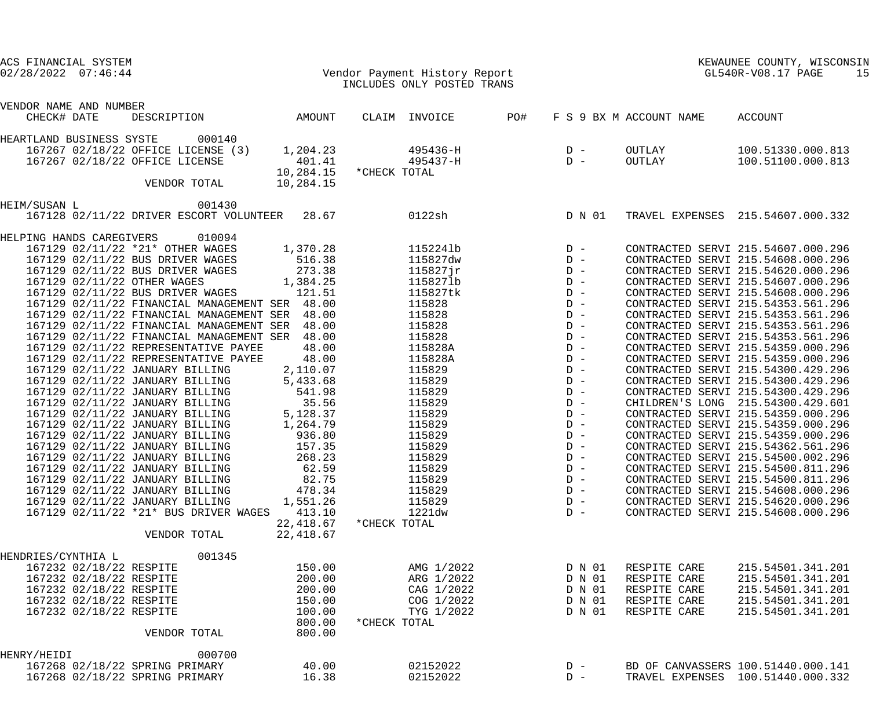|              | ACS FINANCIAL SYSTEM                  |                                                |           |              |                               |     |        |                         | KEWAUNEE COUNTY, WISCONSIN         |    |
|--------------|---------------------------------------|------------------------------------------------|-----------|--------------|-------------------------------|-----|--------|-------------------------|------------------------------------|----|
|              | $02/28/2022$ $07:46:44$               |                                                |           |              | Vendor Payment History Report |     |        |                         | GL540R-V08.17 PAGE                 | 15 |
|              |                                       |                                                |           |              | INCLUDES ONLY POSTED TRANS    |     |        |                         |                                    |    |
|              |                                       |                                                |           |              |                               |     |        |                         |                                    |    |
|              | VENDOR NAME AND NUMBER<br>CHECK# DATE | DESCRIPTION                                    |           |              |                               | PO# |        |                         |                                    |    |
|              |                                       |                                                | AMOUNT    |              | CLAIM INVOICE                 |     |        | F S 9 BX M ACCOUNT NAME | ACCOUNT                            |    |
|              | HEARTLAND BUSINESS SYSTE              | 000140                                         |           |              |                               |     |        |                         |                                    |    |
|              |                                       | 167267 02/18/22 OFFICE LICENSE (3)             | 1,204.23  |              | 495436-H                      |     | $D -$  | OUTLAY                  | 100.51330.000.813                  |    |
|              |                                       | 167267 02/18/22 OFFICE LICENSE                 | 401.41    |              | 495437-H                      |     | $D -$  | OUTLAY                  | 100.51100.000.813                  |    |
|              |                                       |                                                | 10,284.15 | *CHECK TOTAL |                               |     |        |                         |                                    |    |
|              |                                       | VENDOR TOTAL                                   | 10,284.15 |              |                               |     |        |                         |                                    |    |
| HEIM/SUSAN L |                                       | 001430                                         |           |              |                               |     |        |                         |                                    |    |
|              |                                       | 167128 02/11/22 DRIVER ESCORT VOLUNTEER 28.67  |           |              | 0122sh                        |     | D N 01 |                         | TRAVEL EXPENSES 215.54607.000.332  |    |
|              |                                       |                                                |           |              |                               |     |        |                         |                                    |    |
|              | HELPING HANDS CAREGIVERS              | 010094                                         |           |              |                               |     |        |                         |                                    |    |
|              |                                       | 167129 02/11/22 *21* OTHER WAGES               | 1,370.28  |              | 1152241b                      |     | $D -$  |                         | CONTRACTED SERVI 215.54607.000.296 |    |
|              |                                       | 167129 02/11/22 BUS DRIVER WAGES               | 516.38    |              | 115827dw                      |     | $D -$  |                         | CONTRACTED SERVI 215.54608.000.296 |    |
|              |                                       | 167129 02/11/22 BUS DRIVER WAGES               | 273.38    |              | 115827jr                      |     | $D -$  |                         | CONTRACTED SERVI 215.54620.000.296 |    |
|              |                                       | 167129 02/11/22 OTHER WAGES                    | 1,384.25  |              | 1158271b                      |     | $D -$  |                         | CONTRACTED SERVI 215.54607.000.296 |    |
|              |                                       | 167129 02/11/22 BUS DRIVER WAGES               | 121.51    |              | 115827tk                      |     | $D -$  |                         | CONTRACTED SERVI 215.54608.000.296 |    |
|              |                                       | 167129 02/11/22 FINANCIAL MANAGEMENT SER 48.00 |           |              | 115828                        |     | $D -$  |                         | CONTRACTED SERVI 215.54353.561.296 |    |
|              |                                       | 167129 02/11/22 FINANCIAL MANAGEMENT SER 48.00 |           |              | 115828                        |     | $D -$  |                         | CONTRACTED SERVI 215.54353.561.296 |    |
|              |                                       | 167129 02/11/22 FINANCIAL MANAGEMENT SER 48.00 |           |              | 115828                        |     | $D -$  |                         | CONTRACTED SERVI 215.54353.561.296 |    |
|              |                                       | 167129 02/11/22 FINANCIAL MANAGEMENT SER 48.00 |           |              | 115828                        |     | $D -$  |                         | CONTRACTED SERVI 215.54353.561.296 |    |
|              |                                       | 167129 02/11/22 REPRESENTATIVE PAYEE           | 48.00     |              | 115828A                       |     | $D -$  |                         | CONTRACTED SERVI 215.54359.000.296 |    |
|              |                                       | 167129 02/11/22 REPRESENTATIVE PAYEE           | 48.00     |              | 115828A                       |     | $D -$  |                         | CONTRACTED SERVI 215.54359.000.296 |    |
|              |                                       | 167129 02/11/22 JANUARY BILLING                | 2,110.07  |              | 115829                        |     | $D -$  |                         | CONTRACTED SERVI 215.54300.429.296 |    |
|              |                                       | 167129 02/11/22 JANUARY BILLING                | 5,433.68  |              | 115829                        |     | $D -$  |                         | CONTRACTED SERVI 215.54300.429.296 |    |
|              |                                       | 167129 02/11/22 JANUARY BILLING                | 541.98    |              | 115829                        |     | $D -$  |                         | CONTRACTED SERVI 215.54300.429.296 |    |
|              |                                       | 167129 02/11/22 JANUARY BILLING                | 35.56     |              | 115829                        |     | $D -$  |                         | CHILDREN'S LONG 215.54300.429.601  |    |
|              |                                       | 167129 02/11/22 JANUARY BILLING                | 5,128.37  |              | 115829                        |     | $D -$  |                         | CONTRACTED SERVI 215.54359.000.296 |    |
|              |                                       | 167129 02/11/22 JANUARY BILLING                | 1,264.79  |              | 115829                        |     | $D -$  |                         | CONTRACTED SERVI 215.54359.000.296 |    |
|              |                                       |                                                |           |              |                               |     |        |                         |                                    |    |
|              |                                       | 167129 02/11/22 JANUARY BILLING                | 936.80    |              | 115829                        |     | $D -$  |                         | CONTRACTED SERVI 215.54359.000.296 |    |
|              |                                       | 167129 02/11/22 JANUARY BILLING                | 157.35    |              | 115829                        |     | $D -$  |                         | CONTRACTED SERVI 215.54362.561.296 |    |
|              |                                       | 167129 02/11/22 JANUARY BILLING                | 268.23    |              | 115829                        |     | $D -$  |                         | CONTRACTED SERVI 215.54500.002.296 |    |
|              |                                       | 167129 02/11/22 JANUARY BILLING                | 62.59     |              | 115829                        |     | $D -$  |                         | CONTRACTED SERVI 215.54500.811.296 |    |
|              |                                       | 167129 02/11/22 JANUARY BILLING                | 82.75     |              | 115829                        |     | $D -$  |                         | CONTRACTED SERVI 215.54500.811.296 |    |
|              |                                       | 167129 02/11/22 JANUARY BILLING                | 478.34    |              | 115829                        |     | $D -$  |                         | CONTRACTED SERVI 215.54608.000.296 |    |
|              |                                       | 167129 02/11/22 JANUARY BILLING                | 1,551.26  |              | 115829                        |     | $D -$  |                         | CONTRACTED SERVI 215.54620.000.296 |    |
|              |                                       | 167129 02/11/22 *21* BUS DRIVER WAGES          | 413.10    |              | 1221dw                        |     | $D -$  |                         | CONTRACTED SERVI 215.54608.000.296 |    |
|              |                                       |                                                | 22,418.67 | *CHECK TOTAL |                               |     |        |                         |                                    |    |
|              |                                       | VENDOR TOTAL                                   | 22,418.67 |              |                               |     |        |                         |                                    |    |
|              | HENDRIES/CYNTHIA L                    | 001345                                         |           |              |                               |     |        |                         |                                    |    |
|              | 167232 02/18/22 RESPITE               |                                                | 150.00    |              | AMG 1/2022                    |     | D N 01 | RESPITE CARE            | 215.54501.341.201                  |    |
|              | 167232 02/18/22 RESPITE               |                                                | 200.00    |              | ARG 1/2022                    |     | D N 01 | RESPITE CARE            | 215.54501.341.201                  |    |
|              | 167232 02/18/22 RESPITE               |                                                | 200.00    |              | CAG 1/2022                    |     | D N 01 | RESPITE CARE            | 215.54501.341.201                  |    |
|              | 167232 02/18/22 RESPITE               |                                                | 150.00    |              | COG 1/2022                    |     | D N 01 | RESPITE CARE            | 215.54501.341.201                  |    |
|              | 167232 02/18/22 RESPITE               |                                                | 100.00    |              | TYG 1/2022                    |     | D N 01 | RESPITE CARE            | 215.54501.341.201                  |    |
|              |                                       |                                                | 800.00    | *CHECK TOTAL |                               |     |        |                         |                                    |    |
|              |                                       | VENDOR TOTAL                                   | 800.00    |              |                               |     |        |                         |                                    |    |
| HENRY/HEIDI  |                                       | 000700                                         |           |              |                               |     |        |                         |                                    |    |
|              |                                       | 167268 02/18/22 SPRING PRIMARY                 | 40.00     |              | 02152022                      |     | $D -$  |                         | BD OF CANVASSERS 100.51440.000.141 |    |
|              |                                       | 167268 02/18/22 SPRING PRIMARY                 | 16.38     |              | 02152022                      |     | $D -$  |                         | TRAVEL EXPENSES 100.51440.000.332  |    |
|              |                                       |                                                |           |              |                               |     |        |                         |                                    |    |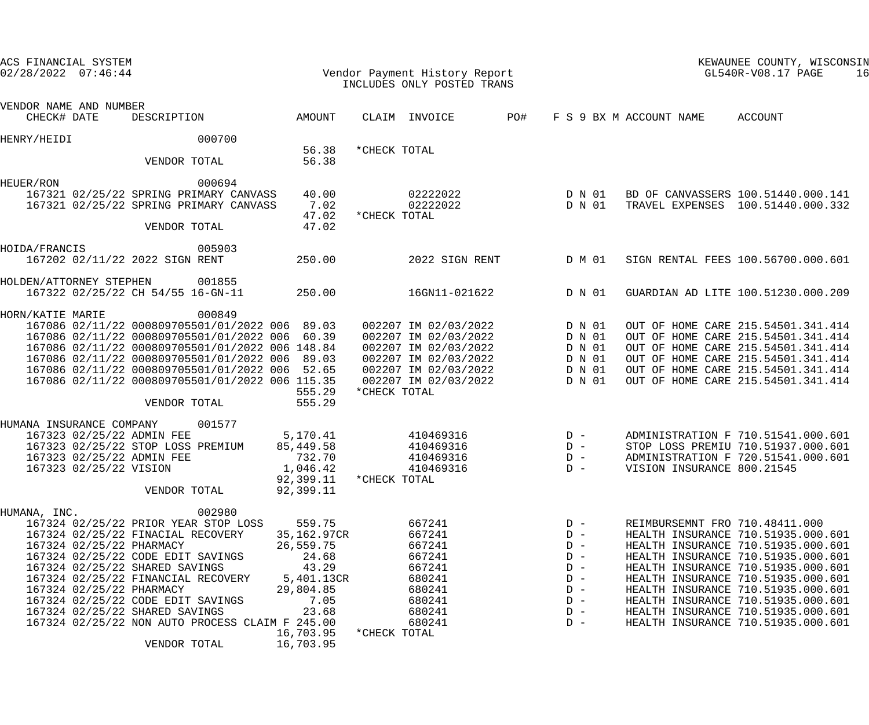| ACS FINANCIAL SYSTEM<br>$02/28/2022$ $07:46:44$                                                                                          |                                                                                                                                                                                                                                                                                                                                      |                                                                                                                            |              | Vendor Payment History Report<br>INCLUDES ONLY POSTED TRANS                                                                                  |     |                                                                                        |                                | KEWAUNEE COUNTY, WISCONSIN<br>GL540R-V08.17 PAGE<br>16                                                                                                                                                                                                                                                                                             |
|------------------------------------------------------------------------------------------------------------------------------------------|--------------------------------------------------------------------------------------------------------------------------------------------------------------------------------------------------------------------------------------------------------------------------------------------------------------------------------------|----------------------------------------------------------------------------------------------------------------------------|--------------|----------------------------------------------------------------------------------------------------------------------------------------------|-----|----------------------------------------------------------------------------------------|--------------------------------|----------------------------------------------------------------------------------------------------------------------------------------------------------------------------------------------------------------------------------------------------------------------------------------------------------------------------------------------------|
| VENDOR NAME AND NUMBER<br>CHECK# DATE                                                                                                    | DESCRIPTION                                                                                                                                                                                                                                                                                                                          | AMOUNT                                                                                                                     |              | CLAIM INVOICE                                                                                                                                | PO# |                                                                                        | F S 9 BX M ACCOUNT NAME        | ACCOUNT                                                                                                                                                                                                                                                                                                                                            |
| HENRY/HEIDI                                                                                                                              | 000700                                                                                                                                                                                                                                                                                                                               |                                                                                                                            |              |                                                                                                                                              |     |                                                                                        |                                |                                                                                                                                                                                                                                                                                                                                                    |
|                                                                                                                                          | VENDOR TOTAL                                                                                                                                                                                                                                                                                                                         | 56.38<br>56.38                                                                                                             | *CHECK TOTAL |                                                                                                                                              |     |                                                                                        |                                |                                                                                                                                                                                                                                                                                                                                                    |
| HEUER/RON                                                                                                                                | 000694<br>167321 02/25/22 SPRING PRIMARY CANVASS<br>167321 02/25/22 SPRING PRIMARY CANVASS<br>VENDOR TOTAL                                                                                                                                                                                                                           | 40.00<br>7.02<br>47.02<br>47.02                                                                                            | *CHECK TOTAL | 02222022<br>02222022                                                                                                                         |     | D N 01<br>D N 01                                                                       |                                | BD OF CANVASSERS 100.51440.000.141<br>TRAVEL EXPENSES 100.51440.000.332                                                                                                                                                                                                                                                                            |
| HOIDA/FRANCIS<br>167202 02/11/22 2022 SIGN RENT                                                                                          | 005903                                                                                                                                                                                                                                                                                                                               | 250.00                                                                                                                     |              | 2022 SIGN RENT                                                                                                                               |     | D M 01                                                                                 |                                | SIGN RENTAL FEES 100.56700.000.601                                                                                                                                                                                                                                                                                                                 |
| HOLDEN/ATTORNEY STEPHEN                                                                                                                  | 001855<br>167322 02/25/22 CH 54/55 16-GN-11                                                                                                                                                                                                                                                                                          | 250.00                                                                                                                     |              | 16GN11-021622                                                                                                                                |     | D N 01                                                                                 |                                | GUARDIAN AD LITE 100.51230.000.209                                                                                                                                                                                                                                                                                                                 |
| HORN/KATIE MARIE                                                                                                                         | 000849<br>167086 02/11/22 000809705501/01/2022 006 89.03<br>167086 02/11/22 000809705501/01/2022 006 60.39<br>167086 02/11/22 000809705501/01/2022 006 148.84<br>167086 02/11/22 000809705501/01/2022 006 89.03<br>167086 02/11/22 000809705501/01/2022 006 52.65<br>167086 02/11/22 000809705501/01/2022 006 115.35<br>VENDOR TOTAL | 555.29<br>555.29                                                                                                           | *CHECK TOTAL | 002207 IM 02/03/2022<br>002207 IM 02/03/2022<br>002207 IM 02/03/2022<br>002207 IM 02/03/2022<br>002207 IM 02/03/2022<br>002207 IM 02/03/2022 |     | D N 01<br>D N 01<br>D N 01<br>D N 01<br>D N 01<br>D N 01                               |                                | OUT OF HOME CARE 215.54501.341.414<br>OUT OF HOME CARE 215.54501.341.414<br>OUT OF HOME CARE 215.54501.341.414<br>OUT OF HOME CARE 215.54501.341.414<br>OUT OF HOME CARE 215.54501.341.414<br>OUT OF HOME CARE 215.54501.341.414                                                                                                                   |
| HUMANA INSURANCE COMPANY<br>167323 02/25/22 ADMIN FEE<br>167323 02/25/22 ADMIN FEE<br>167323 02/25/22 VISION                             | 001577<br>167323 02/25/22 STOP LOSS PREMIUM<br>VENDOR TOTAL                                                                                                                                                                                                                                                                          | 5,170.41<br>85,449.58<br>732.70<br>1,046.42<br>92,399.11<br>92,399.11                                                      | *CHECK TOTAL | 410469316<br>410469316<br>410469316<br>410469316                                                                                             |     | $D -$<br>$D -$<br>$D -$<br>$D -$                                                       | VISION INSURANCE 800.21545     | ADMINISTRATION F 710.51541.000.601<br>STOP LOSS PREMIU 710.51937.000.601<br>ADMINISTRATION F 720.51541.000.601                                                                                                                                                                                                                                     |
| HUMANA, INC.<br>167324 02/25/22 PHARMACY<br>167324 02/25/22 SHARED SAVINGS<br>167324 02/25/22 PHARMACY<br>167324 02/25/22 SHARED SAVINGS | 002980<br>167324 02/25/22 PRIOR YEAR STOP LOSS<br>167324 02/25/22 FINACIAL RECOVERY<br>167324 02/25/22 CODE EDIT SAVINGS<br>167324 02/25/22 FINANCIAL RECOVERY<br>167324 02/25/22 CODE EDIT SAVINGS<br>167324 02/25/22 NON AUTO PROCESS CLAIM F 245.00<br>VENDOR TOTAL                                                               | 559.75<br>35,162.97CR<br>26,559.75<br>24.68<br>43.29<br>5,401.13CR<br>29,804.85<br>7.05<br>23.68<br>16,703.95<br>16,703.95 | *CHECK TOTAL | 667241<br>667241<br>667241<br>667241<br>667241<br>680241<br>680241<br>680241<br>680241<br>680241                                             |     | $D -$<br>$D -$<br>$D -$<br>$D -$<br>$D -$<br>$D -$<br>$D -$<br>$D -$<br>$D -$<br>$D -$ | REIMBURSEMNT FRO 710.48411.000 | HEALTH INSURANCE 710.51935.000.601<br>HEALTH INSURANCE 710.51935.000.601<br>HEALTH INSURANCE 710.51935.000.601<br>HEALTH INSURANCE 710.51935.000.601<br>HEALTH INSURANCE 710.51935.000.601<br>HEALTH INSURANCE 710.51935.000.601<br>HEALTH INSURANCE 710.51935.000.601<br>HEALTH INSURANCE 710.51935.000.601<br>HEALTH INSURANCE 710.51935.000.601 |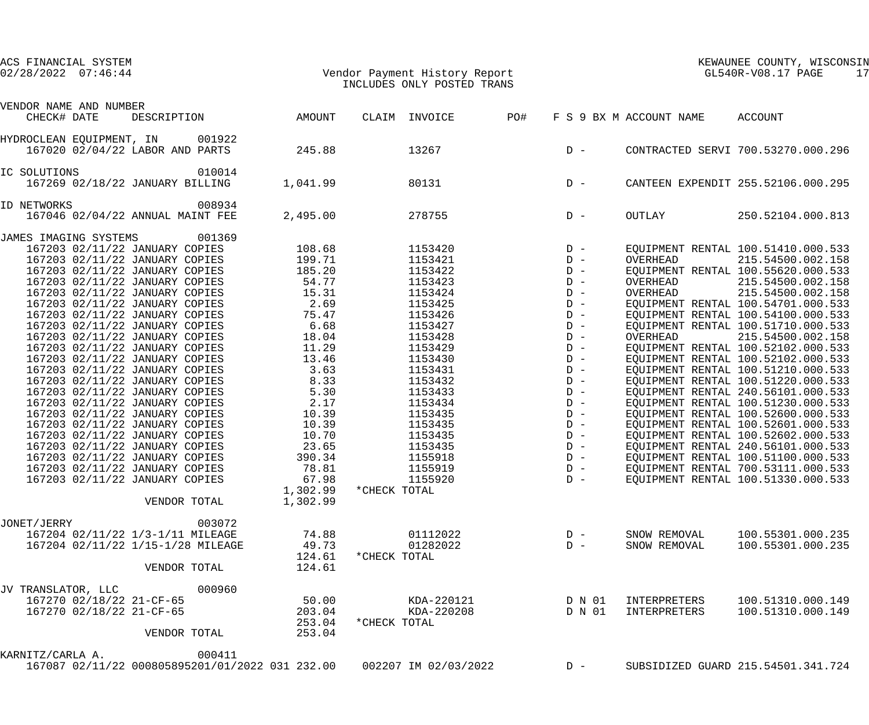| VENDOR NAME AND NUMBER<br>CHECK# DATE                                                                                                                                                                                                                                                                                                                                                                                                                                                                                                                                                                                                                                                                                                                                                             | DESCRIPTION                                                                                     | AMOUNT                                                                                                                                                                                           | CLAIM INVOICE        | PO#                                                                                                                                                                                                                                 |                                                                                                                                                                                                    | F S 9 BX M ACCOUNT NAME                      | ACCOUNT                                                                                                                                                                                                                                                                                                                                                                                                                                                                                                                                                                                                                                                                                                                                                                                      |
|---------------------------------------------------------------------------------------------------------------------------------------------------------------------------------------------------------------------------------------------------------------------------------------------------------------------------------------------------------------------------------------------------------------------------------------------------------------------------------------------------------------------------------------------------------------------------------------------------------------------------------------------------------------------------------------------------------------------------------------------------------------------------------------------------|-------------------------------------------------------------------------------------------------|--------------------------------------------------------------------------------------------------------------------------------------------------------------------------------------------------|----------------------|-------------------------------------------------------------------------------------------------------------------------------------------------------------------------------------------------------------------------------------|----------------------------------------------------------------------------------------------------------------------------------------------------------------------------------------------------|----------------------------------------------|----------------------------------------------------------------------------------------------------------------------------------------------------------------------------------------------------------------------------------------------------------------------------------------------------------------------------------------------------------------------------------------------------------------------------------------------------------------------------------------------------------------------------------------------------------------------------------------------------------------------------------------------------------------------------------------------------------------------------------------------------------------------------------------------|
| HYDROCLEAN EQUIPMENT, IN                                                                                                                                                                                                                                                                                                                                                                                                                                                                                                                                                                                                                                                                                                                                                                          | 001922<br>167020 02/04/22 LABOR AND PARTS                                                       | 245.88                                                                                                                                                                                           | 13267                |                                                                                                                                                                                                                                     | $D -$                                                                                                                                                                                              |                                              | CONTRACTED SERVI 700.53270.000.296                                                                                                                                                                                                                                                                                                                                                                                                                                                                                                                                                                                                                                                                                                                                                           |
| IC SOLUTIONS                                                                                                                                                                                                                                                                                                                                                                                                                                                                                                                                                                                                                                                                                                                                                                                      | 010014<br>167269 02/18/22 JANUARY BILLING                                                       | 1,041.99                                                                                                                                                                                         | 80131                |                                                                                                                                                                                                                                     | $D -$                                                                                                                                                                                              |                                              | CANTEEN EXPENDIT 255.52106.000.295                                                                                                                                                                                                                                                                                                                                                                                                                                                                                                                                                                                                                                                                                                                                                           |
| ID NETWORKS                                                                                                                                                                                                                                                                                                                                                                                                                                                                                                                                                                                                                                                                                                                                                                                       | 008934<br>167046 02/04/22 ANNUAL MAINT FEE                                                      | 2,495.00                                                                                                                                                                                         | 278755               |                                                                                                                                                                                                                                     | $D -$                                                                                                                                                                                              | OUTLAY                                       | 250.52104.000.813                                                                                                                                                                                                                                                                                                                                                                                                                                                                                                                                                                                                                                                                                                                                                                            |
| JAMES IMAGING SYSTEMS<br>167203 02/11/22 JANUARY COPIES<br>167203 02/11/22 JANUARY COPIES<br>167203 02/11/22 JANUARY COPIES<br>167203 02/11/22 JANUARY COPIES<br>167203 02/11/22 JANUARY COPIES<br>167203 02/11/22 JANUARY COPIES<br>167203 02/11/22 JANUARY COPIES<br>167203 02/11/22 JANUARY COPIES<br>167203 02/11/22 JANUARY COPIES<br>167203 02/11/22 JANUARY COPIES<br>167203 02/11/22 JANUARY COPIES<br>167203 02/11/22 JANUARY COPIES<br>167203 02/11/22 JANUARY COPIES<br>167203 02/11/22 JANUARY COPIES<br>167203 02/11/22 JANUARY COPIES<br>167203 02/11/22 JANUARY COPIES<br>167203 02/11/22 JANUARY COPIES<br>167203 02/11/22 JANUARY COPIES<br>167203 02/11/22 JANUARY COPIES<br>167203 02/11/22 JANUARY COPIES<br>167203 02/11/22 JANUARY COPIES<br>167203 02/11/22 JANUARY COPIES | 001369                                                                                          | 108.68<br>199.71<br>185.20<br>54.77<br>15.31<br>2.69<br>75.47<br>6.68<br>18.04<br>11.29<br>13.46<br>3.63<br>8.33<br>5.30<br>2.17<br>10.39<br>10.39<br>10.70<br>23.65<br>390.34<br>78.81<br>67.98 | 1155919              | 1153420<br>1153421<br>1153422<br>1153423<br>1153424<br>1153425<br>1153426<br>1153427<br>1153428<br>1153429<br>1153430<br>1153431<br>1153432<br>1153433<br>1153434<br>1153435<br>1153435<br>1153435<br>1153435<br>1155918<br>1155920 | $D -$<br>$D -$<br>$D -$<br>$D -$<br>$D -$<br>$D -$<br>$D -$<br>$D -$<br>$D -$<br>$D -$<br>$D -$<br>$D -$<br>$D -$<br>$D -$<br>$D -$<br>$D -$<br>$D -$<br>$D -$<br>$D -$<br>$D -$<br>$D -$<br>$D -$ | OVERHEAD<br>OVERHEAD<br>OVERHEAD<br>OVERHEAD | EQUIPMENT RENTAL 100.51410.000.533<br>215.54500.002.158<br>EQUIPMENT RENTAL 100.55620.000.533<br>215.54500.002.158<br>215.54500.002.158<br>EQUIPMENT RENTAL 100.54701.000.533<br>EQUIPMENT RENTAL 100.54100.000.533<br>EQUIPMENT RENTAL 100.51710.000.533<br>215.54500.002.158<br>EQUIPMENT RENTAL 100.52102.000.533<br>EQUIPMENT RENTAL 100.52102.000.533<br>EQUIPMENT RENTAL 100.51210.000.533<br>EQUIPMENT RENTAL 100.51220.000.533<br>EQUIPMENT RENTAL 240.56101.000.533<br>EQUIPMENT RENTAL 100.51230.000.533<br>EQUIPMENT RENTAL 100.52600.000.533<br>EQUIPMENT RENTAL 100.52601.000.533<br>EQUIPMENT RENTAL 100.52602.000.533<br>EQUIPMENT RENTAL 240.56101.000.533<br>EQUIPMENT RENTAL 100.51100.000.533<br>EQUIPMENT RENTAL 700.53111.000.533<br>EQUIPMENT RENTAL 100.51330.000.533 |
|                                                                                                                                                                                                                                                                                                                                                                                                                                                                                                                                                                                                                                                                                                                                                                                                   | VENDOR TOTAL                                                                                    | 1,302.99<br>1,302.99                                                                                                                                                                             | *CHECK TOTAL         |                                                                                                                                                                                                                                     |                                                                                                                                                                                                    |                                              |                                                                                                                                                                                                                                                                                                                                                                                                                                                                                                                                                                                                                                                                                                                                                                                              |
| JONET/JERRY                                                                                                                                                                                                                                                                                                                                                                                                                                                                                                                                                                                                                                                                                                                                                                                       | 003072<br>167204 02/11/22 1/3-1/11 MILEAGE<br>167204 02/11/22 1/15-1/28 MILEAGE<br>VENDOR TOTAL | 74.88<br>49.73<br>124.61<br>124.61                                                                                                                                                               | *CHECK TOTAL         | 01112022<br>01282022                                                                                                                                                                                                                | $D -$<br>$D -$                                                                                                                                                                                     | SNOW REMOVAL<br>SNOW REMOVAL                 | 100.55301.000.235<br>100.55301.000.235                                                                                                                                                                                                                                                                                                                                                                                                                                                                                                                                                                                                                                                                                                                                                       |
| JV TRANSLATOR, LLC<br>167270 02/18/22 21-CF-65<br>167270 02/18/22 21-CF-65                                                                                                                                                                                                                                                                                                                                                                                                                                                                                                                                                                                                                                                                                                                        | 000960<br>VENDOR TOTAL                                                                          | 50.00<br>203.04<br>253.04<br>253.04                                                                                                                                                              | *CHECK TOTAL         | KDA-220121<br>KDA-220208                                                                                                                                                                                                            | D N 01<br>D N 01                                                                                                                                                                                   | INTERPRETERS<br>INTERPRETERS                 | 100.51310.000.149<br>100.51310.000.149                                                                                                                                                                                                                                                                                                                                                                                                                                                                                                                                                                                                                                                                                                                                                       |
| KARNITZ/CARLA A.                                                                                                                                                                                                                                                                                                                                                                                                                                                                                                                                                                                                                                                                                                                                                                                  | 000411<br>167087 02/11/22 000805895201/01/2022 031 232.00                                       |                                                                                                                                                                                                  | 002207 IM 02/03/2022 |                                                                                                                                                                                                                                     | $D -$                                                                                                                                                                                              |                                              | SUBSIDIZED GUARD 215.54501.341.724                                                                                                                                                                                                                                                                                                                                                                                                                                                                                                                                                                                                                                                                                                                                                           |

# 02/28/2022 07:46:44 Vendor Payment History Report GL540R-V08.17 PAGE 17 INCLUDES ONLY POSTED TRANS

ACS FINANCIAL SYSTEM KEWAUNEE COUNTY, WISCONSIN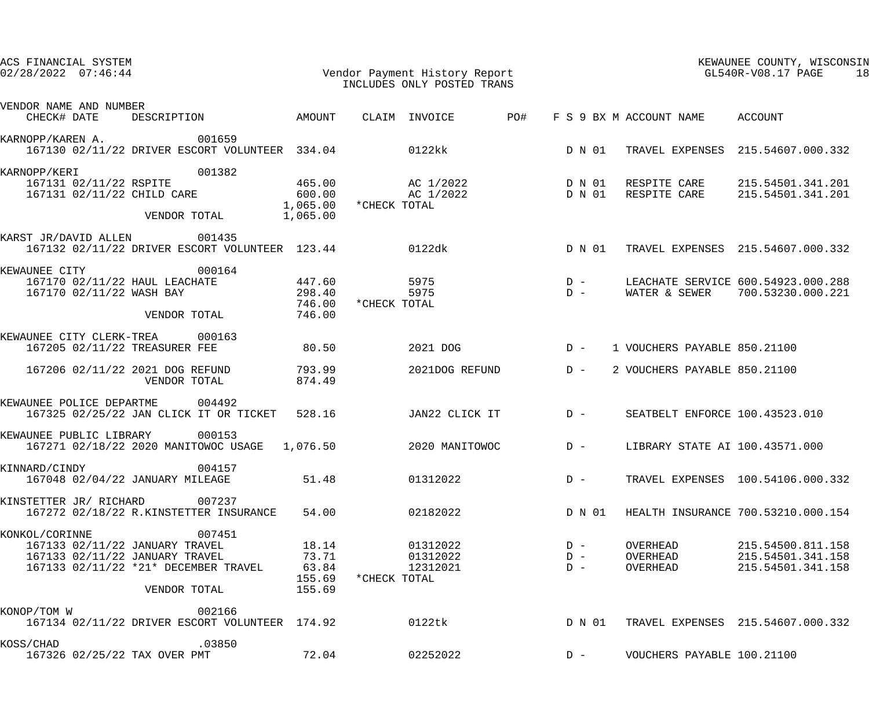| ACS FINANCIAL SYSTEM<br>$02/28/2022$ $07:46:44$                                                                                                      |                                             | Vendor Payment History Report<br>INCLUDES ONLY POSTED TRANS                                                                                                                       |                                                             | KEWAUNEE COUNTY, WISCONSIN<br>GL540R-V08.17 PAGE<br>18      |
|------------------------------------------------------------------------------------------------------------------------------------------------------|---------------------------------------------|-----------------------------------------------------------------------------------------------------------------------------------------------------------------------------------|-------------------------------------------------------------|-------------------------------------------------------------|
| VENDOR NAME AND NUMBER<br>CHECK# DATE                                                                                                                |                                             | DESCRIPTION AMOUNT CLAIM INVOICE PO#                                                                                                                                              | F S 9 BX M ACCOUNT NAME ACCOUNT                             |                                                             |
| 001659<br>KARNOPP/KAREN A.<br>167130 02/11/22 DRIVER ESCORT VOLUNTEER 334.04 0122kk                                                                  |                                             |                                                                                                                                                                                   |                                                             | D N 01 TRAVEL EXPENSES 215.54607.000.332                    |
|                                                                                                                                                      |                                             |                                                                                                                                                                                   |                                                             |                                                             |
| 001382<br>KARNOPP/KERI<br>167131 02/11/22 RSPITE<br>167131 02/11/22 CHILD CARE 600.00<br>VENDOR TOTAL 1,065.00                                       |                                             | 465.00       AC 1/2022          D N 01   RESPITE CARE    215.54501.341.201<br>600.00       AC 1/2022          D N 01   RESPITE CARE    215.54501.341.201<br>1,065.00 *CHECK TOTAL |                                                             |                                                             |
| KARST JR/DAVID ALLEN 001435<br>167132 02/11/22 DRIVER ESCORT VOLUNTEER 123.44 0122dk                                                                 |                                             |                                                                                                                                                                                   | D N 01                                                      | TRAVEL EXPENSES 215.54607.000.332                           |
| 000164<br>KEWAUNEE CITY<br>167170 02/11/22 HAUL LEACHATE 447.60<br>167170 02/11/22 WASH BAY 298.40<br>VENDOR TOTAL 746.00                            | 746.00                                      | *CHECK TOTAL                                                                                                                                                                      |                                                             |                                                             |
| KEWAUNEE CITY CLERK-TREA 000163<br>80.50<br>167205 02/11/22 TREASURER FEE                                                                            |                                             | 2021 DOG                                                                                                                                                                          | D - 1 VOUCHERS PAYABLE 850.21100                            |                                                             |
| 167206 02/11/22 2021 DOG REFUND 793.99<br>VENDOR TOTAL 874.49                                                                                        |                                             | 2021DOG REFUND D-                                                                                                                                                                 |                                                             | 2 VOUCHERS PAYABLE 850.21100                                |
| KEWAUNEE POLICE DEPARTME 004492<br>167325 02/25/22 JAN CLICK IT OR TICKET 528.16 JAN22 CLICK IT D -                                                  |                                             |                                                                                                                                                                                   |                                                             | SEATBELT ENFORCE 100.43523.010                              |
| KEWAUNEE PUBLIC LIBRARY 000153<br>167271 02/18/22 2020 MANITOWOC USAGE  1,076.50  2020 MANITOWOC  D -                                                |                                             |                                                                                                                                                                                   |                                                             | LIBRARY STATE AI 100.43571.000                              |
| KINNARD/CINDY 004157<br>167048 02/04/22 JANUARY MILEAGE                                                                                              | 51.48                                       | 01312022                                                                                                                                                                          | $D -$                                                       | TRAVEL EXPENSES 100.54106.000.332                           |
| KINSTETTER JR/ RICHARD 007237<br>167272 02/18/22 R.KINSTETTER INSURANCE                                                                              | 54.00                                       | 02182022                                                                                                                                                                          | D N 01                                                      | HEALTH INSURANCE 700.53210.000.154                          |
| 007451<br>KONKOL/CORINNE<br>167133 02/11/22 JANUARY TRAVEL<br>167133 02/11/22 JANUARY TRAVEL<br>167133 02/11/22 *21* DECEMBER TRAVEL<br>VENDOR TOTAL | 18.14<br>73.71<br>63.84<br>155.69<br>155.69 | 01312022<br>01312022<br>12312021<br>*CHECK TOTAL                                                                                                                                  | OVERHEAD<br>$D -$<br>$D -$<br>OVERHEAD<br>OVERHEAD<br>$D -$ | 215.54500.811.158<br>215.54501.341.158<br>215.54501.341.158 |
| 002166<br>KONOP/TOM W<br>167134 02/11/22 DRIVER ESCORT VOLUNTEER 174.92                                                                              |                                             | 0122tk                                                                                                                                                                            | D N 01                                                      | TRAVEL EXPENSES 215.54607.000.332                           |
| .03850<br>KOSS/CHAD<br>167326 02/25/22 TAX OVER PMT                                                                                                  | 72.04                                       | 02252022                                                                                                                                                                          | $D -$                                                       | VOUCHERS PAYABLE 100.21100                                  |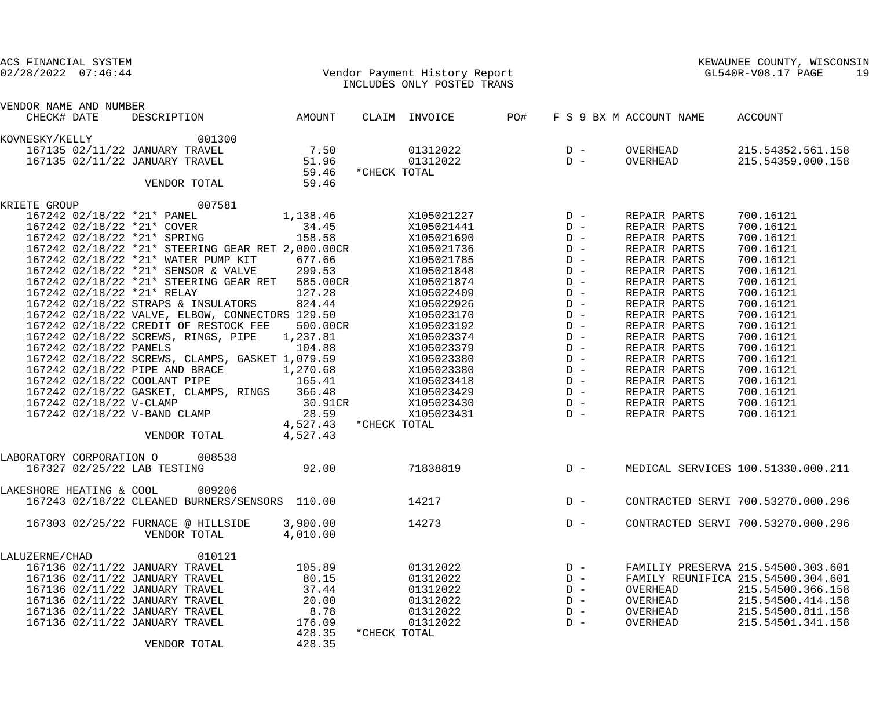| ACS FINANCIAL SYSTEM<br>$02/28/2022$ $07:46:44$                                |                | Vendor Payment History Report |            |                                            |                         | KEWAUNEE COUNTY, WISCONSIN<br>GL540R-V08.17 PAGE<br>19 |
|--------------------------------------------------------------------------------|----------------|-------------------------------|------------|--------------------------------------------|-------------------------|--------------------------------------------------------|
|                                                                                |                | INCLUDES ONLY POSTED TRANS    |            |                                            |                         |                                                        |
| VENDOR NAME AND NUMBER                                                         |                |                               |            |                                            |                         |                                                        |
| CHECK# DATE<br>DESCRIPTION                                                     | AMOUNT         | CLAIM INVOICE                 | <b>PO#</b> |                                            | F S 9 BX M ACCOUNT NAME | ACCOUNT                                                |
| 001300<br>KOVNESKY/KELLY                                                       |                |                               |            |                                            |                         |                                                        |
| 167135 02/11/22 JANUARY TRAVEL                                                 | 7.50           | 01312022                      |            | $D -$                                      | OVERHEAD                | 215.54352.561.158                                      |
| 167135 02/11/22 JANUARY TRAVEL                                                 | 51.96          | 01312022                      |            | $D -$                                      | OVERHEAD                | 215.54359.000.158                                      |
| VENDOR TOTAL                                                                   | 59.46<br>59.46 | *CHECK TOTAL                  |            |                                            |                         |                                                        |
| 007581<br>KRIETE GROUP                                                         |                |                               |            |                                            |                         |                                                        |
| 167242 02/18/22 *21* PANEL                                                     | 1,138.46       | X105021227                    |            | $D -$                                      | REPAIR PARTS            | 700.16121                                              |
| 167242 02/18/22 *21* COVER                                                     | 34.45          | X105021441                    |            | $D -$                                      | REPAIR PARTS            | 700.16121                                              |
| 167242 02/18/22 *21* SPRING                                                    | 158.58         | X105021690                    |            | $D -$                                      | REPAIR PARTS            | 700.16121                                              |
| 167242 02/18/22 *21* STEERING GEAR RET 2,000.00CR                              |                | X105021736                    |            | $\begin{array}{c} D \\ D \\ D \end{array}$ | REPAIR PARTS            | 700.16121                                              |
|                                                                                | 677.66         | X105021785                    |            |                                            | REPAIR PARTS            | 700.16121                                              |
| 167242 02/18/22 *21* WATER PUMP KIT<br>167242 02/18/22 *21* SENSOR & VALVE     | 299.53         | X105021848                    |            | $D -$                                      | REPAIR PARTS            | 700.16121                                              |
| 167242 02/18/22 *21* STEERING GEAR RET                                         | 585.00CR       | X105021874                    |            | $D -$                                      | REPAIR PARTS            | 700.16121                                              |
| 167242 02/18/22 *21* RELAY                                                     | 127.28         | X105022409                    |            | $D -$                                      | REPAIR PARTS            | 700.16121                                              |
| 167242 02/18/22 STRAPS & INSULATORS                                            | 824.44         | X105022926                    |            | $D -$                                      | REPAIR PARTS            | 700.16121                                              |
| 167242 02/18/22 VALVE, ELBOW, CONNECTORS 129.50                                |                | X105023170                    |            | $D -$                                      | REPAIR PARTS            | 700.16121                                              |
| 167242 02/18/22 CREDIT OF RESTOCK FEE                                          | 500.00CR       | X105023192                    |            | $D -$                                      | REPAIR PARTS            | 700.16121                                              |
| 167242 02/18/22 SCREWS, RINGS, PIPE 1,237.81                                   |                | X105023374                    |            | $D -$                                      | REPAIR PARTS            | 700.16121                                              |
| 167242 02/18/22 PANELS                                                         | 104.88         | X105023379                    |            | $D -$                                      | REPAIR PARTS            | 700.16121                                              |
| 167242 02/18/22 SCREWS, CLAMPS, GASKET 1,079.59                                |                | X105023380                    |            | $D -$                                      | REPAIR PARTS            | 700.16121                                              |
| 167242 02/18/22 PIPE AND BRACE 1,270.68<br>167242 02/18/22 COOLANT PIPE 165.41 |                | X105023380                    |            | $D -$                                      | REPAIR PARTS            | 700.16121                                              |
|                                                                                |                | X105023418                    |            | $D -$                                      | REPAIR PARTS            | 700.16121                                              |
| 167242 02/18/22 GASKET, CLAMPS, RINGS 366.48                                   |                | X105023429                    |            | $D -$                                      | REPAIR PARTS            | 700.16121                                              |
| 167242 02/18/22 V-CLAMP                                                        | 30.91CR        | X105023430                    |            | $D -$                                      | REPAIR PARTS            | 700.16121                                              |
| 167242 02/18/22 V-BAND CLAMP                                                   | 28.59          | X105023431                    |            | $D -$                                      | REPAIR PARTS            | 700.16121                                              |
|                                                                                |                | 4,527.43 *CHECK TOTAL         |            |                                            |                         |                                                        |
| VENDOR TOTAL                                                                   | 4,527.43       |                               |            |                                            |                         |                                                        |
| 008538<br>LABORATORY CORPORATION O<br>167327 02/25/22 LAB TESTING              | 92.00          | 71838819                      |            | $D -$                                      |                         | MEDICAL SERVICES 100.51330.000.211                     |
|                                                                                |                |                               |            |                                            |                         |                                                        |
| 009206<br>LAKESHORE HEATING & COOL                                             |                |                               |            |                                            |                         |                                                        |
| 167243 02/18/22 CLEANED BURNERS/SENSORS 110.00                                 |                | 14217                         |            | $D -$                                      |                         | CONTRACTED SERVI 700.53270.000.296                     |
| 167303 02/25/22 FURNACE @ HILLSIDE                                             | 3,900.00       | 14273                         |            | $D -$                                      |                         | CONTRACTED SERVI 700.53270.000.296                     |
| VENDOR TOTAL                                                                   | 4,010.00       |                               |            |                                            |                         |                                                        |
| 010121<br>LALUZERNE/CHAD                                                       |                |                               |            |                                            |                         |                                                        |
| 167136 02/11/22 JANUARY TRAVEL                                                 | 105.89         | 01312022                      |            | $D -$                                      |                         | FAMILIY PRESERVA 215.54500.303.601                     |
| 167136 02/11/22 JANUARY TRAVEL                                                 | 80.15          | 01312022                      |            | $D -$                                      |                         | FAMILY REUNIFICA 215.54500.304.601                     |
| 167136 02/11/22 JANUARY TRAVEL                                                 | 37.44          | 01312022                      |            | $D -$                                      | OVERHEAD                | 215.54500.366.158                                      |
| 167136 02/11/22 JANUARY TRAVEL                                                 | 20.00          | 01312022                      |            | $D -$                                      | OVERHEAD                | 215.54500.414.158                                      |
| 167136 02/11/22 JANUARY TRAVEL                                                 | 8.78           | 01312022                      |            | $D -$                                      | OVERHEAD                | 215.54500.811.158                                      |
| 167136 02/11/22 JANUARY TRAVEL                                                 | 176.09         | 01312022                      |            | $D -$                                      | OVERHEAD                | 215.54501.341.158                                      |
|                                                                                | 428.35         | *CHECK TOTAL                  |            |                                            |                         |                                                        |
| VENDOR TOTAL                                                                   | 428.35         |                               |            |                                            |                         |                                                        |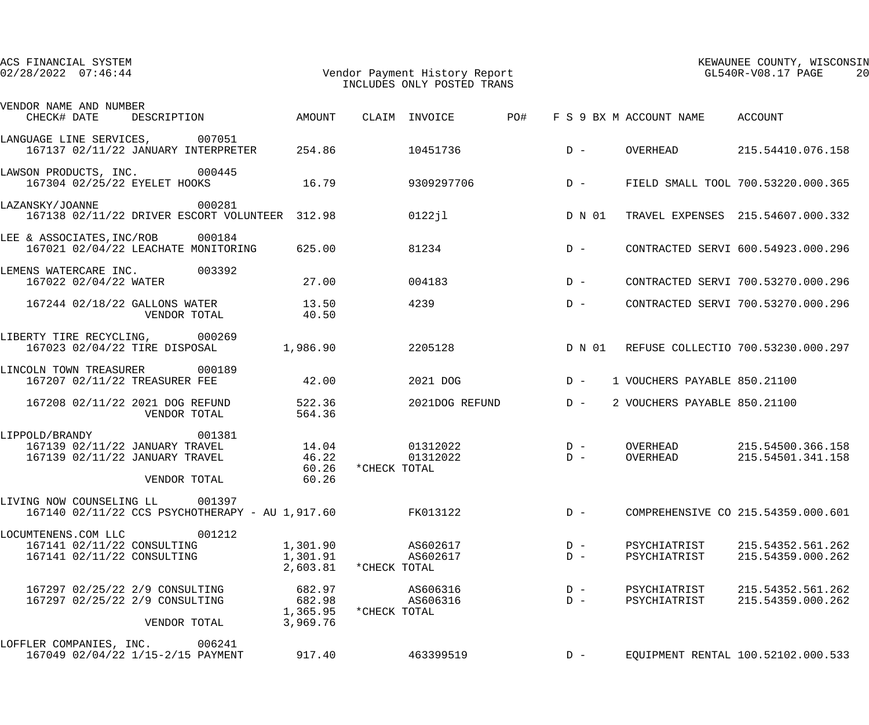| ACS FINANCIAL SYSTEM<br>$02/28/2022$ $07:46:44$                                                           | Vendor Payment History Report<br>INCLUDES ONLY POSTED TRANS |                    |                      |       |                |  |                                 | KEWAUNEE COUNTY, WISCONSIN<br>$GL540R-\mathrm{V08.17\;\;PAGE}$<br>20 |
|-----------------------------------------------------------------------------------------------------------|-------------------------------------------------------------|--------------------|----------------------|-------|----------------|--|---------------------------------|----------------------------------------------------------------------|
| VENDOR NAME AND NUMBER<br>CHECK# DATE DESCRIPTION AMOUNT                                                  |                                                             |                    | CLAIM INVOICE PO#    |       |                |  | F S 9 BX M ACCOUNT NAME ACCOUNT |                                                                      |
| LANGUAGE LINE SERVICES, 007051<br>167137 02/11/22 JANUARY INTERPRETER 254.86 10451736                     |                                                             |                    |                      | $D -$ |                |  |                                 | OVERHEAD 215.54410.076.158                                           |
| LAWSON PRODUCTS, INC. 000445<br>167304 02/25/22 EYELET HOOKS 16.79                                        |                                                             |                    | 9309297706           |       |                |  |                                 | D - FIELD SMALL TOOL 700.53220.000.365                               |
| LAZANSKY/JOANNE 000281<br>167138 02/11/22 DRIVER ESCORT VOLUNTEER 312.98                                  |                                                             |                    | 0122jl               |       |                |  |                                 | D N 01 TRAVEL EXPENSES 215.54607.000.332                             |
| LEE & ASSOCIATES, INC/ROB 000184<br>167021 02/04/22 LEACHATE MONITORING 625.00                            |                                                             |                    | 81234                |       | $D -$          |  |                                 | CONTRACTED SERVI 600.54923.000.296                                   |
| LEMENS WATERCARE INC. 003392<br>167022 02/04/22 WATER                                                     | 27.00                                                       |                    | 004183               | $D -$ |                |  |                                 | CONTRACTED SERVI 700.53270.000.296                                   |
| 167244 02/18/22 GALLONS WATER<br>VENDOR TOTAL                                                             | 13.50<br>40.50                                              |                    | 4239                 | $D -$ |                |  |                                 | CONTRACTED SERVI 700.53270.000.296                                   |
| LIBERTY TIRE RECYCLING, 000269<br>167023 02/04/22 TIRE DISPOSAL                                           | 1,986.90                                                    |                    | 2205128              |       |                |  |                                 | D N 01 REFUSE COLLECTIO 700.53230.000.297                            |
| LINCOLN TOWN TREASURER 000189<br>167207 02/11/22 TREASURER FEE                                            | 42.00                                                       |                    | 2021 DOG             |       | $D -$          |  | 1 VOUCHERS PAYABLE 850.21100    |                                                                      |
| 167208 02/11/22 2021 DOG REFUND<br>VENDOR TOTAL                                                           | 522.36<br>564.36                                            |                    | 2021DOG REFUND D-    |       |                |  | 2 VOUCHERS PAYABLE 850.21100    |                                                                      |
| LIPPOLD/BRANDY 001381<br>167139 02/11/22 JANUARY TRAVEL<br>167139 02/11/22 JANUARY TRAVEL<br>VENDOR TOTAL | 14.04<br>46.22<br>60.26                                     | 60.26 *CHECK TOTAL | 01312022<br>01312022 |       | $D -$<br>$D -$ |  | OVERHEAD<br>OVERHEAD            | 215.54500.366.158<br>215.54501.341.158                               |
| LIVING NOW COUNSELING LL 001397<br>167140 02/11/22 CCS PSYCHOTHERAPY - AU 1,917.60                        |                                                             |                    | FK013122             |       | $D -$          |  |                                 | COMPREHENSIVE CO 215.54359.000.601                                   |
| 001212<br>LOCUMTENENS.COM LLC<br>167141 02/11/22 CONSULTING<br>167141 02/11/22 CONSULTING                 | 1,301.90<br>1,301.91<br>2,603.81 * CHECK TOTAL              |                    | AS602617<br>AS602617 |       | $D -$<br>$D -$ |  | PSYCHIATRIST<br>PSYCHIATRIST    | 215.54352.561.262<br>215.54359.000.262                               |
| 167297 02/25/22 2/9 CONSULTING<br>167297 02/25/22 2/9 CONSULTING<br>VENDOR TOTAL                          | 682.97<br>682.98<br>1,365.95 *CHECK TOTAL<br>3,969.76       |                    | AS606316<br>AS606316 |       | $D -$<br>$D -$ |  | PSYCHIATRIST<br>PSYCHIATRIST    | 215.54352.561.262<br>215.54359.000.262                               |
| LOFFLER COMPANIES, INC. 006241<br>167049 02/04/22 1/15-2/15 PAYMENT                                       | 917.40                                                      |                    | 463399519            |       | $D -$          |  |                                 | EQUIPMENT RENTAL 100.52102.000.533                                   |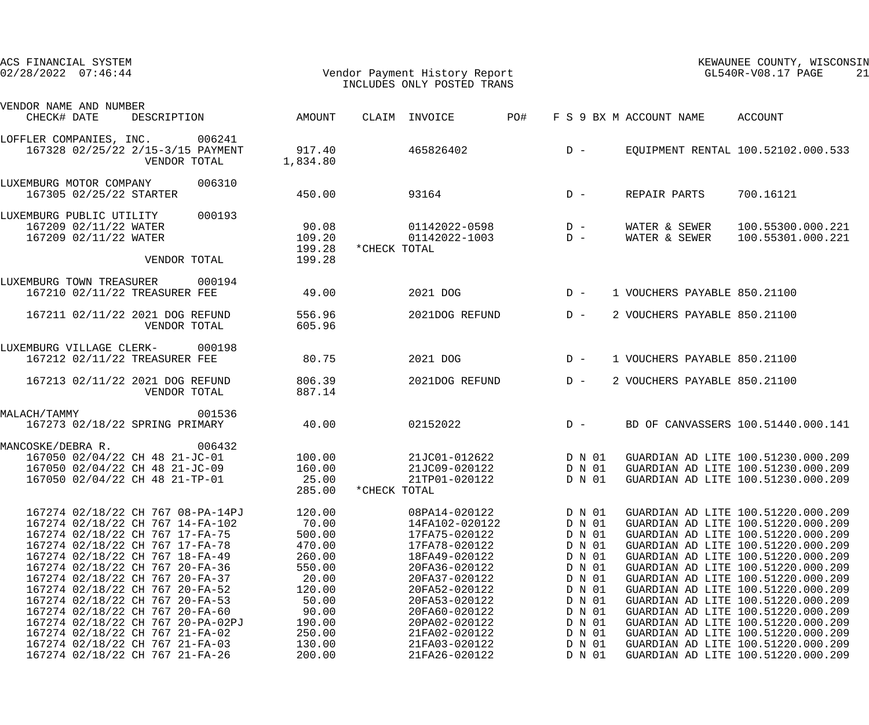| ACS FINANCIAL SYSTEM<br>$02/28/2022$ $07:46:44$                                                                                                                                                                                                                                                                                                               |                                                                                              | Vendor Payment History Report<br>INCLUDES ONLY POSTED TRANS                                                                                                             |                                                                                                  | KEWAUNEE COUNTY, WISCONSIN<br>GL540R-V08.17 PAGE<br>21                                                                                                                                                                                                                                                                                                                                   |
|---------------------------------------------------------------------------------------------------------------------------------------------------------------------------------------------------------------------------------------------------------------------------------------------------------------------------------------------------------------|----------------------------------------------------------------------------------------------|-------------------------------------------------------------------------------------------------------------------------------------------------------------------------|--------------------------------------------------------------------------------------------------|------------------------------------------------------------------------------------------------------------------------------------------------------------------------------------------------------------------------------------------------------------------------------------------------------------------------------------------------------------------------------------------|
| VENDOR NAME AND NUMBER<br>CHECK# DATE<br>DESCRIPTION                                                                                                                                                                                                                                                                                                          | AMOUNT                                                                                       | PO#<br>CLAIM INVOICE                                                                                                                                                    | F S 9 BX M ACCOUNT NAME                                                                          | ACCOUNT                                                                                                                                                                                                                                                                                                                                                                                  |
| LOFFLER COMPANIES, INC. 006241<br>167328 02/25/22 2/15-3/15 PAYMENT<br>VENDOR TOTAL                                                                                                                                                                                                                                                                           | 917.40<br>1,834.80                                                                           | 465826402                                                                                                                                                               | $D -$                                                                                            | EQUIPMENT RENTAL 100.52102.000.533                                                                                                                                                                                                                                                                                                                                                       |
| 006310<br>LUXEMBURG MOTOR COMPANY<br>167305 02/25/22 STARTER                                                                                                                                                                                                                                                                                                  | 450.00                                                                                       | 93164                                                                                                                                                                   | $D -$<br>REPAIR PARTS                                                                            | 700.16121                                                                                                                                                                                                                                                                                                                                                                                |
| 000193<br>LUXEMBURG PUBLIC UTILITY<br>167209 02/11/22 WATER<br>167209 02/11/22 WATER<br>VENDOR TOTAL                                                                                                                                                                                                                                                          | 90.08<br>109.20<br>199.28<br>199.28                                                          | 01142022-0598<br>01142022-1003<br>*CHECK TOTAL                                                                                                                          | $D -$<br>WATER & SEWER<br>$D -$<br>WATER & SEWER                                                 | 100.55300.000.221<br>100.55301.000.221                                                                                                                                                                                                                                                                                                                                                   |
| 000194<br>LUXEMBURG TOWN TREASURER<br>167210 02/11/22 TREASURER FEE                                                                                                                                                                                                                                                                                           | 49.00                                                                                        | 2021 DOG                                                                                                                                                                | $D -$                                                                                            | 1 VOUCHERS PAYABLE 850.21100                                                                                                                                                                                                                                                                                                                                                             |
| 167211 02/11/22 2021 DOG REFUND<br>VENDOR TOTAL                                                                                                                                                                                                                                                                                                               | 556.96<br>605.96                                                                             | 2021DOG REFUND                                                                                                                                                          | $D -$                                                                                            | 2 VOUCHERS PAYABLE 850.21100                                                                                                                                                                                                                                                                                                                                                             |
| LUXEMBURG VILLAGE CLERK-<br>000198<br>167212 02/11/22 TREASURER FEE                                                                                                                                                                                                                                                                                           | 80.75                                                                                        | 2021 DOG                                                                                                                                                                | $D -$                                                                                            | 1 VOUCHERS PAYABLE 850.21100                                                                                                                                                                                                                                                                                                                                                             |
| 167213 02/11/22 2021 DOG REFUND<br>VENDOR TOTAL                                                                                                                                                                                                                                                                                                               | 806.39<br>887.14                                                                             | 2021DOG REFUND                                                                                                                                                          | $D -$                                                                                            | 2 VOUCHERS PAYABLE 850.21100                                                                                                                                                                                                                                                                                                                                                             |
| 001536<br>MALACH/TAMMY<br>167273 02/18/22 SPRING PRIMARY                                                                                                                                                                                                                                                                                                      | 40.00                                                                                        | 02152022                                                                                                                                                                | $D -$                                                                                            | BD OF CANVASSERS 100.51440.000.141                                                                                                                                                                                                                                                                                                                                                       |
| 006432<br>MANCOSKE/DEBRA R.<br>167050 02/04/22 CH 48 21-JC-01<br>167050 02/04/22 CH 48 21-JC-09<br>167050 02/04/22 CH 48 21-TP-01                                                                                                                                                                                                                             | 100.00<br>160.00<br>25.00<br>285.00                                                          | 21JC01-012622<br>21JC09-020122<br>21TP01-020122<br>*CHECK TOTAL                                                                                                         | D N 01<br>D N 01                                                                                 | GUARDIAN AD LITE 100.51230.000.209<br>D N 01 GUARDIAN AD LITE 100.51230.000.209<br>GUARDIAN AD LITE 100.51230.000.209                                                                                                                                                                                                                                                                    |
| 167274 02/18/22 CH 767 08-PA-14PJ<br>167274 02/18/22 CH 767 14-FA-102<br>167274 02/18/22 CH 767 17-FA-75<br>167274 02/18/22 CH 767 17-FA-78<br>167274 02/18/22 CH 767 18-FA-49<br>167274 02/18/22 CH 767 20-FA-36<br>167274 02/18/22 CH 767 20-FA-37<br>167274 02/18/22 CH 767 20-FA-52<br>167274 02/18/22 CH 767 20-FA-53<br>167274 02/18/22 CH 767 20-FA-60 | 120.00<br>70.00<br>500.00<br>470.00<br>260.00<br>550.00<br>20.00<br>120.00<br>50.00<br>90.00 | 08PA14-020122<br>14FA102-020122<br>17FA75-020122<br>17FA78-020122<br>18FA49-020122<br>20FA36-020122<br>20FA37-020122<br>20FA52-020122<br>20FA53-020122<br>20FA60-020122 | D N 01<br>D N 01<br>D N 01<br>D N 01<br>D N 01<br>D N 01<br>D N 01<br>D N 01<br>D N 01<br>D N 01 | GUARDIAN AD LITE 100.51220.000.209<br>GUARDIAN AD LITE 100.51220.000.209<br>GUARDIAN AD LITE 100.51220.000.209<br>GUARDIAN AD LITE 100.51220.000.209<br>GUARDIAN AD LITE 100.51220.000.209<br>GUARDIAN AD LITE 100.51220.000.209<br>GUARDIAN AD LITE 100.51220.000.209<br>GUARDIAN AD LITE 100.51220.000.209<br>GUARDIAN AD LITE 100.51220.000.209<br>GUARDIAN AD LITE 100.51220.000.209 |
| 167274 02/18/22 CH 767 20-PA-02PJ<br>167274 02/18/22 CH 767 21-FA-02<br>167274 02/18/22 CH 767 21-FA-03<br>167274 02/18/22 CH 767 21-FA-26                                                                                                                                                                                                                    | 190.00<br>250.00<br>130.00<br>200.00                                                         | 20PA02-020122<br>21FA02-020122<br>21FA03-020122<br>21FA26-020122                                                                                                        | D N 01<br>D N 01<br>D N 01<br>D N 01                                                             | GUARDIAN AD LITE 100.51220.000.209<br>GUARDIAN AD LITE 100.51220.000.209<br>GUARDIAN AD LITE 100.51220.000.209<br>GUARDIAN AD LITE 100.51220.000.209                                                                                                                                                                                                                                     |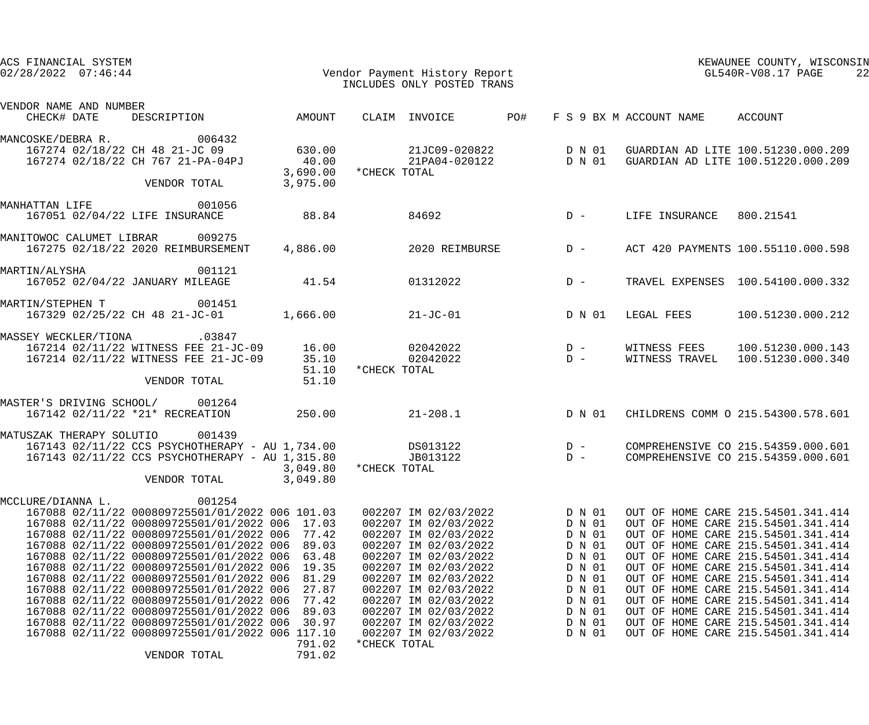| ACS FINANCIAL SYSTEM<br>$02/28/2022$ $07:46:44$            |                                                                                                                                                                                                                                                                                                                                                                                                                                                                                                                                                                                      |                                                                                                            | Vendor Payment History Report<br>INCLUDES ONLY POSTED TRANS                                                                                                                                                                                                                                                  |                | KEWAUNEE COUNTY, WISCONSIN<br>GL540R-V08.17 PAGE<br>22                                                               |                          |                                                                                                                                                                                                                                                                                                                                                                                                                                                                      |
|------------------------------------------------------------|--------------------------------------------------------------------------------------------------------------------------------------------------------------------------------------------------------------------------------------------------------------------------------------------------------------------------------------------------------------------------------------------------------------------------------------------------------------------------------------------------------------------------------------------------------------------------------------|------------------------------------------------------------------------------------------------------------|--------------------------------------------------------------------------------------------------------------------------------------------------------------------------------------------------------------------------------------------------------------------------------------------------------------|----------------|----------------------------------------------------------------------------------------------------------------------|--------------------------|----------------------------------------------------------------------------------------------------------------------------------------------------------------------------------------------------------------------------------------------------------------------------------------------------------------------------------------------------------------------------------------------------------------------------------------------------------------------|
| VENDOR NAME AND NUMBER<br>CHECK# DATE                      | DESCRIPTION                                                                                                                                                                                                                                                                                                                                                                                                                                                                                                                                                                          | AMOUNT                                                                                                     | CLAIM INVOICE                                                                                                                                                                                                                                                                                                | PO#            |                                                                                                                      | F S 9 BX M ACCOUNT NAME  | ACCOUNT                                                                                                                                                                                                                                                                                                                                                                                                                                                              |
| MANCOSKE/DEBRA R. 006432<br>167274 02/18/22 CH 48 21-JC 09 | 167274 02/18/22 CH 767 21-PA-04PJ<br>VENDOR TOTAL                                                                                                                                                                                                                                                                                                                                                                                                                                                                                                                                    | 630.00<br>40.00<br>3,690.00<br>3,975.00                                                                    | *CHECK TOTAL                                                                                                                                                                                                                                                                                                 |                |                                                                                                                      |                          | 21JC09-020822 D N 01 GUARDIAN AD LITE 100.51230.000.209<br>21PA04-020122 D N 01 GUARDIAN AD LITE 100.51220.000.209                                                                                                                                                                                                                                                                                                                                                   |
| MANHATTAN LIFE<br>167051 02/04/22 LIFE INSURANCE           | 001056                                                                                                                                                                                                                                                                                                                                                                                                                                                                                                                                                                               | 88.84                                                                                                      | 84692                                                                                                                                                                                                                                                                                                        |                | $D -$                                                                                                                | LIFE INSURANCE 800.21541 |                                                                                                                                                                                                                                                                                                                                                                                                                                                                      |
| MANITOWOC CALUMET LIBRAR 009275                            | 167275 02/18/22 2020 REIMBURSEMENT                                                                                                                                                                                                                                                                                                                                                                                                                                                                                                                                                   | 4,886.00                                                                                                   |                                                                                                                                                                                                                                                                                                              | 2020 REIMBURSE | $D -$                                                                                                                |                          | ACT 420 PAYMENTS 100.55110.000.598                                                                                                                                                                                                                                                                                                                                                                                                                                   |
| MARTIN/ALYSHA<br>167052 02/04/22 JANUARY MILEAGE           | 001121                                                                                                                                                                                                                                                                                                                                                                                                                                                                                                                                                                               | 41.54                                                                                                      | 01312022                                                                                                                                                                                                                                                                                                     |                | $D -$                                                                                                                |                          | TRAVEL EXPENSES 100.54100.000.332                                                                                                                                                                                                                                                                                                                                                                                                                                    |
| MARTIN/STEPHEN T 001451                                    | 167329 02/25/22 CH 48 21-JC-01                                                                                                                                                                                                                                                                                                                                                                                                                                                                                                                                                       | 1,666.00                                                                                                   | $21 - JC - 01$                                                                                                                                                                                                                                                                                               |                | D N 01                                                                                                               | LEGAL FEES               | 100.51230.000.212                                                                                                                                                                                                                                                                                                                                                                                                                                                    |
| MASSEY WECKLER/TIONA .03847                                | 167214 02/11/22 WITNESS FEE 21-JC-09 16.00<br>167214 02/11/22 WITNESS FEE 21-JC-09<br>VENDOR TOTAL                                                                                                                                                                                                                                                                                                                                                                                                                                                                                   | 35.10<br>51.10<br>51.10                                                                                    | 02042022<br>02042022<br>*CHECK TOTAL                                                                                                                                                                                                                                                                         |                | $D -$<br>$D -$                                                                                                       | WITNESS FEES             | 100.51230.000.143<br>WITNESS TRAVEL 100.51230.000.340                                                                                                                                                                                                                                                                                                                                                                                                                |
| MASTER'S DRIVING SCHOOL/ 001264                            | 167142 02/11/22 *21* RECREATION                                                                                                                                                                                                                                                                                                                                                                                                                                                                                                                                                      | 250.00                                                                                                     | $21 - 208.1$                                                                                                                                                                                                                                                                                                 |                | D N 01                                                                                                               |                          | CHILDRENS COMM O 215.54300.578.601                                                                                                                                                                                                                                                                                                                                                                                                                                   |
| MATUSZAK THERAPY SOLUTIO                                   | 001439<br>167143 02/11/22 CCS PSYCHOTHERAPY - AU 1,734.00 DS013122<br>167143 02/11/22 CCS PSYCHOTHERAPY - AU 1,315.80<br>VENDOR TOTAL                                                                                                                                                                                                                                                                                                                                                                                                                                                | 3,049.80<br>3,049.80                                                                                       | JB013122<br>*CHECK TOTAL                                                                                                                                                                                                                                                                                     |                | $D -$<br>$D -$                                                                                                       |                          | COMPREHENSIVE CO 215.54359.000.601<br>COMPREHENSIVE CO 215.54359.000.601                                                                                                                                                                                                                                                                                                                                                                                             |
| MCCLURE/DIANNA L.                                          | 001254<br>167088 02/11/22 000809725501/01/2022 006 101.03<br>167088 02/11/22 000809725501/01/2022 006<br>167088 02/11/22 000809725501/01/2022 006<br>167088 02/11/22 000809725501/01/2022 006<br>167088 02/11/22 000809725501/01/2022 006<br>167088 02/11/22 000809725501/01/2022 006<br>167088 02/11/22 000809725501/01/2022 006<br>167088 02/11/22 000809725501/01/2022 006<br>167088 02/11/22 000809725501/01/2022 006<br>167088 02/11/22 000809725501/01/2022 006<br>167088 02/11/22 000809725501/01/2022 006<br>167088 02/11/22 000809725501/01/2022 006 117.10<br>VENDOR TOTAL | 17.03<br>77.42<br>89.03<br>63.48<br>19.35<br>81.29<br>27.87<br>77.42<br>89.03<br>30.97<br>791.02<br>791.02 | 002207 IM 02/03/2022<br>002207 IM 02/03/2022<br>002207 IM 02/03/2022<br>002207 IM 02/03/2022<br>002207 IM 02/03/2022<br>002207 IM 02/03/2022<br>002207 IM 02/03/2022<br>002207 IM 02/03/2022<br>002207 IM 02/03/2022<br>002207 IM 02/03/2022<br>002207 IM 02/03/2022<br>002207 IM 02/03/2022<br>*CHECK TOTAL |                | D N 01<br>D N 01<br>D N 01<br>D N 01<br>D N 01<br>D N 01<br>D N 01<br>D N 01<br>D N 01<br>D N 01<br>D N 01<br>D N 01 |                          | OUT OF HOME CARE 215.54501.341.414<br>OUT OF HOME CARE 215.54501.341.414<br>OUT OF HOME CARE 215.54501.341.414<br>OUT OF HOME CARE 215.54501.341.414<br>OUT OF HOME CARE 215.54501.341.414<br>OUT OF HOME CARE 215.54501.341.414<br>OUT OF HOME CARE 215.54501.341.414<br>OUT OF HOME CARE 215.54501.341.414<br>OUT OF HOME CARE 215.54501.341.414<br>OUT OF HOME CARE 215.54501.341.414<br>OUT OF HOME CARE 215.54501.341.414<br>OUT OF HOME CARE 215.54501.341.414 |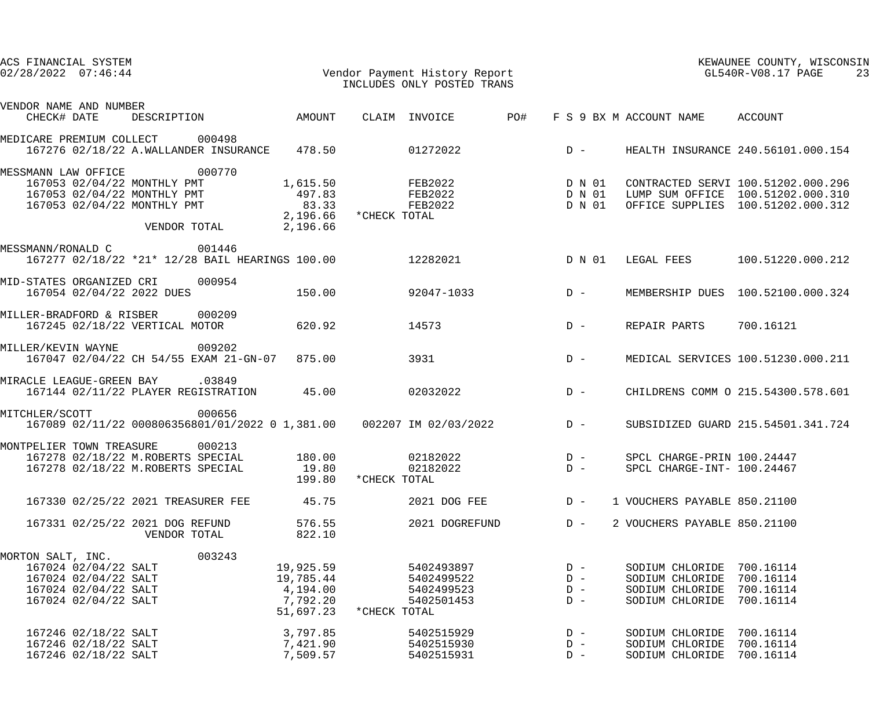| ACS FINANCIAL SYSTEM<br>Vendor Payment History Report<br>$02/28/2022$ $07:46:44$                                                           |                                                             |               | INCLUDES ONLY POSTED TRANS                           | KEWAUNEE COUNTY, WISCONSIN<br>$GL540R-\mathrm{V08.17}$ PAGE<br>23 |                                  |                                                                                    |                                                                                                              |
|--------------------------------------------------------------------------------------------------------------------------------------------|-------------------------------------------------------------|---------------|------------------------------------------------------|-------------------------------------------------------------------|----------------------------------|------------------------------------------------------------------------------------|--------------------------------------------------------------------------------------------------------------|
| VENDOR NAME AND NUMBER                                                                                                                     |                                                             |               |                                                      |                                                                   |                                  |                                                                                    |                                                                                                              |
| DESCRIPTION<br>CHECK# DATE                                                                                                                 | AMOUNT                                                      | CLAIM INVOICE |                                                      | PO#                                                               |                                  | F S 9 BX M ACCOUNT NAME                                                            | ACCOUNT                                                                                                      |
| MEDICARE PREMIUM COLLECT<br>000498<br>167276 02/18/22 A.WALLANDER INSURANCE 478.50                                                         |                                                             |               | 01272022                                             | $D -$                                                             |                                  |                                                                                    | HEALTH INSURANCE 240.56101.000.154                                                                           |
| 000770<br>MESSMANN LAW OFFICE<br>167053 02/04/22 MONTHLY PMT<br>167053 02/04/22 MONTHLY PMT<br>167053 02/04/22 MONTHLY PMT<br>VENDOR TOTAL | 1,615.50<br>497.83<br>83.33<br>2,196.66                     |               | FEB2022 D N 01<br>FEB2022<br>FEB2022                 | D N 01<br>D N 01                                                  |                                  |                                                                                    | CONTRACTED SERVI 100.51202.000.296<br>LUMP SUM OFFICE 100.51202.000.310<br>OFFICE SUPPLIES 100.51202.000.312 |
| MESSMANN/RONALD C 001446<br>167277 02/18/22 *21* 12/28 BAIL HEARINGS 100.00                                                                |                                                             |               | 12282021                                             | D N 01                                                            |                                  |                                                                                    | LEGAL FEES 100.51220.000.212                                                                                 |
| MID-STATES ORGANIZED CRI<br>000954<br>167054 02/04/22 2022 DUES                                                                            | 150.00                                                      |               | 92047-1033                                           | $D -$                                                             |                                  |                                                                                    | MEMBERSHIP DUES 100.52100.000.324                                                                            |
| 000209<br>MILLER-BRADFORD & RISBER<br>167245 02/18/22 VERTICAL MOTOR                                                                       | 620.92                                                      | 14573         |                                                      | $D -$                                                             |                                  | REPAIR PARTS                                                                       | 700.16121                                                                                                    |
| 009202<br>MILLER/KEVIN WAYNE<br>167047 02/04/22 CH 54/55 EXAM 21-GN-07 875.00                                                              |                                                             | 3931          |                                                      | $D -$                                                             |                                  |                                                                                    | MEDICAL SERVICES 100.51230.000.211                                                                           |
| MIRACLE LEAGUE-GREEN BAY .03849<br>167144 02/11/22 PLAYER REGISTRATION 45.00                                                               |                                                             |               | 02032022                                             | $D -$                                                             |                                  |                                                                                    | CHILDRENS COMM O 215.54300.578.601                                                                           |
| 000656<br>MITCHLER/SCOTT<br>167089 02/11/22 000806356801/01/2022 0 1,381.00  002207 IM 02/03/2022                                          |                                                             |               |                                                      |                                                                   | $D -$                            |                                                                                    | SUBSIDIZED GUARD 215.54501.341.724                                                                           |
| 000213<br>MONTPELIER TOWN TREASURE<br>167278 02/18/22 M.ROBERTS SPECIAL<br>167278 02/18/22 M.ROBERTS SPECIAL                               | 180.00<br>19.80<br>199.80                                   | *CHECK TOTAL  | 02182022<br>02182022                                 |                                                                   | $D -$<br>$D -$                   | SPCL CHARGE-PRIN 100.24447<br>SPCL CHARGE-INT- 100.24467                           |                                                                                                              |
| 167330 02/25/22 2021 TREASURER FEE                                                                                                         | 45.75                                                       |               | 2021 DOG FEE                                         |                                                                   | $D -$                            | 1 VOUCHERS PAYABLE 850.21100                                                       |                                                                                                              |
| 167331 02/25/22 2021 DOG REFUND<br>VENDOR TOTAL                                                                                            | 576.55<br>822.10                                            |               | 2021 DOGREFUND                                       |                                                                   | $D -$                            | 2 VOUCHERS PAYABLE 850.21100                                                       |                                                                                                              |
| 003243<br>MORTON SALT, INC.<br>167024 02/04/22 SALT<br>167024 02/04/22 SALT<br>167024 02/04/22 SALT<br>167024 02/04/22 SALT                | 19,925.59<br>19,785.44<br>4,194.00<br>7,792.20<br>51,697.23 | *CHECK TOTAL  | 5402493897<br>5402499522<br>5402499523<br>5402501453 |                                                                   | $D -$<br>$D -$<br>$D -$<br>$D -$ | SODIUM CHLORIDE 700.16114<br>SODIUM CHLORIDE<br>SODIUM CHLORIDE<br>SODIUM CHLORIDE | 700.16114<br>700.16114<br>700.16114                                                                          |
| 167246 02/18/22 SALT<br>167246 02/18/22 SALT<br>167246 02/18/22 SALT                                                                       | 3,797.85<br>7,421.90<br>7,509.57                            |               | 5402515929<br>5402515930<br>5402515931               |                                                                   | $D -$<br>$D -$<br>$D -$          | SODIUM CHLORIDE<br>SODIUM CHLORIDE<br>SODIUM CHLORIDE                              | 700.16114<br>700.16114<br>700.16114                                                                          |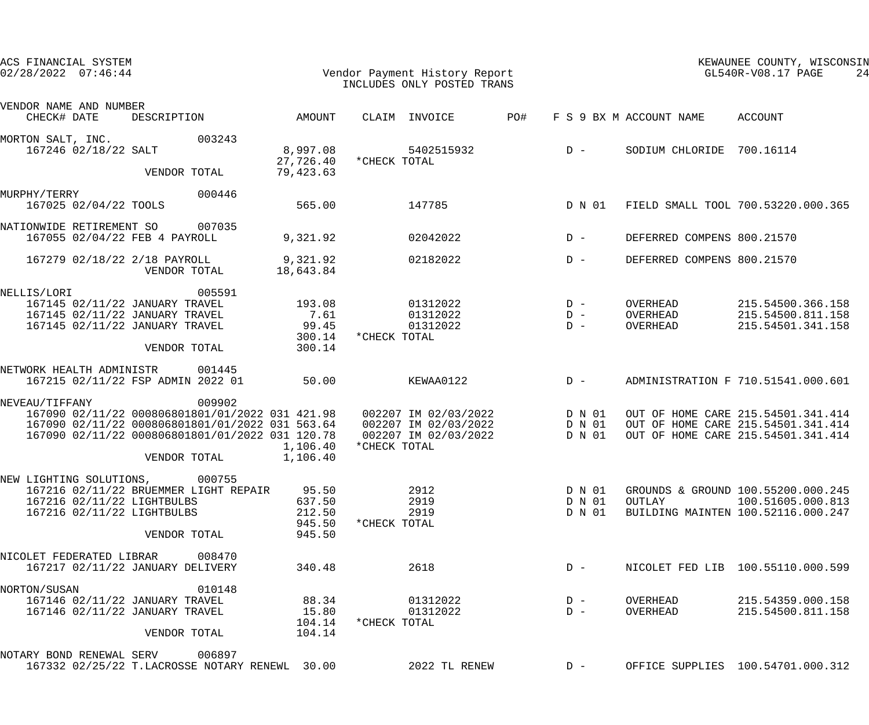| ACS FINANCIAL SYSTEM<br>$02/28/2022$ $07:46:44$                                            |                                                       |                                               | Vendor Payment History Report<br>INCLUDES ONLY POSTED TRANS                                                                                                                                                                     |                |                                      | KEWAUNEE COUNTY, WISCONSIN<br>$GL540R-V08.17$ PAGE<br>24                                                       |
|--------------------------------------------------------------------------------------------|-------------------------------------------------------|-----------------------------------------------|---------------------------------------------------------------------------------------------------------------------------------------------------------------------------------------------------------------------------------|----------------|--------------------------------------|----------------------------------------------------------------------------------------------------------------|
| VENDOR NAME AND NUMBER<br>CHECK# DATE                                                      | DESCRIPTION                                           | AMOUNT                                        | CLAIM INVOICE                                                                                                                                                                                                                   | PO#            | F S 9 BX M ACCOUNT NAME              | ACCOUNT                                                                                                        |
| MORTON SALT, INC.<br>167246 02/18/22 SALT                                                  | 003243                                                | 8,997.08                                      | 5402515932<br>27,726.40 * CHECK TOTAL                                                                                                                                                                                           | $D -$          |                                      | SODIUM CHLORIDE 700.16114                                                                                      |
|                                                                                            | VENDOR TOTAL                                          | 79,423.63                                     |                                                                                                                                                                                                                                 |                |                                      |                                                                                                                |
| MURPHY/TERRY<br>167025 02/04/22 TOOLS                                                      | 000446                                                | 565.00                                        | 147785                                                                                                                                                                                                                          |                | D N 01                               | FIELD SMALL TOOL 700.53220.000.365                                                                             |
| NATIONWIDE RETIREMENT SO<br>167055 02/04/22 FEB 4 PAYROLL                                  | 007035                                                | 9,321.92                                      | 02042022                                                                                                                                                                                                                        | $D -$          |                                      | DEFERRED COMPENS 800.21570                                                                                     |
| 167279 02/18/22 2/18 PAYROLL                                                               | VENDOR TOTAL                                          | 9,321.92<br>18,643.84                         | 02182022                                                                                                                                                                                                                        | $D -$          |                                      | DEFERRED COMPENS 800.21570                                                                                     |
| NELLIS/LORI<br>167145 02/11/22 JANUARY TRAVEL<br>167145 02/11/22 JANUARY TRAVEL            | 005591                                                | 193.08<br>7.61                                | 01312022<br>01312022                                                                                                                                                                                                            | $D -$<br>$D -$ | OVERHEAD<br>OVERHEAD                 | 215.54500.366.158<br>215.54500.811.158                                                                         |
| 167145 02/11/22 JANUARY TRAVEL                                                             | VENDOR TOTAL                                          | 99.45<br>300.14<br>300.14                     | 01312022<br>*CHECK TOTAL                                                                                                                                                                                                        | $D -$          | OVERHEAD                             | 215.54501.341.158                                                                                              |
| NETWORK HEALTH ADMINISTR                                                                   | 001445<br>167215 02/11/22 FSP ADMIN 2022 01           | 50.00                                         | KEWAA0122                                                                                                                                                                                                                       |                | $D -$                                | ADMINISTRATION F 710.51541.000.601                                                                             |
| NEVEAU/TIFFANY                                                                             | 009902<br>VENDOR TOTAL                                | 1,106.40<br>1,106.40                          | 167090 02/11/22 000806801801/01/2022 031 421.98  002207 IM 02/03/2022  D N 01<br>167090 02/11/22 000806801801/01/2022 031 563.64<br>167090 02/11/22 000806801801/01/2022 031 120.78 002207 IM 02/03/2022 D N 01<br>*CHECK TOTAL |                |                                      | OUT OF HOME CARE 215.54501.341.414<br>OUT OF HOME CARE 215.54501.341.414<br>OUT OF HOME CARE 215.54501.341.414 |
| NEW LIGHTING SOLUTIONS, 000755<br>167216 02/11/22 LIGHTBULBS<br>167216 02/11/22 LIGHTBULBS | 167216 02/11/22 BRUEMMER LIGHT REPAIR<br>VENDOR TOTAL | 95.50<br>637.50<br>212.50<br>945.50<br>945.50 | 2912<br>2919<br>2919<br>*CHECK TOTAL                                                                                                                                                                                            |                | D N 01<br>D N 01<br>OUTLAY<br>D N 01 | GROUNDS & GROUND 100.55200.000.245<br>100.51605.000.813<br>BUILDING MAINTEN 100.52116.000.247                  |
| NICOLET FEDERATED LIBRAR 008470                                                            | 167217 02/11/22 JANUARY DELIVERY                      | 340.48                                        | 2618                                                                                                                                                                                                                            | $D -$          |                                      | NICOLET FED LIB 100.55110.000.599                                                                              |
| NORTON/SUSAN<br>167146 02/11/22 JANUARY TRAVEL<br>167146 02/11/22 JANUARY TRAVEL           | 010148<br>VENDOR TOTAL                                | 88.34<br>15.80<br>104.14<br>104.14            | 01312022<br>01312022<br>*CHECK TOTAL                                                                                                                                                                                            | $D -$<br>$D -$ | OVERHEAD<br>OVERHEAD                 | 215.54359.000.158<br>215.54500.811.158                                                                         |
| NOTARY BOND RENEWAL SERV 006897                                                            | 167332 02/25/22 T.LACROSSE NOTARY RENEWL 30.00        |                                               | 2022 TL RENEW                                                                                                                                                                                                                   |                | $D -$                                | OFFICE SUPPLIES 100.54701.000.312                                                                              |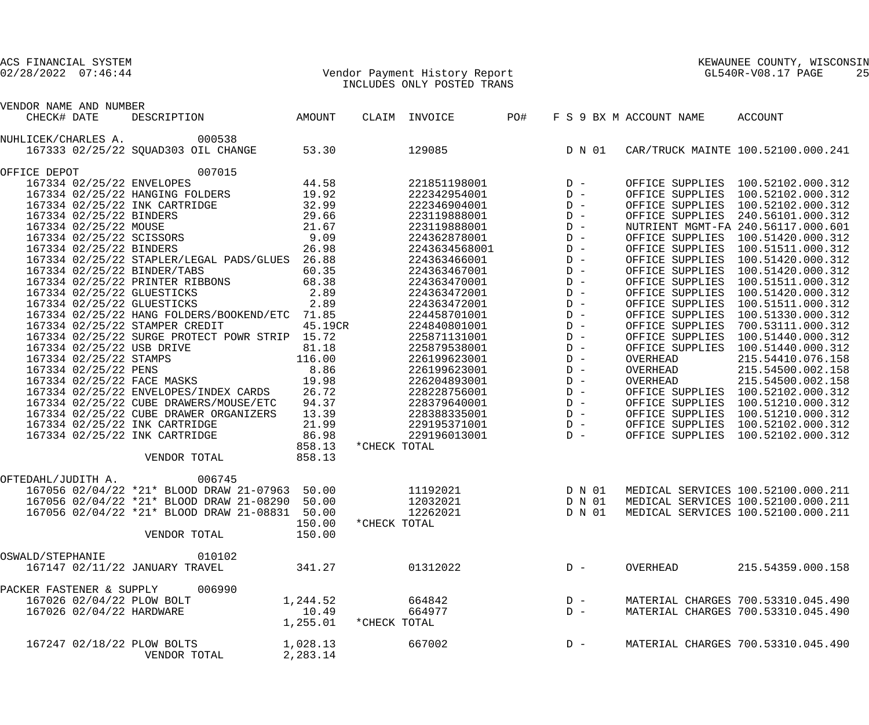# 02/28/2022 07:46:44 Vendor Payment History Report GL540R-V08.17 PAGE 25 INCLUDES ONLY POSTED TRANS

| VENDOR NAME AND NUMBER        |                                                |          |              |               |     |                |                         |                                    |
|-------------------------------|------------------------------------------------|----------|--------------|---------------|-----|----------------|-------------------------|------------------------------------|
| CHECK# DATE                   | DESCRIPTION                                    | AMOUNT   |              | CLAIM INVOICE | PO# |                | F S 9 BX M ACCOUNT NAME | ACCOUNT                            |
| NUHLICEK/CHARLES A.           | 000538                                         |          |              |               |     |                |                         |                                    |
|                               | 167333 02/25/22 SQUAD303 OIL CHANGE            | 53.30    |              | 129085        |     | D N 01         |                         | CAR/TRUCK MAINTE 100.52100.000.241 |
| OFFICE DEPOT                  | 007015                                         |          |              |               |     |                |                         |                                    |
| 167334 02/25/22 ENVELOPES     |                                                | 44.58    |              | 221851198001  |     | $D -$          |                         | OFFICE SUPPLIES 100.52102.000.312  |
|                               | 167334 02/25/22 HANGING FOLDERS                | 19.92    |              | 222342954001  |     | $D -$          |                         | OFFICE SUPPLIES 100.52102.000.312  |
| 167334 02/25/22 INK CARTRIDGE |                                                | 32.99    |              | 222346904001  |     | $\mathbb{D}$ – |                         | OFFICE SUPPLIES 100.52102.000.312  |
| 167334 02/25/22 BINDERS       |                                                | 29.66    |              | 223119888001  |     | $\mathbb{D}$ – |                         | OFFICE SUPPLIES 240.56101.000.312  |
| 167334 02/25/22 MOUSE         |                                                | 21.67    |              | 223119888001  |     | $\mathbb{D}$ – |                         | NUTRIENT MGMT-FA 240.56117.000.601 |
| 167334 02/25/22 SCISSORS      |                                                | 9.09     |              | 224362878001  |     | $\mathbb{D}$ – |                         | OFFICE SUPPLIES 100.51420.000.312  |
| 167334 02/25/22 BINDERS       |                                                | 26.98    |              | 2243634568001 |     | $\mathbb{D}$ – |                         | OFFICE SUPPLIES 100.51511.000.312  |
|                               | 167334 02/25/22 STAPLER/LEGAL PADS/GLUES       | 26.88    |              | 224363466001  |     | $\mathbb{D}$ – |                         | OFFICE SUPPLIES 100.51420.000.312  |
| 167334 02/25/22 BINDER/TABS   |                                                | 60.35    |              | 224363467001  |     | $\mathbb{D}$ – |                         | OFFICE SUPPLIES 100.51420.000.312  |
|                               | 167334 02/25/22 PRINTER RIBBONS                | 68.38    |              | 224363470001  |     | $\mathbb{D}$ – |                         | OFFICE SUPPLIES 100.51511.000.312  |
| 167334 02/25/22 GLUESTICKS    |                                                | 2.89     |              | 224363472001  |     | $\mathbb{D}$ – |                         | OFFICE SUPPLIES 100.51420.000.312  |
| 167334 02/25/22 GLUESTICKS    |                                                | 2.89     |              | 224363472001  |     | $\mathbb{D}$ – |                         | OFFICE SUPPLIES 100.51511.000.312  |
|                               | 167334 02/25/22 HANG FOLDERS/BOOKEND/ETC 71.85 |          |              | 224458701001  |     | $\mathbb{D}$ – |                         | OFFICE SUPPLIES 100.51330.000.312  |
|                               | 167334 02/25/22 STAMPER CREDIT                 | 45.19CR  |              | 224840801001  |     | $\mathbb{D}$ – |                         | OFFICE SUPPLIES 700.53111.000.312  |
|                               | 167334 02/25/22 SURGE PROTECT POWR STRIP 15.72 |          |              | 225871131001  |     | $\mathbb{D}$ – |                         | OFFICE SUPPLIES 100.51440.000.312  |
|                               |                                                | 81.18    |              | 225879538001  |     | $\mathbb{D}$ – | OFFICE SUPPLIES         | 100.51440.000.312                  |
| 167334 02/25/22 USB DRIVE     |                                                | 116.00   |              |               |     | $D -$          | OVERHEAD                | 215.54410.076.158                  |
| 167334 02/25/22 STAMPS        |                                                |          |              | 226199623001  |     |                |                         |                                    |
| 167334 02/25/22 PENS          |                                                | 8.86     |              | 226199623001  |     | $\mathbb{D}$ – | OVERHEAD                | 215.54500.002.158                  |
| 167334 02/25/22 FACE MASKS    |                                                | 19.98    |              | 226204893001  |     | $\mathbb{D}$ – | OVERHEAD                | 215.54500.002.158                  |
|                               | 167334 02/25/22 ENVELOPES/INDEX CARDS          | 26.72    |              | 228228756001  |     | $\mathbb{D}$ – |                         | OFFICE SUPPLIES 100.52102.000.312  |
|                               | 167334 02/25/22 CUBE DRAWERS/MOUSE/ETC         | 94.37    |              | 228379640001  |     | $\mathbb{D}$ – |                         | OFFICE SUPPLIES 100.51210.000.312  |
|                               | 167334 02/25/22 CUBE DRAWER ORGANIZERS         | 13.39    |              | 228388335001  |     | $\mathbb{D}$ – |                         | OFFICE SUPPLIES 100.51210.000.312  |
| 167334 02/25/22 INK CARTRIDGE |                                                | 21.99    |              | 229195371001  |     | $D -$          |                         | OFFICE SUPPLIES 100.52102.000.312  |
| 167334 02/25/22 INK CARTRIDGE |                                                | 86.98    |              | 229196013001  |     | $D -$          |                         | OFFICE SUPPLIES 100.52102.000.312  |
|                               |                                                | 858.13   | *CHECK TOTAL |               |     |                |                         |                                    |
|                               | VENDOR TOTAL                                   | 858.13   |              |               |     |                |                         |                                    |
| OFTEDAHL/JUDITH A.            | 006745                                         |          |              |               |     |                |                         |                                    |
|                               | 167056 02/04/22 *21* BLOOD DRAW 21-07963 50.00 |          |              | 11192021      |     | D N 01         |                         | MEDICAL SERVICES 100.52100.000.211 |
|                               | 167056 02/04/22 *21* BLOOD DRAW 21-08290 50.00 |          |              | 12032021      |     | D N 01         |                         | MEDICAL SERVICES 100.52100.000.211 |
|                               | 167056 02/04/22 *21* BLOOD DRAW 21-08831 50.00 |          |              | 12262021      |     | D N 01         |                         | MEDICAL SERVICES 100.52100.000.211 |
|                               |                                                | 150.00   | *CHECK TOTAL |               |     |                |                         |                                    |
|                               | VENDOR TOTAL                                   | 150.00   |              |               |     |                |                         |                                    |
| OSWALD/STEPHANIE              | 010102                                         |          |              |               |     |                |                         |                                    |
|                               | 167147 02/11/22 JANUARY TRAVEL                 | 341.27   |              | 01312022      |     | $D -$          | OVERHEAD                | 215.54359.000.158                  |
|                               |                                                |          |              |               |     |                |                         |                                    |
| PACKER FASTENER & SUPPLY      | 006990                                         |          |              |               |     |                |                         |                                    |
| 167026 02/04/22 PLOW BOLT     |                                                | 1,244.52 |              | 664842        |     | $D -$          |                         | MATERIAL CHARGES 700.53310.045.490 |
| 167026 02/04/22 HARDWARE      |                                                | 10.49    |              | 664977        |     | $D -$          |                         | MATERIAL CHARGES 700.53310.045.490 |
|                               |                                                | 1,255.01 | *CHECK TOTAL |               |     |                |                         |                                    |
| 167247 02/18/22 PLOW BOLTS    |                                                | 1,028.13 |              | 667002        |     | $D -$          |                         | MATERIAL CHARGES 700.53310.045.490 |
|                               | VENDOR TOTAL                                   | 2,283.14 |              |               |     |                |                         |                                    |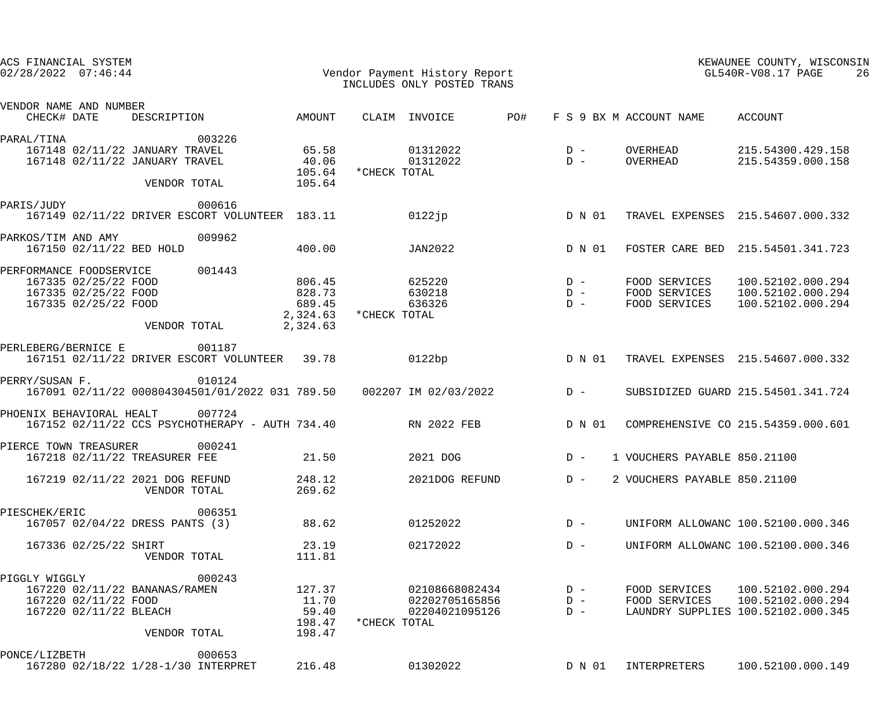| ACS FINANCIAL SYSTEM<br>$02/28/2022$ $07:46:44$                                                                  |                        |                                                    |              | Vendor Payment History Report<br>INCLUDES ONLY POSTED TRANS |     |                         |                                                 | KEWAUNEE COUNTY, WISCONSIN<br>GL540R-V08.17 PAGE<br>26                       |
|------------------------------------------------------------------------------------------------------------------|------------------------|----------------------------------------------------|--------------|-------------------------------------------------------------|-----|-------------------------|-------------------------------------------------|------------------------------------------------------------------------------|
| VENDOR NAME AND NUMBER<br>CHECK# DATE<br>DESCRIPTION                                                             |                        | AMOUNT                                             |              | CLAIM INVOICE                                               | PO# |                         | F S 9 BX M ACCOUNT NAME                         | ACCOUNT                                                                      |
| PARAL/TINA<br>167148 02/11/22 JANUARY TRAVEL<br>167148 02/11/22 JANUARY TRAVEL                                   | 003226<br>VENDOR TOTAL | 65.58<br>40.06<br>105.64<br>105.64                 | *CHECK TOTAL | 01312022<br>01312022                                        |     | $D -$<br>$D -$          | OVERHEAD<br>OVERHEAD                            | 215.54300.429.158<br>215.54359.000.158                                       |
| PARIS/JUDY<br>167149 02/11/22 DRIVER ESCORT VOLUNTEER 183.11                                                     | 000616                 |                                                    |              | $0122$ jp                                                   |     | D N 01                  |                                                 | TRAVEL EXPENSES 215.54607.000.332                                            |
| PARKOS/TIM AND AMY<br>167150 02/11/22 BED HOLD                                                                   | 009962                 | 400.00                                             |              | JAN2022                                                     |     | D N 01                  |                                                 | FOSTER CARE BED 215.54501.341.723                                            |
| PERFORMANCE FOODSERVICE<br>167335 02/25/22 FOOD<br>167335 02/25/22 FOOD<br>167335 02/25/22 FOOD                  | 001443<br>VENDOR TOTAL | 806.45<br>828.73<br>689.45<br>2,324.63<br>2,324.63 | *CHECK TOTAL | 625220<br>630218<br>636326                                  |     | $D -$<br>$D -$<br>$D -$ | FOOD SERVICES<br>FOOD SERVICES<br>FOOD SERVICES | 100.52102.000.294<br>100.52102.000.294<br>100.52102.000.294                  |
| PERLEBERG/BERNICE E<br>167151 02/11/22 DRIVER ESCORT VOLUNTEER 39.78                                             | 001187                 |                                                    |              | 0122bp                                                      |     | D N 01                  |                                                 | TRAVEL EXPENSES 215.54607.000.332                                            |
| PERRY/SUSAN F.<br>167091 02/11/22 000804304501/01/2022 031 789.50 002207 IM 02/03/2022                           | 010124                 |                                                    |              |                                                             |     | $D -$                   |                                                 | SUBSIDIZED GUARD 215.54501.341.724                                           |
| PHOENIX BEHAVIORAL HEALT<br>167152 02/11/22 CCS PSYCHOTHERAPY - AUTH 734.40 RN 2022 FEB                          | 007724                 |                                                    |              |                                                             |     | D N 01                  |                                                 | COMPREHENSIVE CO 215.54359.000.601                                           |
| PIERCE TOWN TREASURER<br>167218 02/11/22 TREASURER FEE                                                           | 000241                 | 21.50                                              |              | 2021 DOG                                                    |     | $D -$                   | 1 VOUCHERS PAYABLE 850.21100                    |                                                                              |
| 167219 02/11/22 2021 DOG REFUND<br>VENDOR TOTAL                                                                  |                        | 248.12<br>269.62                                   |              | 2021DOG REFUND                                              |     | $D -$                   | 2 VOUCHERS PAYABLE 850.21100                    |                                                                              |
| PIESCHEK/ERIC<br>167057 02/04/22 DRESS PANTS (3)                                                                 | 006351                 | 88.62                                              |              | 01252022                                                    |     | $D -$                   |                                                 | UNIFORM ALLOWANC 100.52100.000.346                                           |
| 167336 02/25/22 SHIRT<br>VENDOR TOTAL                                                                            |                        | 23.19<br>111.81                                    |              | 02172022                                                    |     | $D -$                   |                                                 | UNIFORM ALLOWANC 100.52100.000.346                                           |
| PIGGLY WIGGLY<br>167220 02/11/22 BANANAS/RAMEN<br>167220 02/11/22 FOOD<br>167220 02/11/22 BLEACH<br>VENDOR TOTAL | 000243                 | 127.37<br>11.70<br>59.40<br>198.47<br>198.47       | *CHECK TOTAL | 02108668082434<br>02202705165856<br>02204021095126          |     | $D -$<br>$D -$<br>$D -$ | FOOD SERVICES<br>FOOD SERVICES                  | 100.52102.000.294<br>100.52102.000.294<br>LAUNDRY SUPPLIES 100.52102.000.345 |
| PONCE/LIZBETH<br>167280 02/18/22 1/28-1/30 INTERPRET                                                             | 000653                 | 216.48                                             |              | 01302022                                                    |     | D N 01                  | INTERPRETERS                                    | 100.52100.000.149                                                            |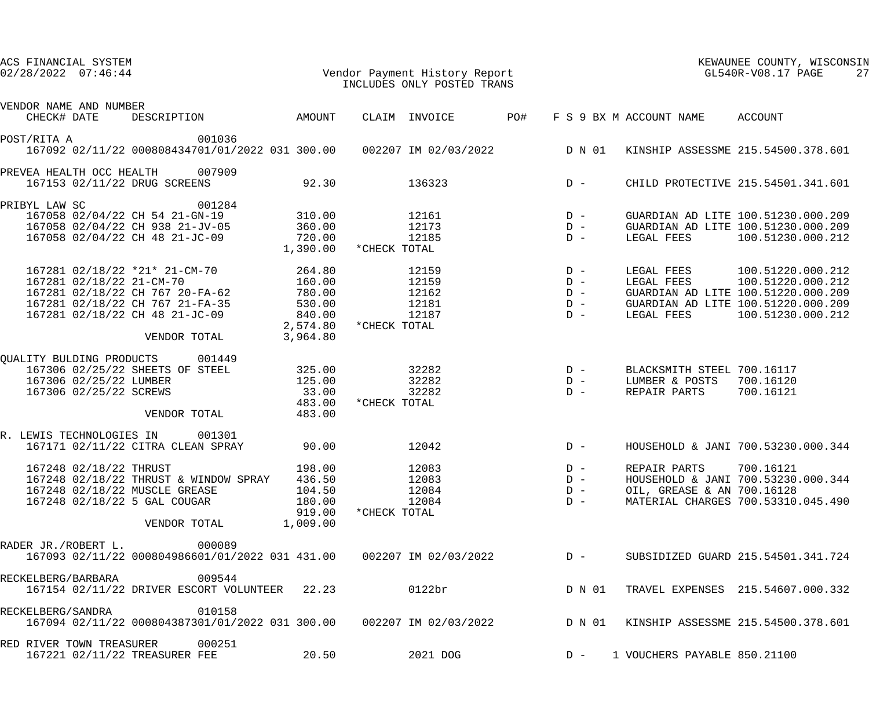| ACS FINANCIAL SYSTEM<br>$02/28/2022$ $07:46:44$                                                                                                                                   |                                                                        | Vendor Payment History Report<br>INCLUDES ONLY POSTED TRANS |                                           |                                                                        | KEWAUNEE COUNTY, WISCONSIN<br>GL540R-V08.17 PAGE<br>27                                                                                  |
|-----------------------------------------------------------------------------------------------------------------------------------------------------------------------------------|------------------------------------------------------------------------|-------------------------------------------------------------|-------------------------------------------|------------------------------------------------------------------------|-----------------------------------------------------------------------------------------------------------------------------------------|
| VENDOR NAME AND NUMBER                                                                                                                                                            |                                                                        |                                                             |                                           |                                                                        |                                                                                                                                         |
| DESCRIPTION AMOUNT<br>CHECK# DATE                                                                                                                                                 |                                                                        | CLAIM INVOICE                                               | PO#                                       | F S 9 BX M ACCOUNT NAME ACCOUNT                                        |                                                                                                                                         |
| 001036<br>POST/RITA A<br>167092 02/11/22 000808434701/01/2022 031 300.00 002207 IM 02/03/2022 D N 01 KINSHIP ASSESSME 215.54500.378.601                                           |                                                                        |                                                             |                                           |                                                                        |                                                                                                                                         |
| PREVEA HEALTH OCC HEALTH<br>007909<br>167153 02/11/22 DRUG SCREENS                                                                                                                | 92.30                                                                  | 136323                                                      | $D -$                                     |                                                                        | CHILD PROTECTIVE 215.54501.341.601                                                                                                      |
| 001284<br>PRIBYL LAW SC<br>167058 02/04/22 CH 54 21-GN-19<br>167058 02/04/22 CH 938 21-JV-05<br>167058 02/04/22 CH 48 21-JC-09                                                    | 310.00<br>360.00<br>720.00<br>1,390.00                                 | 12161<br>12173<br>12185<br>*CHECK TOTAL                     | $D -$<br>$D -$<br>$D -$                   | LEGAL FEES                                                             | GUARDIAN AD LITE 100.51230.000.209<br>GUARDIAN AD LITE 100.51230.000.209<br>100.51230.000.212                                           |
| 167281 02/18/22 *21* 21-CM-70<br>167281 02/18/22 21-CM-70<br>167281 02/18/22 CH 767 20-FA-62<br>167281 02/18/22 CH 767 21-FA-35<br>167281 02/18/22 CH 48 21-JC-09<br>VENDOR TOTAL | 264.80<br>160.00<br>780.00<br>530.00<br>840.00<br>2,574.80<br>3,964.80 | 12159<br>12159<br>12162<br>12181<br>12187<br>*CHECK TOTAL   | $D -$<br>$D -$<br>$D -$<br>$D -$<br>$D -$ | LEGAL FEES<br>LEGAL FEES<br>LEGAL FEES                                 | 100.51220.000.212<br>100.51220.000.212<br>GUARDIAN AD LITE 100.51220.000.209<br>GUARDIAN AD LITE 100.51220.000.209<br>100.51230.000.212 |
| OUALITY BULDING PRODUCTS 001449<br>167306 02/25/22 SHEETS OF STEEL<br>167306 02/25/22 LUMBER<br>167306 02/25/22 SCREWS<br>VENDOR TOTAL                                            | 325.00<br>125.00<br>33.00<br>483.00<br>483.00                          | 32282<br>32282<br>32282<br>*CHECK TOTAL                     | $D -$<br>$D -$<br>$D -$                   | BLACKSMITH STEEL 700.16117<br>LUMBER & POSTS 700.16120<br>REPAIR PARTS | 700.16121                                                                                                                               |
| R. LEWIS TECHNOLOGIES IN 001301<br>167171 02/11/22 CITRA CLEAN SPRAY                                                                                                              | 90.00                                                                  | 12042                                                       | $D -$                                     |                                                                        | HOUSEHOLD & JANI 700.53230.000.344                                                                                                      |
| 167248 02/18/22 THRUST<br>167248 02/18/22 THRUST & WINDOW SPRAY<br>167248 02/18/22 MUSCLE GREASE<br>167248 02/18/22 5 GAL COUGAR<br>VENDOR TOTAL                                  | 198.00<br>436.50<br>104.50<br>180.00<br>919.00<br>1,009.00             | 12083<br>12083<br>12084<br>12084<br>*CHECK TOTAL            | $D -$<br>$D -$<br>$D -$<br>$D -$          | REPAIR PARTS 700.16121<br>OIL, GREASE & AN 700.16128                   | HOUSEHOLD & JANI 700.53230.000.344<br>MATERIAL CHARGES 700.53310.045.490                                                                |
| 000089<br>RADER JR./ROBERT L.<br>167093 02/11/22 000804986601/01/2022 031 431.00  002207 IM 02/03/2022  D -                                                                       |                                                                        |                                                             |                                           |                                                                        | SUBSIDIZED GUARD 215.54501.341.724                                                                                                      |
| RECKELBERG/BARBARA<br>009544<br>167154 02/11/22 DRIVER ESCORT VOLUNTEER 22.23                                                                                                     |                                                                        | 0122br                                                      | D N 01                                    |                                                                        | TRAVEL EXPENSES 215.54607.000.332                                                                                                       |
| RECKELBERG/SANDRA<br>010158<br>167094 02/11/22 000804387301/01/2022 031 300.00 002207 IM 02/03/2022 D N 01 KINSHIP ASSESSME 215.54500.378.601                                     |                                                                        |                                                             |                                           |                                                                        |                                                                                                                                         |
| RED RIVER TOWN TREASURER<br>000251<br>167221 02/11/22 TREASURER FEE                                                                                                               | 20.50                                                                  | 2021 DOG                                                    | $D -$                                     | 1 VOUCHERS PAYABLE 850.21100                                           |                                                                                                                                         |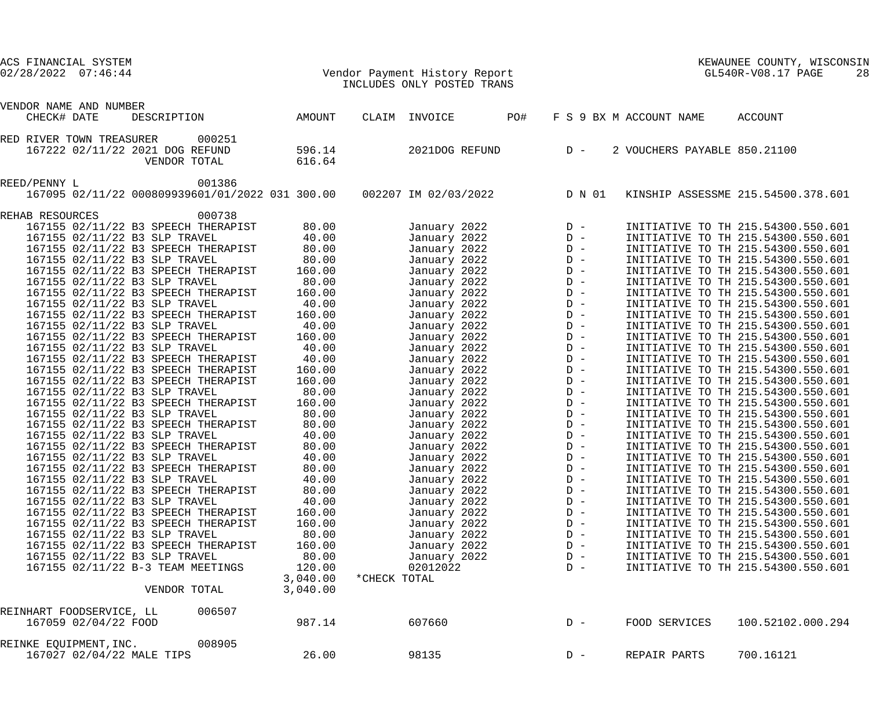| $02/28/2022$ $07:46:44$                                                                                     |                                |              | Vendor Payment History Report<br>INCLUDES ONLY POSTED TRANS |     |                         |                              | KEWAUNEE COUNTY, WISCONSIN<br>GL540R-V08.17 PAGE<br>28                                                         |
|-------------------------------------------------------------------------------------------------------------|--------------------------------|--------------|-------------------------------------------------------------|-----|-------------------------|------------------------------|----------------------------------------------------------------------------------------------------------------|
| VENDOR NAME AND NUMBER<br>CHECK# DATE<br>DESCRIPTION                                                        | AMOUNT                         |              | CLAIM INVOICE                                               | PO# |                         | F S 9 BX M ACCOUNT NAME      | ACCOUNT                                                                                                        |
|                                                                                                             |                                |              |                                                             |     |                         |                              |                                                                                                                |
| RED RIVER TOWN TREASURER<br>000251<br>167222 02/11/22 2021 DOG REFUND<br>VENDOR TOTAL                       | 596.14<br>616.64               |              | 2021DOG REFUND                                              |     | $D -$                   | 2 VOUCHERS PAYABLE 850.21100 |                                                                                                                |
| REED/PENNY L<br>001386<br>167095 02/11/22 000809939601/01/2022 031 300.00                                   |                                |              | 002207 IM 02/03/2022                                        |     | D N 01                  |                              | KINSHIP ASSESSME 215.54500.378.601                                                                             |
| REHAB RESOURCES<br>000738                                                                                   |                                |              |                                                             |     |                         |                              |                                                                                                                |
| 167155 02/11/22 B3 SPEECH THERAPIST<br>167155 02/11/22 B3 SLP TRAVEL<br>167155 02/11/22 B3 SPEECH THERAPIST | 80.00<br>40.00<br>80.00        |              | January 2022<br>January 2022<br>January 2022                |     |                         |                              | INITIATIVE TO TH 215.54300.550.601<br>INITIATIVE TO TH 215.54300.550.601<br>INITIATIVE TO TH 215.54300.550.601 |
| 167155 02/11/22 B3 SLP TRAVEL<br>167155 02/11/22 B3 SPEECH THERAPIST                                        | 80.00<br>160.00                |              | January 2022<br>January 2022                                |     |                         |                              | INITIATIVE TO TH 215.54300.550.601<br>INITIATIVE TO TH 215.54300.550.601                                       |
| 167155 02/11/22 B3 SLP TRAVEL<br>167155 02/11/22 B3 SPEECH THERAPIST<br>167155 02/11/22 B3 SLP TRAVEL       | 80.00<br>160.00<br>40.00       |              | January 2022<br>January 2022<br>January 2022                |     |                         |                              | INITIATIVE TO TH 215.54300.550.601<br>INITIATIVE TO TH 215.54300.550.601<br>INITIATIVE TO TH 215.54300.550.601 |
| 167155 02/11/22 B3 SPEECH THERAPIST<br>167155 02/11/22 B3 SLP TRAVEL                                        | 160.00<br>40.00                |              | January 2022<br>January 2022                                |     |                         |                              | INITIATIVE TO TH 215.54300.550.601<br>INITIATIVE TO TH 215.54300.550.601                                       |
| 167155 02/11/22 B3 SPEECH THERAPIST<br>167155 02/11/22 B3 SLP TRAVEL<br>167155 02/11/22 B3 SPEECH THERAPIST | 160.00<br>40.00<br>40.00       |              | January 2022<br>January 2022<br>January 2022                |     |                         |                              | INITIATIVE TO TH 215.54300.550.601<br>INITIATIVE TO TH 215.54300.550.601<br>INITIATIVE TO TH 215.54300.550.601 |
| 167155 02/11/22 B3 SPEECH THERAPIST<br>167155 02/11/22 B3 SPEECH THERAPIST<br>167155 02/11/22 B3 SLP TRAVEL | 160.00<br>160.00<br>80.00      |              | January 2022<br>January 2022<br>January 2022                |     |                         |                              | INITIATIVE TO TH 215.54300.550.601<br>INITIATIVE TO TH 215.54300.550.601<br>INITIATIVE TO TH 215.54300.550.601 |
| 167155 02/11/22 B3 SPEECH THERAPIST<br>167155 02/11/22 B3 SLP TRAVEL                                        | 160.00<br>80.00                |              | January 2022<br>January 2022                                |     |                         |                              | INITIATIVE TO TH 215.54300.550.601<br>INITIATIVE TO TH 215.54300.550.601                                       |
| 167155 02/11/22 B3 SPEECH THERAPIST<br>167155 02/11/22 B3 SLP TRAVEL<br>167155 02/11/22 B3 SPEECH THERAPIST | 80.00<br>40.00<br>80.00        |              | January 2022<br>January 2022<br>January 2022                |     |                         |                              | INITIATIVE TO TH 215.54300.550.601<br>INITIATIVE TO TH 215.54300.550.601<br>INITIATIVE TO TH 215.54300.550.601 |
| 167155 02/11/22 B3 SLP TRAVEL<br>167155 02/11/22 B3 SPEECH THERAPIST                                        | 40.00<br>80.00                 |              | January 2022<br>January 2022                                |     | $D -$                   |                              | INITIATIVE TO TH 215.54300.550.601<br>INITIATIVE TO TH 215.54300.550.601                                       |
| 167155 02/11/22 B3 SLP TRAVEL<br>167155 02/11/22 B3 SPEECH THERAPIST<br>167155 02/11/22 B3 SLP TRAVEL       | 40.00<br>80.00<br>40.00        |              | January 2022<br>January 2022<br>January 2022                |     | $D -$<br>$D -$<br>$D -$ |                              | INITIATIVE TO TH 215.54300.550.601<br>INITIATIVE TO TH 215.54300.550.601<br>INITIATIVE TO TH 215.54300.550.601 |
| 167155 02/11/22 B3 SPEECH THERAPIST<br>167155 02/11/22 B3 SPEECH THERAPIST                                  | 160.00<br>160.00               |              | January 2022<br>January 2022                                |     | $D -$<br>$D -$          |                              | INITIATIVE TO TH 215.54300.550.601<br>INITIATIVE TO TH 215.54300.550.601                                       |
| 167155 02/11/22 B3 SLP TRAVEL<br>167155 02/11/22 B3 SPEECH THERAPIST<br>167155 02/11/22 B3 SLP TRAVEL       | 80.00<br>160.00<br>80.00       |              | January 2022<br>January 2022<br>January 2022                |     | $D -$<br>$D -$<br>$D -$ |                              | INITIATIVE TO TH 215.54300.550.601<br>INITIATIVE TO TH 215.54300.550.601<br>INITIATIVE TO TH 215.54300.550.601 |
| 167155 02/11/22 B-3 TEAM MEETINGS<br>VENDOR TOTAL                                                           | 120.00<br>3,040.00<br>3,040.00 | *CHECK TOTAL | 02012022                                                    |     | $D -$                   |                              | INITIATIVE TO TH 215.54300.550.601                                                                             |
| 006507<br>REINHART FOODSERVICE, LL<br>167059 02/04/22 FOOD                                                  | 987.14                         |              | 607660                                                      |     | $D -$                   | FOOD SERVICES                | 100.52102.000.294                                                                                              |
| 008905<br>REINKE EQUIPMENT, INC.<br>167027 02/04/22 MALE TIPS                                               | 26.00                          |              | 98135                                                       |     | $D -$                   | REPAIR PARTS                 | 700.16121                                                                                                      |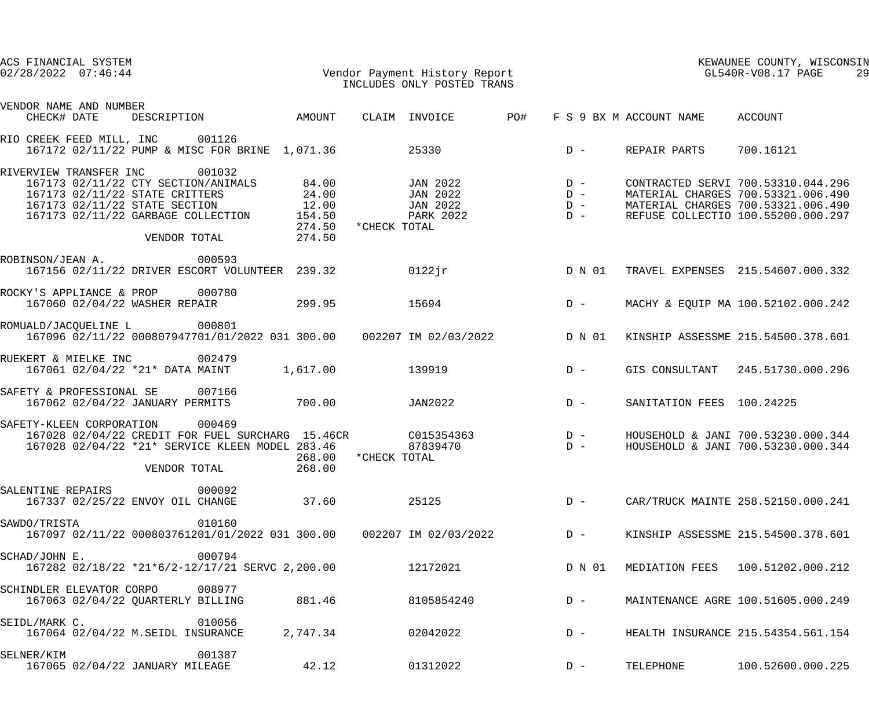| ACS FINANCIAL SYSTEM<br>$02/28/2022$ $07:46:44$               | Vendor Payment History Report<br>TNGTIIDES ONIX DOSTED TRANS                                                                                                                                                        |                                | INCLUDES ONLY POSTED TRANS                            |       |        | GL540R-V08.17 PAGE        | KEWAUNEE COUNTY, WISCONSIN                                                                                                                           | 29 |
|---------------------------------------------------------------|---------------------------------------------------------------------------------------------------------------------------------------------------------------------------------------------------------------------|--------------------------------|-------------------------------------------------------|-------|--------|---------------------------|------------------------------------------------------------------------------------------------------------------------------------------------------|----|
| VENDOR NAME AND NUMBER                                        |                                                                                                                                                                                                                     |                                |                                                       |       |        |                           |                                                                                                                                                      |    |
| CHECK# DATE                                                   | DESCRIPTION CAMOUNT CLAIM INVOICE PO# F S 9 BX M ACCOUNT NAME ACCOUNT                                                                                                                                               |                                |                                                       |       |        |                           |                                                                                                                                                      |    |
| RIO CREEK FEED MILL, INC 001126                               | 167172 02/11/22 PUMP & MISC FOR BRINE 1,071.36 25330                                                                                                                                                                |                                |                                                       |       | $D -$  | REPAIR PARTS              | 700.16121                                                                                                                                            |    |
| RIVERVIEW TRANSFER INC                                        | 001032<br>167173 02/11/22 CTY SECTION/ANIMALS 84.00 JAN 2022 D -<br>167173 02/11/22 STATE CRITTERS 24.00<br>167173 02/11/22 STATE SECTION 12.00<br>167173 02/11/22 GARBAGE COLLECTION 154.50<br>VENDOR TOTAL 274.50 | 274.50 *CHECK TOTAL            | $JAN$ 2022 $D -$<br>$JAN$ 2022 $D -$<br>PARK 2022 D - |       |        |                           | CONTRACTED SERVI 700.53310.044.296<br>MATERIAL CHARGES 700.53321.006.490<br>MATERIAL CHARGES 700.53321.006.490<br>REFUSE COLLECTIO 100.55200.000.297 |    |
| ROBINSON/JEAN A.                                              | 000593<br>167156 02/11/22 DRIVER ESCORT VOLUNTEER 239.32 0122jr                                                                                                                                                     |                                |                                                       |       | D N 01 |                           | TRAVEL EXPENSES 215.54607.000.332                                                                                                                    |    |
| ROCKY'S APPLIANCE & PROP 000780                               | 167060 02/04/22 WASHER REPAIR 299.95 15694                                                                                                                                                                          |                                |                                                       |       | $D -$  |                           | MACHY & EQUIP MA 100.52102.000.242                                                                                                                   |    |
| ROMUALD/JACQUELINE L 000801                                   | 167096 02/11/22 000807947701/01/2022 031 300.00  002207 IM 02/03/2022  D N 01                                                                                                                                       |                                |                                                       |       |        |                           | KINSHIP ASSESSME 215.54500.378.601                                                                                                                   |    |
| RUEKERT & MIELKE INC                                          | 002479<br>167061 02/04/22 *21* DATA MAINT 1,617.00                                                                                                                                                                  |                                | 139919                                                |       | $D -$  |                           | GIS CONSULTANT 245.51730.000.296                                                                                                                     |    |
| SAFETY & PROFESSIONAL SE                                      | 007166<br>167062 02/04/22 JANUARY PERMITS 700.00                                                                                                                                                                    |                                | JAN2022                                               | $D -$ |        | SANITATION FEES 100.24225 |                                                                                                                                                      |    |
| SAFETY-KLEEN CORPORATION                                      | 000469<br>167028 02/04/22 CREDIT FOR FUEL SURCHARG 15.46CR C015354363 D -<br>167028 02/04/22 *21* SERVICE KLEEN MODEL 283.46<br>VENDOR TOTAL                                                                        | 268.00 * CHECK TOTAL<br>268.00 | 87839470                                              |       | $D -$  |                           | HOUSEHOLD & JANI 700.53230.000.344<br>HOUSEHOLD & JANI 700.53230.000.344                                                                             |    |
| SALENTINE REPAIRS<br>167337 02/25/22 ENVOY OIL CHANGE         | 000092                                                                                                                                                                                                              | 37.60                          | 25125                                                 |       | $D -$  |                           | CAR/TRUCK MAINTE 258.52150.000.241                                                                                                                   |    |
| SAWDO/TRISTA                                                  | 010160<br>167097 02/11/22 000803761201/01/2022 031 300.00 002207 IM 02/03/2022                                                                                                                                      |                                |                                                       |       | $D -$  |                           | KINSHIP ASSESSME 215.54500.378.601                                                                                                                   |    |
| SCHAD/JOHN E.                                                 | 000794<br>167282 02/18/22 *21*6/2-12/17/21 SERVC 2,200.00                                                                                                                                                           |                                | 12172021                                              |       | D N 01 |                           | MEDIATION FEES 100.51202.000.212                                                                                                                     |    |
| SCHINDLER ELEVATOR CORPO<br>167063 02/04/22 QUARTERLY BILLING | 008977                                                                                                                                                                                                              | 881.46                         | 8105854240                                            |       | $D -$  |                           | MAINTENANCE AGRE 100.51605.000.249                                                                                                                   |    |
| SEIDL/MARK C.<br>167064 02/04/22 M.SEIDL INSURANCE            | 010056                                                                                                                                                                                                              | 2,747.34                       | 02042022                                              |       | $D -$  |                           | HEALTH INSURANCE 215.54354.561.154                                                                                                                   |    |
| SELNER/KIM<br>167065 02/04/22 JANUARY MILEAGE                 | 001387                                                                                                                                                                                                              | 42.12                          | 01312022                                              |       | $D -$  | TELEPHONE                 | 100.52600.000.225                                                                                                                                    |    |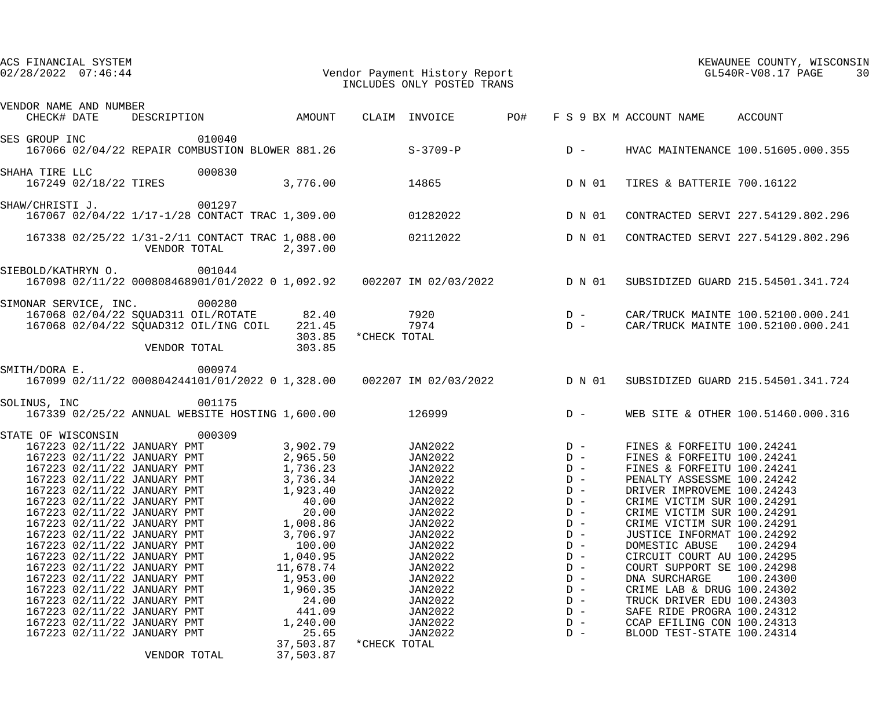| ACS FINANCIAL SYSTEM<br>$02/28/2022$ $07:46:44$ |                                                            |                                                                                   |                      |                | Vendor Payment History Report<br>INCLUDES ONLY POSTED TRANS                                                      |                |                                                          | KEWAUNEE COUNTY, WISCONSIN<br>KEWAUNEE COUNII, WISCONDER COUNTERTS       | 30 |
|-------------------------------------------------|------------------------------------------------------------|-----------------------------------------------------------------------------------|----------------------|----------------|------------------------------------------------------------------------------------------------------------------|----------------|----------------------------------------------------------|--------------------------------------------------------------------------|----|
| VENDOR NAME AND NUMBER<br>CHECK# DATE           |                                                            |                                                                                   |                      |                | DESCRIPTION MOUNT CLAIM INVOICE PO#                                                                              |                | F S 9 BX M ACCOUNT NAME ACCOUNT                          |                                                                          |    |
| SES GROUP INC 010040                            |                                                            |                                                                                   |                      |                |                                                                                                                  |                |                                                          |                                                                          |    |
|                                                 |                                                            | 167066 02/04/22 REPAIR COMBUSTION BLOWER 881.26 S-3709-P                          |                      |                |                                                                                                                  | $D -$          |                                                          | HVAC MAINTENANCE 100.51605.000.355                                       |    |
| SHAHA TIRE LLC                                  | HA TIRE LLC 000830<br>167249 02/18/22 TIRES                |                                                                                   |                      |                | 3,776.00 14865 D N 01                                                                                            |                | TIRES & BATTERIE 700.16122                               |                                                                          |    |
| SHAW/CHRISTI J.                                 | 001297                                                     |                                                                                   |                      |                | 167067 02/04/22 1/17-1/28 CONTACT TRAC 1,309.00 01282022 D N 01                                                  |                |                                                          | CONTRACTED SERVI 227.54129.802.296                                       |    |
|                                                 |                                                            | 167338 02/25/22 1/31-2/11 CONTACT TRAC 1,088.00 02112022<br>VENDOR TOTAL 2,397.00 |                      |                |                                                                                                                  | D N 01         |                                                          | CONTRACTED SERVI 227.54129.802.296                                       |    |
| SIEBOLD/KATHRYN O.                              |                                                            | 001044                                                                            |                      |                | 167098 02/11/22 000808468901/01/2022 0 1,092.92  002207 IM 02/03/2022  D N 01                                    |                |                                                          | SUBSIDIZED GUARD 215.54501.341.724                                       |    |
| SIMONAR SERVICE, INC. 000280                    |                                                            |                                                                                   | 303.85               | *CHECK TOTAL   | 167068 02/04/22 SQUAD311 OIL/ROTATE 82.40 7920 7920 D -<br>167068 02/04/22 SQUAD312 OIL/ING COIL 221.45 7974 D - |                |                                                          | CAR/TRUCK MAINTE 100.52100.000.241<br>CAR/TRUCK MAINTE 100.52100.000.241 |    |
| SMITH/DORA E.                                   |                                                            | VENDOR TOTAL<br>000974                                                            | 303.85               |                |                                                                                                                  |                |                                                          |                                                                          |    |
|                                                 |                                                            |                                                                                   |                      |                | 167099 02/11/22 000804244101/01/2022 0 1,328.00 002207 IM 02/03/2022 D N 01                                      |                |                                                          | SUBSIDIZED GUARD 215.54501.341.724                                       |    |
| SOLINUS, INC                                    |                                                            | 001175<br>167339 02/25/22 ANNUAL WEBSITE HOSTING 1,600.00 126999                  |                      |                |                                                                                                                  | $D -$          |                                                          | WEB SITE & OTHER 100.51460.000.316                                       |    |
| STATE OF WISCONSIN 000309                       |                                                            |                                                                                   |                      |                |                                                                                                                  |                |                                                          |                                                                          |    |
|                                                 |                                                            |                                                                                   |                      |                | 167223 02/11/22 JANUARY PMT 3,902.79 JAN2022 D -                                                                 |                | FINES & FORFEITU 100.24241                               |                                                                          |    |
|                                                 |                                                            | 167223 02/11/22 JANUARY PMT 2,965.50                                              |                      | <b>JAN2022</b> |                                                                                                                  | $D -$          | FINES & FORFEITU 100.24241                               |                                                                          |    |
|                                                 | 167223 02/11/22 JANUARY PMT                                |                                                                                   | 1,736.23             |                | <b>JAN2022</b>                                                                                                   | $D -$          | FINES & FORFEITU 100.24241                               |                                                                          |    |
|                                                 | 167223 02/11/22 JANUARY PMT                                |                                                                                   | 3,736.34             |                | JAN2022                                                                                                          | $D -$          | PENALTY ASSESSME 100.24242                               |                                                                          |    |
|                                                 | 167223 02/11/22 JANUARY PMT                                |                                                                                   | 1,923.40<br>40.00    |                | JAN2022<br><b>JAN2022</b>                                                                                        | $D -$          | DRIVER IMPROVEME 100.24243                               |                                                                          |    |
|                                                 | 167223 02/11/22 JANUARY PMT<br>167223 02/11/22 JANUARY PMT |                                                                                   | 20.00                |                | <b>JAN2022</b>                                                                                                   | $D -$<br>$D -$ | CRIME VICTIM SUR 100.24291<br>CRIME VICTIM SUR 100.24291 |                                                                          |    |
|                                                 | 167223 02/11/22 JANUARY PMT                                |                                                                                   |                      |                | JAN2022                                                                                                          | $D -$          | CRIME VICTIM SUR 100.24291                               |                                                                          |    |
|                                                 | 167223 02/11/22 JANUARY PMT                                |                                                                                   | 1,008.86<br>3,706.97 |                | JAN2022                                                                                                          | $D -$          | JUSTICE INFORMAT 100.24292                               |                                                                          |    |
|                                                 | 167223 02/11/22 JANUARY PMT                                |                                                                                   | 100.00               |                | JAN2022                                                                                                          | $D -$          | DOMESTIC ABUSE                                           | 100.24294                                                                |    |
|                                                 | 167223 02/11/22 JANUARY PMT                                |                                                                                   | 1,040.95             |                | JAN2022                                                                                                          | $D -$          | CIRCUIT COURT AU 100.24295                               |                                                                          |    |
|                                                 | 167223 02/11/22 JANUARY PMT                                |                                                                                   | 11,678.74            |                | <b>JAN2022</b>                                                                                                   | $D -$          | COURT SUPPORT SE 100.24298                               |                                                                          |    |
|                                                 | 167223 02/11/22 JANUARY PMT                                |                                                                                   | 1,953.00             |                | <b>JAN2022</b>                                                                                                   | $D -$          | DNA SURCHARGE                                            | 100.24300                                                                |    |
|                                                 | 167223 02/11/22 JANUARY PMT                                |                                                                                   | 1,960.35             |                | JAN2022                                                                                                          | $D -$          | CRIME LAB & DRUG 100.24302                               |                                                                          |    |
|                                                 | 167223 02/11/22 JANUARY PMT                                |                                                                                   | 24.00                |                | JAN2022                                                                                                          | $D -$          | TRUCK DRIVER EDU 100.24303                               |                                                                          |    |
|                                                 | 167223 02/11/22 JANUARY PMT                                |                                                                                   | 441.09               |                | JAN2022                                                                                                          | $D -$          | SAFE RIDE PROGRA 100.24312                               |                                                                          |    |
|                                                 | 167223 02/11/22 JANUARY PMT                                |                                                                                   | 1,240.00             |                | JAN2022                                                                                                          | $D -$          | CCAP EFILING CON 100.24313                               |                                                                          |    |
|                                                 | 167223 02/11/22 JANUARY PMT                                |                                                                                   | 25.65                |                | JAN2022                                                                                                          | $D -$          | BLOOD TEST-STATE 100.24314                               |                                                                          |    |
|                                                 |                                                            |                                                                                   | 37,503.87            | *CHECK TOTAL   |                                                                                                                  |                |                                                          |                                                                          |    |
|                                                 | VENDOR TOTAL                                               |                                                                                   | 37,503.87            |                |                                                                                                                  |                |                                                          |                                                                          |    |
|                                                 |                                                            |                                                                                   |                      |                |                                                                                                                  |                |                                                          |                                                                          |    |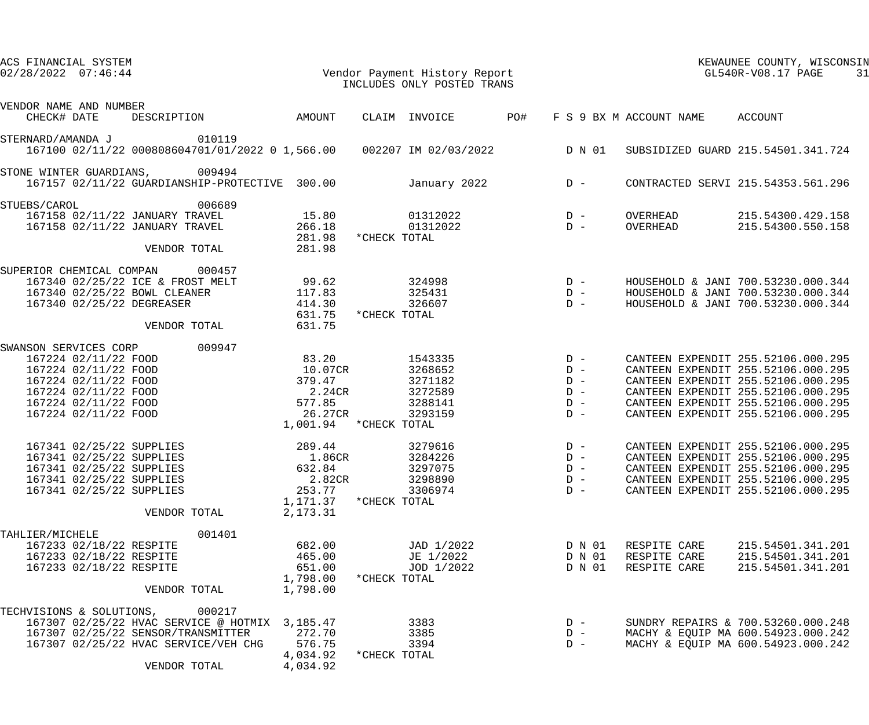| ACS FINANCIAL SYSTEM<br>$02/28/2022$ $07:46:44$ |                                                                                                                                              |                                                                                                                                                          |                                                                                        |                                                                                       |              | Vendor Payment History Report<br>INCLUDES ONLY POSTED TRANS                   |       |                                           |                                              | KEWAUNEE COUNTY, WISCONSIN<br>GL540R-V08.17 PAGE<br>31                                                                                                                                                                           |
|-------------------------------------------------|----------------------------------------------------------------------------------------------------------------------------------------------|----------------------------------------------------------------------------------------------------------------------------------------------------------|----------------------------------------------------------------------------------------|---------------------------------------------------------------------------------------|--------------|-------------------------------------------------------------------------------|-------|-------------------------------------------|----------------------------------------------|----------------------------------------------------------------------------------------------------------------------------------------------------------------------------------------------------------------------------------|
| VENDOR NAME AND NUMBER<br>CHECK# DATE           |                                                                                                                                              |                                                                                                                                                          | DESCRIPTION AMOUNT                                                                     |                                                                                       |              | PO#<br>CLAIM INVOICE                                                          |       |                                           | F S 9 BX M ACCOUNT NAME ACCOUNT              |                                                                                                                                                                                                                                  |
| STERNARD/AMANDA J 010119                        |                                                                                                                                              |                                                                                                                                                          |                                                                                        |                                                                                       |              | 167100 02/11/22 000808604701/01/2022 0 1,566.00  002207 IM 02/03/2022  D N 01 |       |                                           |                                              | SUBSIDIZED GUARD 215.54501.341.724                                                                                                                                                                                               |
| STONE WINTER GUARDIANS, 009494                  |                                                                                                                                              |                                                                                                                                                          | 167157 02/11/22 GUARDIANSHIP-PROTECTIVE 300.00                                         |                                                                                       |              | January 2022                                                                  |       | $D -$                                     |                                              | CONTRACTED SERVI 215.54353.561.296                                                                                                                                                                                               |
| STUEBS/CAROL                                    |                                                                                                                                              | 167158 02/11/22 JANUARY TRAVEL<br>167158 02/11/22 JANUARY TRAVEL<br>VENDOR TOTAL                                                                         | 006689                                                                                 | 15.80<br>266.18<br>281.98<br>281.98                                                   | *CHECK TOTAL | 01312022<br>01312022                                                          |       | $D -$<br>$D -$                            | OVERHEAD<br>OVERHEAD                         | 215.54300.429.158<br>215.54300.550.158                                                                                                                                                                                           |
| SUPERIOR CHEMICAL COMPAN 000457                 |                                                                                                                                              | 167340 02/25/22 ICE & FROST MELT<br>167340 02/25/22 BOWL CLEANER<br>167340 02/25/22 DEGREASER<br>VENDOR TOTAL                                            |                                                                                        | 99.62<br>117.83<br>414.30<br>631.75<br>631.75                                         | *CHECK TOTAL | 324998<br>325431<br>326607                                                    | $D -$ | $D -$<br>$D -$                            |                                              | HOUSEHOLD & JANI 700.53230.000.344<br>HOUSEHOLD & JANI 700.53230.000.344<br>HOUSEHOLD & JANI 700.53230.000.344                                                                                                                   |
| SWANSON SERVICES CORP 009947                    | 167224 02/11/22 FOOD<br>167224 02/11/22 FOOD<br>167224 02/11/22 FOOD<br>167224 02/11/22 FOOD<br>167224 02/11/22 FOOD<br>167224 02/11/22 FOOD |                                                                                                                                                          |                                                                                        | 83.20<br>10.07CR<br>379.47<br>2.24CR<br>577.85<br>26.27CR<br>1,001.94 * CHECK TOTAL   |              | 1543335<br>3268652<br>3271182<br>3272589<br>3288141<br>3293159                | $D -$ | $D -$<br>$D -$<br>$D -$<br>$D -$<br>$D -$ |                                              | CANTEEN EXPENDIT 255.52106.000.295<br>CANTEEN EXPENDIT 255.52106.000.295<br>CANTEEN EXPENDIT 255.52106.000.295<br>CANTEEN EXPENDIT 255.52106.000.295<br>CANTEEN EXPENDIT 255.52106.000.295<br>CANTEEN EXPENDIT 255.52106.000.295 |
|                                                 |                                                                                                                                              | 167341 02/25/22 SUPPLIES<br>167341 02/25/22 SUPPLIES<br>167341 02/25/22 SUPPLIES<br>167341 02/25/22 SUPPLIES<br>167341 02/25/22 SUPPLIES<br>VENDOR TOTAL |                                                                                        | 289.44<br>1.86CR<br>632.84<br>2.82CR<br>253.77<br>$1,171.37$ *CHECK TOTAL<br>2,173.31 |              | 3279616<br>3284226<br>3297075<br>3298890<br>3306974                           | $D -$ | $D -$<br>$D -$<br>$D -$<br>$D -$          |                                              | CANTEEN EXPENDIT 255.52106.000.295<br>CANTEEN EXPENDIT 255.52106.000.295<br>CANTEEN EXPENDIT 255.52106.000.295<br>CANTEEN EXPENDIT 255.52106.000.295<br>CANTEEN EXPENDIT 255.52106.000.295                                       |
| TAHLIER/MICHELE                                 | 167233 02/18/22 RESPITE<br>167233 02/18/22 RESPITE<br>167233 02/18/22 RESPITE                                                                | VENDOR TOTAL                                                                                                                                             | 001401                                                                                 | 682.00<br>465.00<br>651.00<br>1,798.00<br>1,798.00                                    | *CHECK TOTAL | JAD 1/2022<br>JE 1/2022<br>JOD 1/2022                                         |       | D N 01<br>D N 01<br>D N 01                | RESPITE CARE<br>RESPITE CARE<br>RESPITE CARE | 215.54501.341.201<br>215.54501.341.201<br>215.54501.341.201                                                                                                                                                                      |
| TECHVISIONS & SOLUTIONS, 000217                 |                                                                                                                                              | 167307 02/25/22 SENSOR/TRANSMITTER<br>VENDOR TOTAL                                                                                                       | 167307 02/25/22 HVAC SERVICE @ HOTMIX 3,185.47<br>167307 02/25/22 HVAC SERVICE/VEH CHG | 272.70<br>576.75<br>4,034.92<br>4,034.92                                              | *CHECK TOTAL | 3383<br>3385<br>3394                                                          |       | $D -$<br>$D -$<br>$D -$                   |                                              | SUNDRY REPAIRS & 700.53260.000.248<br>MACHY & EQUIP MA 600.54923.000.242<br>MACHY & EQUIP MA 600.54923.000.242                                                                                                                   |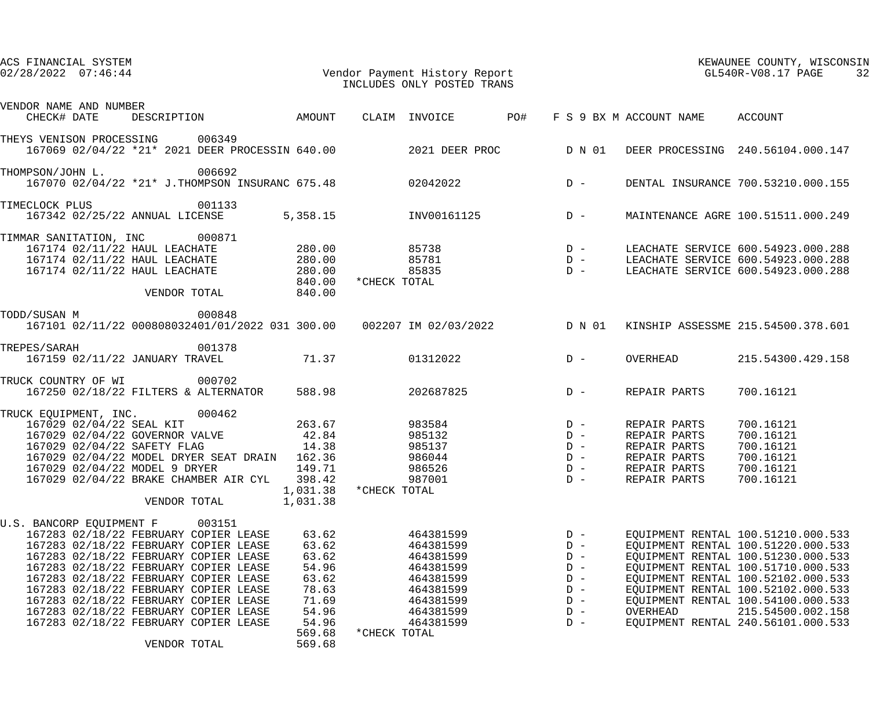|                                                                                                                                                                                                                                                                                                                                                                                                                                     |                                                                                                   |              | INCLUDES ONLY POSTED TRANS                                                                                        |                                                                               | KEWAUNEE COUNTY, WISCONSIN<br>32                                                             |                                                                                                                                                                                                                                                                                                                                   |  |
|-------------------------------------------------------------------------------------------------------------------------------------------------------------------------------------------------------------------------------------------------------------------------------------------------------------------------------------------------------------------------------------------------------------------------------------|---------------------------------------------------------------------------------------------------|--------------|-------------------------------------------------------------------------------------------------------------------|-------------------------------------------------------------------------------|----------------------------------------------------------------------------------------------|-----------------------------------------------------------------------------------------------------------------------------------------------------------------------------------------------------------------------------------------------------------------------------------------------------------------------------------|--|
| VENDOR NAME AND NUMBER<br>DESCRIPTION                    AMOUNT    CLAIM  INVOICE            PO#    FS 9 BX M ACCOUNT NAME      ACCOUNT<br>CHECK# DATE                                                                                                                                                                                                                                                                              |                                                                                                   |              |                                                                                                                   |                                                                               |                                                                                              |                                                                                                                                                                                                                                                                                                                                   |  |
| THEYS VENISON PROCESSING 006349<br>167069 02/04/22 *21* 2021 DEER PROCESSIN 640.00 2021 DEER PROC DN 01 DEER PROCESSING 240.56104.000.147                                                                                                                                                                                                                                                                                           |                                                                                                   |              |                                                                                                                   |                                                                               |                                                                                              |                                                                                                                                                                                                                                                                                                                                   |  |
| 006692<br>THOMPSON/JOHN L.<br>167070 02/04/22 *21* J.THOMPSON INSURANC 675.48 02042022 D -                                                                                                                                                                                                                                                                                                                                          |                                                                                                   |              |                                                                                                                   |                                                                               |                                                                                              | DENTAL INSURANCE 700.53210.000.155                                                                                                                                                                                                                                                                                                |  |
| 001133<br>TIMECLOCK PLUS<br>$167342$ 02/25/22 ANNUAL LICENSE 5,358.15 INV00161125 D -                                                                                                                                                                                                                                                                                                                                               |                                                                                                   |              |                                                                                                                   |                                                                               |                                                                                              | MAINTENANCE AGRE 100.51511.000.249                                                                                                                                                                                                                                                                                                |  |
| TIMMAR SANITATION, INC 000871<br>VENDOR TOTAL 840.00                                                                                                                                                                                                                                                                                                                                                                                | 840.00                                                                                            | *CHECK TOTAL |                                                                                                                   |                                                                               |                                                                                              |                                                                                                                                                                                                                                                                                                                                   |  |
| 000848<br>TODD/SUSAN M<br>167101 02/11/22 000808032401/01/2022 031 300.00 002207 IM 02/03/2022 D N 01 KINSHIP ASSESSME 215.54500.378.601                                                                                                                                                                                                                                                                                            |                                                                                                   |              |                                                                                                                   |                                                                               |                                                                                              |                                                                                                                                                                                                                                                                                                                                   |  |
| 001378<br>TREPES/SARAH<br>167159 02/11/22 JANUARY TRAVEL 71.37 01312022                                                                                                                                                                                                                                                                                                                                                             |                                                                                                   |              |                                                                                                                   | $D -$                                                                         | OVERHEAD                                                                                     | 215.54300.429.158                                                                                                                                                                                                                                                                                                                 |  |
| 000702<br>TRUCK COUNTRY OF WI                                                                                                                                                                                                                                                                                                                                                                                                       |                                                                                                   |              | 588.98 202687825                                                                                                  | $D -$                                                                         | REPAIR PARTS                                                                                 | 700.16121                                                                                                                                                                                                                                                                                                                         |  |
| TRUCK EQUIPMENT, INC. 000462<br>167029 02/04/22 SEAL KIT 263.67<br>167029 02/04/22 GOVERNOR VALVE 42.84<br>167029 02/04/22 SAFETY FLAG 14.38<br>167029 02/04/22 MODEL DRYER SEAT DRAIN 162.36<br>167029 02/04/22 MODEL 9 DRYER<br>167029 02/04/22 BRAKE CHAMBER AIR CYL<br>VENDOR TOTAL                                                                                                                                             | 149.71<br>398.42<br>1,031.38<br>1,031.38                                                          | *CHECK TOTAL | $983584$ D –<br>985132<br>985137<br>986044<br>986526<br>987001                                                    | $D -$<br>$D -$<br>$D -$<br>$D -$<br>$D -$                                     | REPAIR PARTS<br>REPAIR PARTS<br>REPAIR PARTS<br>REPAIR PARTS<br>REPAIR PARTS<br>REPAIR PARTS | 700.16121<br>700.16121<br>700.16121<br>700.16121<br>700.16121<br>700.16121                                                                                                                                                                                                                                                        |  |
| U.S. BANCORP EQUIPMENT F<br>003151<br>167283 02/18/22 FEBRUARY COPIER LEASE<br>167283 02/18/22 FEBRUARY COPIER LEASE<br>167283 02/18/22 FEBRUARY COPIER LEASE<br>167283 02/18/22 FEBRUARY COPIER LEASE<br>167283 02/18/22 FEBRUARY COPIER LEASE<br>167283 02/18/22 FEBRUARY COPIER LEASE<br>167283 02/18/22 FEBRUARY COPIER LEASE<br>167283 02/18/22 FEBRUARY COPIER LEASE<br>167283 02/18/22 FEBRUARY COPIER LEASE<br>VENDOR TOTAL | 63.62<br>63.62<br>63.62<br>54.96<br>63.62<br>78.63<br>71.69<br>54.96<br>54.96<br>569.68<br>569.68 | *CHECK TOTAL | 464381599<br>464381599<br>464381599<br>464381599<br>464381599<br>464381599<br>464381599<br>464381599<br>464381599 | $D -$<br>$D -$<br>$D -$<br>$D -$<br>$D -$<br>$D -$<br>$D -$<br>$D -$<br>$D -$ | OVERHEAD                                                                                     | EQUIPMENT RENTAL 100.51210.000.533<br>EQUIPMENT RENTAL 100.51220.000.533<br>EQUIPMENT RENTAL 100.51230.000.533<br>EQUIPMENT RENTAL 100.51710.000.533<br>EQUIPMENT RENTAL 100.52102.000.533<br>EQUIPMENT RENTAL 100.52102.000.533<br>EQUIPMENT RENTAL 100.54100.000.533<br>215.54500.002.158<br>EQUIPMENT RENTAL 240.56101.000.533 |  |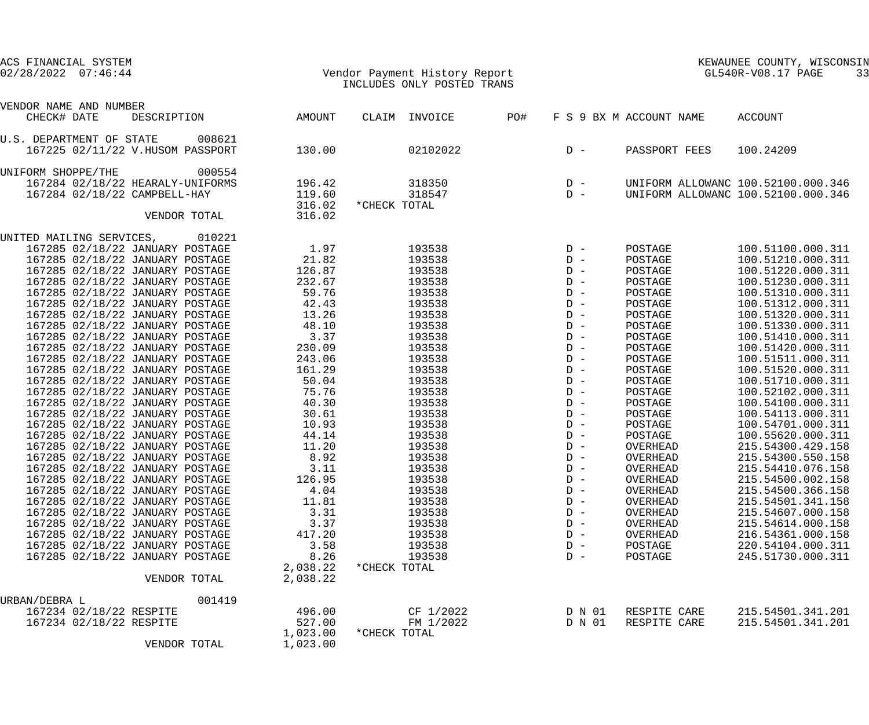| ACS FINANCIAL SYSTEM<br>$02/28/2022$ $07:46:44$                    |                      | Vendor Payment History Report<br>INCLUDES ONLY POSTED TRANS |                                                                  | KEWAUNEE COUNII, WIDOO<br>KEWAUNEE COUNTY, WISCONSIN<br>33 |                         |                                        |
|--------------------------------------------------------------------|----------------------|-------------------------------------------------------------|------------------------------------------------------------------|------------------------------------------------------------|-------------------------|----------------------------------------|
| VENDOR NAME AND NUMBER                                             |                      |                                                             |                                                                  |                                                            |                         |                                        |
| CHECK# DATE<br>DESCRIPTION                                         | AMOUNT               | CLAIM INVOICE                                               | PO#                                                              |                                                            | F S 9 BX M ACCOUNT NAME | ACCOUNT                                |
| U.S. DEPARTMENT OF STATE<br>008621                                 |                      |                                                             |                                                                  |                                                            |                         |                                        |
| 167225 02/11/22 V.HUSOM PASSPORT                                   | 130.00               | 02102022                                                    |                                                                  | $D -$                                                      | PASSPORT FEES           | 100.24209                              |
| UNIFORM SHOPPE/THE<br>000554                                       |                      |                                                             |                                                                  |                                                            |                         |                                        |
| 167284 02/18/22 HEARALY-UNIFORMS                                   | 196.42               | 318350                                                      | $\begin{array}{cc} \mathbf{D} & - \\ \mathbf{D} & - \end{array}$ |                                                            |                         | UNIFORM ALLOWANC 100.52100.000.346     |
| 167284 02/18/22 CAMPBELL-HAY                                       | 119.60               | 318547                                                      |                                                                  |                                                            |                         | UNIFORM ALLOWANC 100.52100.000.346     |
|                                                                    | 316.02               | *CHECK TOTAL                                                |                                                                  |                                                            |                         |                                        |
| VENDOR TOTAL                                                       | 316.02               |                                                             |                                                                  |                                                            |                         |                                        |
| UNITED MAILING SERVICES, 010221                                    |                      |                                                             |                                                                  |                                                            |                         |                                        |
| 167285 02/18/22 JANUARY POSTAGE                                    | 1.97                 | 193538                                                      | $D -$                                                            |                                                            | POSTAGE                 | 100.51100.000.311                      |
| 167285 02/18/22 JANUARY POSTAGE                                    | 21.82                | 193538                                                      | $D -$                                                            |                                                            | POSTAGE                 | 100.51210.000.311                      |
| 167285 02/18/22 JANUARY POSTAGE                                    | 126.87               | 193538                                                      |                                                                  |                                                            | POSTAGE                 | 100.51220.000.311                      |
| 167285 02/18/22 JANUARY POSTAGE                                    | 232.67               | 193538                                                      |                                                                  |                                                            | POSTAGE                 | 100.51230.000.311                      |
| 167285 02/18/22 JANUARY POSTAGE                                    | 59.76                | 193538                                                      |                                                                  |                                                            | POSTAGE                 | 100.51310.000.311                      |
| 167285 02/18/22 JANUARY POSTAGE                                    | 42.43                | 193538                                                      |                                                                  |                                                            | POSTAGE                 | 100.51312.000.311                      |
| 167285 02/18/22 JANUARY POSTAGE<br>167285 02/18/22 JANUARY POSTAGE | 13.26<br>48.10       | 193538<br>193538                                            |                                                                  |                                                            | POSTAGE<br>POSTAGE      | 100.51320.000.311<br>100.51330.000.311 |
| 167285 02/18/22 JANUARY POSTAGE                                    | 3.37                 | 193538                                                      |                                                                  |                                                            | POSTAGE                 | 100.51410.000.311                      |
| 167285 02/18/22 JANUARY POSTAGE                                    | 230.09               | 193538                                                      | $D -$                                                            |                                                            | POSTAGE                 | 100.51420.000.311                      |
| 167285 02/18/22 JANUARY POSTAGE                                    | 243.06               | 193538                                                      |                                                                  | $D -$                                                      | POSTAGE                 | 100.51511.000.311                      |
| 167285 02/18/22 JANUARY POSTAGE                                    | 161.29               | 193538                                                      |                                                                  | $D -$                                                      | POSTAGE                 | 100.51520.000.311                      |
| 167285 02/18/22 JANUARY POSTAGE                                    | 50.04                | 193538                                                      |                                                                  | $D -$                                                      | POSTAGE                 | 100.51710.000.311                      |
| 167285 02/18/22 JANUARY POSTAGE                                    | 75.76                | 193538                                                      |                                                                  | $D -$                                                      | POSTAGE                 | 100.52102.000.311                      |
| 167285 02/18/22 JANUARY POSTAGE                                    | 40.30                | 193538                                                      |                                                                  | $D -$                                                      | POSTAGE                 | 100.54100.000.311                      |
| 167285 02/18/22 JANUARY POSTAGE                                    | 30.61                | 193538                                                      |                                                                  | $D -$                                                      | POSTAGE                 | 100.54113.000.311                      |
| 167285 02/18/22 JANUARY POSTAGE                                    | 10.93                | 193538                                                      | $D -$                                                            |                                                            | POSTAGE                 | 100.54701.000.311                      |
| 167285 02/18/22 JANUARY POSTAGE                                    | 44.14                | 193538                                                      |                                                                  | $D -$                                                      | POSTAGE                 | 100.55620.000.311                      |
| 167285 02/18/22 JANUARY POSTAGE                                    | 11.20                | 193538                                                      |                                                                  | $D -$                                                      | OVERHEAD                | 215.54300.429.158                      |
| 167285 02/18/22 JANUARY POSTAGE                                    | 8.92                 | 193538                                                      |                                                                  | $D -$                                                      | OVERHEAD                | 215.54300.550.158                      |
| 167285 02/18/22 JANUARY POSTAGE                                    | 3.11                 | 193538                                                      |                                                                  | $D -$                                                      | OVERHEAD                | 215.54410.076.158                      |
| 167285 02/18/22 JANUARY POSTAGE                                    | 126.95               | 193538                                                      |                                                                  | $D -$                                                      | OVERHEAD                | 215.54500.002.158                      |
| 167285 02/18/22 JANUARY POSTAGE                                    | 4.04                 | 193538                                                      |                                                                  | $D -$                                                      | OVERHEAD                | 215.54500.366.158                      |
| 167285 02/18/22 JANUARY POSTAGE                                    | 11.81                | 193538                                                      |                                                                  | $D -$                                                      | OVERHEAD                | 215.54501.341.158                      |
| 167285 02/18/22 JANUARY POSTAGE                                    | 3.31                 | 193538                                                      |                                                                  | $D -$                                                      | OVERHEAD                | 215.54607.000.158                      |
| 167285 02/18/22 JANUARY POSTAGE                                    | 3.37                 | 193538                                                      |                                                                  | $D -$                                                      | OVERHEAD                | 215.54614.000.158                      |
| 167285 02/18/22 JANUARY POSTAGE                                    | 417.20               | 193538                                                      |                                                                  | $D -$                                                      | OVERHEAD                | 216.54361.000.158                      |
| 167285 02/18/22 JANUARY POSTAGE                                    | 3.58                 | 193538                                                      |                                                                  | $D -$                                                      | POSTAGE                 | 220.54104.000.311                      |
| 167285 02/18/22 JANUARY POSTAGE                                    | 8.26                 | 193538                                                      |                                                                  | $D -$                                                      | POSTAGE                 | 245.51730.000.311                      |
| VENDOR TOTAL                                                       | 2,038.22<br>2,038.22 | *CHECK TOTAL                                                |                                                                  |                                                            |                         |                                        |
|                                                                    |                      |                                                             |                                                                  |                                                            |                         |                                        |
| 001419<br>URBAN/DEBRA L                                            |                      |                                                             |                                                                  |                                                            |                         |                                        |
| 167234 02/18/22 RESPITE                                            | 496.00               | CF 1/2022                                                   |                                                                  | D N 01                                                     | RESPITE CARE            | 215.54501.341.201                      |
| 167234 02/18/22 RESPITE                                            | 527.00               | FM 1/2022                                                   |                                                                  | D N 01                                                     | RESPITE CARE            | 215.54501.341.201                      |
|                                                                    | 1,023.00             | *CHECK TOTAL                                                |                                                                  |                                                            |                         |                                        |
| VENDOR TOTAL                                                       | 1,023.00             |                                                             |                                                                  |                                                            |                         |                                        |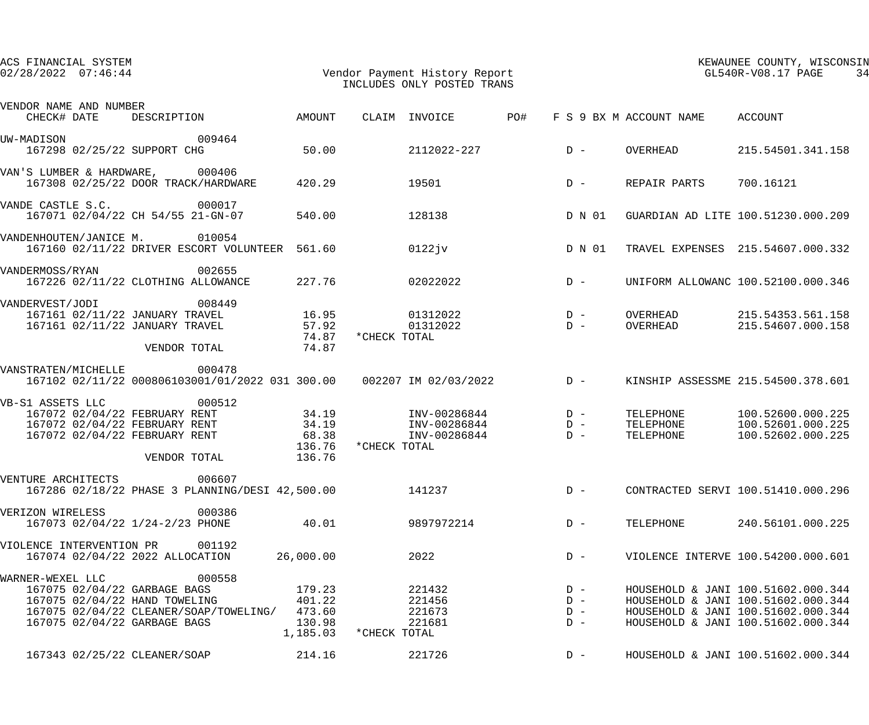| ACS FINANCIAL SYSTEM<br>$02/28/2022$ $07:46:44$                                                                     |                                                           |                                                  | Vendor Payment History Report<br>INCLUDES ONLY POSTED TRANS          |                                  | KEWAUNEE COUNTY, WISCONSIN<br>GL540R-V08.17 PAGE<br>34 |                                                                                                                                                      |  |
|---------------------------------------------------------------------------------------------------------------------|-----------------------------------------------------------|--------------------------------------------------|----------------------------------------------------------------------|----------------------------------|--------------------------------------------------------|------------------------------------------------------------------------------------------------------------------------------------------------------|--|
| VENDOR NAME AND NUMBER<br>CHECK# DATE                                                                               | DESCRIPTION                                               | AMOUNT                                           | CLAIM INVOICE                                                        | <b>PO#</b>                       | F S 9 BX M ACCOUNT NAME                                | ACCOUNT                                                                                                                                              |  |
| UW-MADISON<br>167298 02/25/22 SUPPORT CHG                                                                           | 009464                                                    | 50.00                                            | 2112022-227                                                          | $D -$                            | OVERHEAD                                               | 215.54501.341.158                                                                                                                                    |  |
| VAN'S LUMBER & HARDWARE, 000406                                                                                     | 167308 02/25/22 DOOR TRACK/HARDWARE                       | 420.29                                           | 19501                                                                | $D -$                            | REPAIR PARTS                                           | 700.16121                                                                                                                                            |  |
| VANDE CASTLE S.C.                                                                                                   | 000017<br>167071 02/04/22 CH 54/55 21-GN-07               | 540.00                                           | 128138                                                               |                                  | D N 01                                                 | GUARDIAN AD LITE 100.51230.000.209                                                                                                                   |  |
| VANDENHOUTEN/JANICE M. 010054                                                                                       | 167160 02/11/22 DRIVER ESCORT VOLUNTEER 561.60            |                                                  | 0122jv                                                               |                                  | D N 01                                                 | TRAVEL EXPENSES 215.54607.000.332                                                                                                                    |  |
| VANDERMOSS/RYAN                                                                                                     | 002655<br>167226 02/11/22 CLOTHING ALLOWANCE              | 227.76                                           | 02022022                                                             | $D -$                            |                                                        | UNIFORM ALLOWANC 100.52100.000.346                                                                                                                   |  |
| VANDERVEST/JODI<br>167161 02/11/22 JANUARY TRAVEL<br>167161 02/11/22 JANUARY TRAVEL                                 | 008449<br>VENDOR TOTAL                                    | 16.95<br>57.92<br>74.87<br>74.87                 | 01312022<br>01312022<br>*CHECK TOTAL                                 | $D -$<br>$D -$                   | OVERHEAD<br>OVERHEAD                                   | 215.54353.561.158<br>215.54607.000.158                                                                                                               |  |
| VANSTRATEN/MICHELLE                                                                                                 | 000478                                                    |                                                  | 167102 02/11/22 000806103001/01/2022 031 300.00 002207 IM 02/03/2022 | $D -$                            |                                                        | KINSHIP ASSESSME 215.54500.378.601                                                                                                                   |  |
| VB-S1 ASSETS LLC<br>167072 02/04/22 FEBRUARY RENT<br>167072 02/04/22 FEBRUARY RENT<br>167072 02/04/22 FEBRUARY RENT | 000512<br>VENDOR TOTAL                                    | 34.19<br>34.19<br>68.38<br>136.76<br>136.76      | INV-00286844<br>INV-00286844<br>INV-00286844<br>*CHECK TOTAL         | $D -$<br>$D -$<br>$D -$          | TELEPHONE<br>TELEPHONE<br>TELEPHONE                    | 100.52600.000.225<br>100.52601.000.225<br>100.52602.000.225                                                                                          |  |
| VENTURE ARCHITECTS                                                                                                  | 006607<br>167286 02/18/22 PHASE 3 PLANNING/DESI 42,500.00 |                                                  | 141237                                                               | $D -$                            |                                                        | CONTRACTED SERVI 100.51410.000.296                                                                                                                   |  |
| VERIZON WIRELESS<br>167073 02/04/22 1/24-2/23 PHONE                                                                 | 000386                                                    | 40.01                                            | 9897972214                                                           | $D -$                            | TELEPHONE                                              | 240.56101.000.225                                                                                                                                    |  |
| VIOLENCE INTERVENTION PR<br>167074 02/04/22 2022 ALLOCATION                                                         | 001192                                                    | 26,000.00                                        | 2022                                                                 | $D -$                            |                                                        | VIOLENCE INTERVE 100.54200.000.601                                                                                                                   |  |
| WARNER-WEXEL LLC<br>167075 02/04/22 GARBAGE BAGS<br>167075 02/04/22 HAND TOWELING<br>167075 02/04/22 GARBAGE BAGS   | 000558<br>167075 02/04/22 CLEANER/SOAP/TOWELING/          | 179.23<br>401.22<br>473.60<br>130.98<br>1,185.03 | 221432<br>221456<br>221673<br>221681<br>*CHECK TOTAL                 | $D -$<br>$D -$<br>$D -$<br>$D -$ |                                                        | HOUSEHOLD & JANI 100.51602.000.344<br>HOUSEHOLD & JANI 100.51602.000.344<br>HOUSEHOLD & JANI 100.51602.000.344<br>HOUSEHOLD & JANI 100.51602.000.344 |  |
| 167343 02/25/22 CLEANER/SOAP                                                                                        |                                                           | 214.16                                           | 221726                                                               | $D -$                            |                                                        | HOUSEHOLD & JANI 100.51602.000.344                                                                                                                   |  |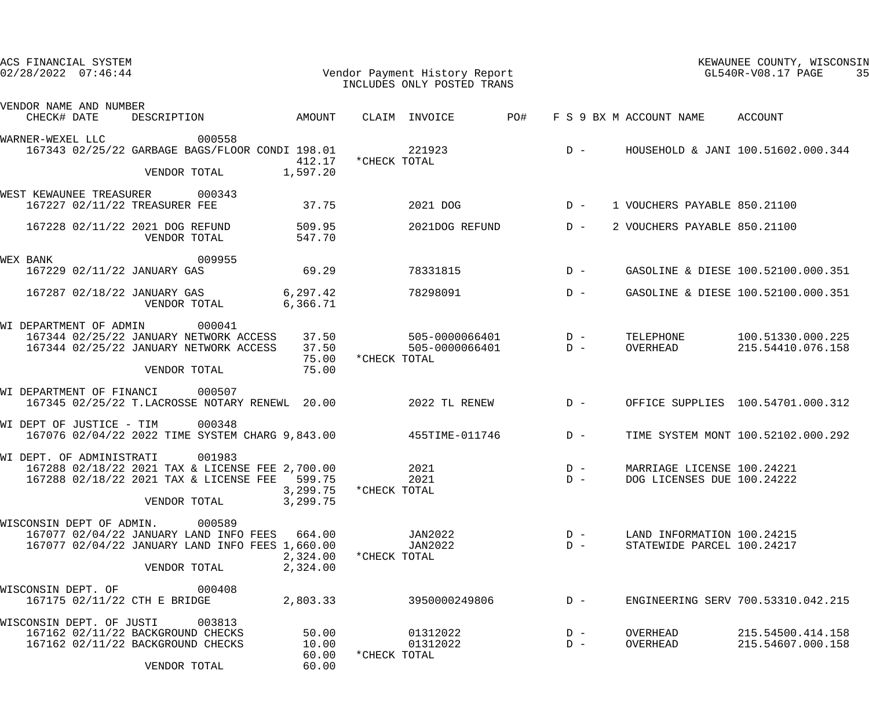| ACS FINANCIAL SYSTEM<br>$02/28/2022$ $07:46:44$                                                    |                                                                                                                            |                                  |              | Vendor Payment History Report<br>INCLUDES ONLY POSTED TRANS |     |                |                                                          | KEWAUNEE COUNTY, WISCONSIN<br>GL540R-V08.17 PAGE<br>35 |
|----------------------------------------------------------------------------------------------------|----------------------------------------------------------------------------------------------------------------------------|----------------------------------|--------------|-------------------------------------------------------------|-----|----------------|----------------------------------------------------------|--------------------------------------------------------|
| VENDOR NAME AND NUMBER<br>CHECK# DATE                                                              | DESCRIPTION                                                                                                                | AMOUNT                           |              | CLAIM INVOICE                                               | PO# |                | F S 9 BX M ACCOUNT NAME                                  | ACCOUNT                                                |
| WARNER-WEXEL LLC                                                                                   | 000558<br>167343 02/25/22 GARBAGE BAGS/FLOOR CONDI 198.01<br>VENDOR TOTAL                                                  | 412.17<br>1,597.20               | *CHECK TOTAL | 221923                                                      |     | $D -$          |                                                          | HOUSEHOLD & JANI 100.51602.000.344                     |
| WEST KEWAUNEE TREASURER<br>167227 02/11/22 TREASURER FEE                                           | 000343                                                                                                                     | 37.75                            |              | 2021 DOG                                                    |     | $D -$          | 1 VOUCHERS PAYABLE 850.21100                             |                                                        |
| 167228 02/11/22 2021 DOG REFUND                                                                    | VENDOR TOTAL                                                                                                               | 509.95<br>547.70                 |              | 2021DOG REFUND                                              |     | $D -$          | 2 VOUCHERS PAYABLE 850.21100                             |                                                        |
| WEX BANK<br>167229 02/11/22 JANUARY GAS                                                            | 009955                                                                                                                     | 69.29                            |              | 78331815                                                    |     | $D -$          |                                                          | GASOLINE & DIESE 100.52100.000.351                     |
| 167287 02/18/22 JANUARY GAS                                                                        | VENDOR TOTAL                                                                                                               | 6, 297.42<br>6,366.71            |              | 78298091                                                    |     | $D -$          |                                                          | GASOLINE & DIESE 100.52100.000.351                     |
| WI DEPARTMENT OF ADMIN                                                                             | 000041<br>167344 02/25/22 JANUARY NETWORK ACCESS<br>167344 02/25/22 JANUARY NETWORK ACCESS<br>VENDOR TOTAL                 | 37.50<br>37.50<br>75.00<br>75.00 | *CHECK TOTAL | 505-0000066401<br>505-0000066401                            |     | $D -$<br>$D -$ | TELEPHONE<br>OVERHEAD                                    | 100.51330.000.225<br>215.54410.076.158                 |
| WI DEPARTMENT OF FINANCI                                                                           | 000507<br>167345 02/25/22 T.LACROSSE NOTARY RENEWL 20.00                                                                   |                                  |              | 2022 TL RENEW                                               |     | $D -$          |                                                          | OFFICE SUPPLIES 100.54701.000.312                      |
| WI DEPT OF JUSTICE - TIM                                                                           | 000348<br>167076 02/04/22 2022 TIME SYSTEM CHARG 9,843.00                                                                  |                                  |              | $455TTIME - 011746$ D -                                     |     |                |                                                          | TIME SYSTEM MONT 100.52102.000.292                     |
| WI DEPT. OF ADMINISTRATI                                                                           | 001983<br>167288 02/18/22 2021 TAX & LICENSE FEE 2,700.00<br>167288 02/18/22 2021 TAX & LICENSE FEE 599.75<br>VENDOR TOTAL | 3,299.75<br>3,299.75             | *CHECK TOTAL | 2021<br>2021                                                |     | $D -$<br>$D -$ | MARRIAGE LICENSE 100.24221<br>DOG LICENSES DUE 100.24222 |                                                        |
| WISCONSIN DEPT OF ADMIN.                                                                           | 000589<br>167077 02/04/22 JANUARY LAND INFO FEES<br>167077 02/04/22 JANUARY LAND INFO FEES 1,660.00<br>VENDOR TOTAL        | 664.00<br>2,324.00<br>2,324.00   | *CHECK TOTAL | JAN2022<br>JAN2022                                          |     | $D -$<br>$D -$ | LAND INFORMATION 100.24215<br>STATEWIDE PARCEL 100.24217 |                                                        |
| WISCONSIN DEPT. OF<br>167175 02/11/22 CTH E BRIDGE                                                 | 000408                                                                                                                     | 2,803.33                         |              | 3950000249806                                               |     | $D -$          |                                                          | ENGINEERING SERV 700.53310.042.215                     |
| WISCONSIN DEPT. OF JUSTI<br>167162 02/11/22 BACKGROUND CHECKS<br>167162 02/11/22 BACKGROUND CHECKS | 003813<br>VENDOR TOTAL                                                                                                     | 50.00<br>10.00<br>60.00<br>60.00 | *CHECK TOTAL | 01312022<br>01312022                                        |     | $D -$<br>$D -$ | OVERHEAD<br>OVERHEAD                                     | 215.54500.414.158<br>215.54607.000.158                 |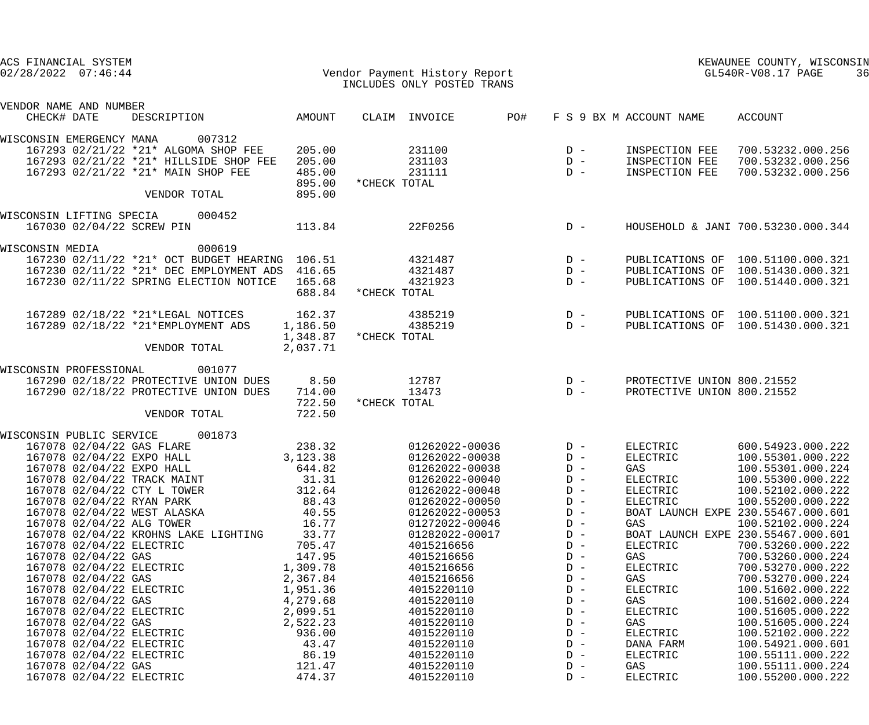| ACS FINANCIAL SYSTEM                                     |                          |                                                |          |               |                            |            |                                                 |                                 | KEWAUNEE COUNTY, WISCONSIN         |
|----------------------------------------------------------|--------------------------|------------------------------------------------|----------|---------------|----------------------------|------------|-------------------------------------------------|---------------------------------|------------------------------------|
| Vendor Payment History Report<br>$02/28/2022$ $07:46:44$ |                          |                                                |          |               |                            |            |                                                 |                                 | GL540R-V08.17 PAGE<br>36           |
|                                                          |                          |                                                |          |               | INCLUDES ONLY POSTED TRANS |            |                                                 |                                 |                                    |
| VENDOR NAME AND NUMBER                                   |                          |                                                |          |               |                            |            |                                                 |                                 |                                    |
| CHECK# DATE                                              |                          | DESCRIPTION AMOUNT                             |          | CLAIM INVOICE |                            | <b>PO#</b> |                                                 | F S 9 BX M ACCOUNT NAME ACCOUNT |                                    |
|                                                          |                          | WISCONSIN EMERGENCY MANA 007312                |          |               |                            |            |                                                 |                                 |                                    |
|                                                          |                          | 167293 02/21/22 *21* ALGOMA SHOP FEE           | 205.00   |               | 231100                     |            | $D -$                                           | INSPECTION FEE                  | 700.53232.000.256                  |
|                                                          |                          | 167293 02/21/22 *21* HILLSIDE SHOP FEE         | 205.00   |               | 231103                     |            | $D -$                                           | INSPECTION FEE                  | 700.53232.000.256                  |
|                                                          |                          | 167293 02/21/22 *21* MAIN SHOP FEE             | 485.00   |               | 231111                     |            | $D -$                                           | INSPECTION FEE                  | 700.53232.000.256                  |
|                                                          |                          |                                                | 895.00   | *CHECK TOTAL  |                            |            |                                                 |                                 |                                    |
|                                                          |                          | VENDOR TOTAL                                   | 895.00   |               |                            |            |                                                 |                                 |                                    |
|                                                          |                          | WISCONSIN LIFTING SPECIA 000452                |          |               |                            |            |                                                 |                                 |                                    |
|                                                          |                          | 167030 02/04/22 SCREW PIN                      | 113.84   |               | 22F0256                    |            | $D -$                                           |                                 | HOUSEHOLD & JANI 700.53230.000.344 |
| WISCONSIN MEDIA                                          |                          | 000619                                         |          |               |                            |            |                                                 |                                 |                                    |
|                                                          |                          | 167230 02/11/22 *21* OCT BUDGET HEARING 106.51 |          |               | 4321487                    |            | $D -$                                           |                                 | PUBLICATIONS OF 100.51100.000.321  |
|                                                          |                          | 167230 02/11/22 *21* DEC EMPLOYMENT ADS 416.65 |          |               | 4321487                    |            | $D -$                                           |                                 | PUBLICATIONS OF 100.51430.000.321  |
|                                                          |                          | 167230 02/11/22 SPRING ELECTION NOTICE 165.68  |          |               | 4321923                    |            | $D -$                                           |                                 | PUBLICATIONS OF 100.51440.000.321  |
|                                                          |                          |                                                | 688.84   | *CHECK TOTAL  |                            |            |                                                 |                                 |                                    |
|                                                          |                          | 167289 02/18/22 *21*LEGAL NOTICES 162.37       |          |               | 4385219                    |            | $D -$                                           |                                 | PUBLICATIONS OF 100.51100.000.321  |
|                                                          |                          | 167289 02/18/22 *21*EMPLOYMENT ADS             | 1,186.50 |               | 4385219                    |            | $D -$                                           |                                 | PUBLICATIONS OF 100.51430.000.321  |
|                                                          |                          |                                                | 1,348.87 | *CHECK TOTAL  |                            |            |                                                 |                                 |                                    |
|                                                          |                          | VENDOR TOTAL                                   | 2,037.71 |               |                            |            |                                                 |                                 |                                    |
| WISCONSIN PROFESSIONAL                                   |                          | 001077                                         |          |               |                            |            |                                                 |                                 |                                    |
|                                                          |                          | 167290 02/18/22 PROTECTIVE UNION DUES          | 8.50     | 12787         |                            |            |                                                 | PROTECTIVE UNION 800.21552      |                                    |
|                                                          |                          | 167290 02/18/22 PROTECTIVE UNION DUES          | 714.00   |               | 13473                      |            | $\begin{array}{c}\nD & - \\ D & -\n\end{array}$ | PROTECTIVE UNION 800.21552      |                                    |
|                                                          |                          |                                                | 722.50   | *CHECK TOTAL  |                            |            |                                                 |                                 |                                    |
|                                                          |                          | VENDOR TOTAL                                   | 722.50   |               |                            |            |                                                 |                                 |                                    |
|                                                          |                          | WISCONSIN PUBLIC SERVICE 001873                |          |               |                            |            |                                                 |                                 |                                    |
|                                                          |                          | 167078 02/04/22 GAS FLARE                      | 238.32   |               | 01262022-00036             |            | $D -$                                           | ELECTRIC                        | 600.54923.000.222                  |
|                                                          |                          | 167078 02/04/22 EXPO HALL                      | 3,123.38 |               | 01262022-00038             |            | $D -$                                           | ELECTRIC                        | 100.55301.000.222                  |
|                                                          |                          | 167078 02/04/22 EXPO HALL                      | 644.82   |               | 01262022-00038             |            | $D -$                                           | GAS                             | 100.55301.000.224                  |
|                                                          |                          | 167078 02/04/22 TRACK MAINT                    | 31.31    |               | 01262022-00040             |            | $D -$                                           | <b>ELECTRIC</b>                 | 100.55300.000.222                  |
|                                                          |                          | 167078 02/04/22 CTY L TOWER                    | 312.64   |               | 01262022-00048             |            | $D -$                                           | <b>ELECTRIC</b>                 | 100.52102.000.222                  |
|                                                          |                          | 167078 02/04/22 RYAN PARK                      | 88.43    |               | 01262022-00050             |            | $D -$                                           | <b>ELECTRIC</b>                 | 100.55200.000.222                  |
|                                                          |                          | 167078 02/04/22 WEST ALASKA                    | 40.55    |               | 01262022-00053             |            | $D -$                                           |                                 | BOAT LAUNCH EXPE 230.55467.000.601 |
|                                                          |                          | 167078 02/04/22 ALG TOWER                      | 16.77    |               | 01272022-00046             |            | $D -$                                           | GAS                             | 100.52102.000.224                  |
|                                                          |                          | 167078 02/04/22 KROHNS LAKE LIGHTING           | 33.77    |               | 01282022-00017             |            | $D -$                                           |                                 | BOAT LAUNCH EXPE 230.55467.000.601 |
|                                                          | 167078 02/04/22 ELECTRIC |                                                | 705.47   |               | 4015216656                 |            | $D -$                                           | ELECTRIC                        | 700.53260.000.222                  |
|                                                          | 167078 02/04/22 GAS      |                                                | 147.95   |               | 4015216656                 |            | $D -$                                           | GAS                             | 700.53260.000.224                  |
|                                                          | 167078 02/04/22 ELECTRIC |                                                | 1,309.78 |               | 4015216656                 |            | $D -$                                           | <b>ELECTRIC</b>                 | 700.53270.000.222                  |
|                                                          | 167078 02/04/22 GAS      |                                                | 2,367.84 |               | 4015216656                 |            | $D -$                                           | GAS                             | 700.53270.000.224                  |
|                                                          | 167078 02/04/22 ELECTRIC |                                                | 1,951.36 |               | 4015220110                 |            | $D -$                                           | <b>ELECTRIC</b>                 | 100.51602.000.222                  |
|                                                          | 167078 02/04/22 GAS      |                                                | 4,279.68 |               | 4015220110                 |            | $D -$                                           | GAS                             | 100.51602.000.224                  |
|                                                          | 167078 02/04/22 ELECTRIC |                                                | 2,099.51 |               | 4015220110                 |            | $D -$                                           | <b>ELECTRIC</b>                 | 100.51605.000.222                  |
|                                                          | 167078 02/04/22 GAS      |                                                | 2,522.23 |               | 4015220110                 |            | $D -$                                           | GAS                             | 100.51605.000.224                  |
|                                                          | 167078 02/04/22 ELECTRIC |                                                | 936.00   |               | 4015220110                 |            | $\mathbb{D}$ –                                  | <b>ELECTRIC</b>                 | 100.52102.000.222                  |
|                                                          | 167078 02/04/22 ELECTRIC |                                                | 43.47    |               | 4015220110                 |            | $D -$                                           | DANA FARM                       | 100.54921.000.601                  |
|                                                          | 167078 02/04/22 ELECTRIC |                                                | 86.19    |               | 4015220110                 |            | $D -$                                           | ELECTRIC                        | 100.55111.000.222                  |
|                                                          | 167078 02/04/22 GAS      |                                                | 121.47   |               | 4015220110                 |            | $D -$                                           | GAS                             | 100.55111.000.224                  |
|                                                          | 167078 02/04/22 ELECTRIC |                                                | 474.37   |               | 4015220110                 |            | $D -$                                           | <b>ELECTRIC</b>                 | 100.55200.000.222                  |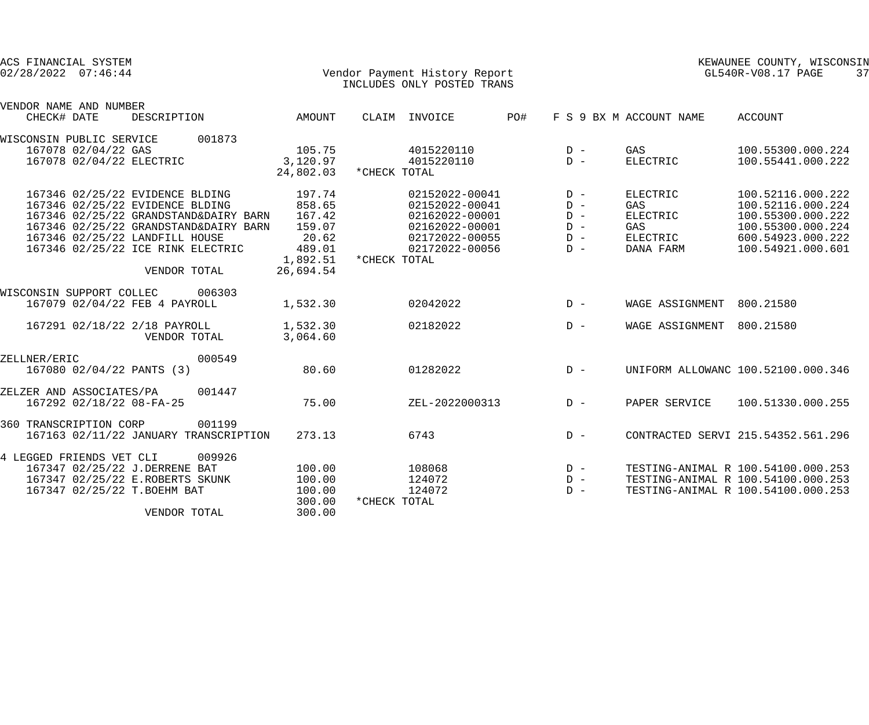| ACS FINANCIAL SYSTEM<br>$02/28/2022$ $07:46:44$ |                     |                                                                                                                                                           |                                                                                |                                                                                  |              | Vendor Payment History Report<br>INCLUDES ONLY POSTED TRANS                                              |     |                                                    |                                                                           | KEWAUNEE COUNTY, WISCONSIN<br>GL540R-V08.17 PAGE                                                                           | 37 |
|-------------------------------------------------|---------------------|-----------------------------------------------------------------------------------------------------------------------------------------------------------|--------------------------------------------------------------------------------|----------------------------------------------------------------------------------|--------------|----------------------------------------------------------------------------------------------------------|-----|----------------------------------------------------|---------------------------------------------------------------------------|----------------------------------------------------------------------------------------------------------------------------|----|
| VENDOR NAME AND NUMBER<br>CHECK# DATE           |                     | DESCRIPTION                                                                                                                                               |                                                                                | AMOUNT                                                                           |              | CLAIM INVOICE                                                                                            | PO# |                                                    | F S 9 BX M ACCOUNT NAME                                                   | <b>ACCOUNT</b>                                                                                                             |    |
| WISCONSIN PUBLIC SERVICE                        | 167078 02/04/22 GAS | 167078 02/04/22 ELECTRIC                                                                                                                                  | 001873                                                                         | 105.75<br>3,120.97<br>24,802.03                                                  | *CHECK TOTAL | 4015220110<br>4015220110                                                                                 |     | $D -$<br>$D -$                                     | GAS<br><b>ELECTRIC</b>                                                    | 100.55300.000.224<br>100.55441.000.222                                                                                     |    |
|                                                 |                     | 167346 02/25/22 EVIDENCE BLDING<br>167346 02/25/22 EVIDENCE BLDING<br>167346 02/25/22 LANDFILL HOUSE<br>167346 02/25/22 ICE RINK ELECTRIC<br>VENDOR TOTAL | 167346 02/25/22 GRANDSTAND&DAIRY BARN<br>167346 02/25/22 GRANDSTAND&DAIRY BARN | 197.74<br>858.65<br>167.42<br>159.07<br>20.62<br>489.01<br>1,892.51<br>26,694.54 | *CHECK TOTAL | 02152022-00041<br>02152022-00041<br>02162022-00001<br>02162022-00001<br>02172022-00055<br>02172022-00056 |     | $D -$<br>$D -$<br>$D -$<br>$D -$<br>$D -$<br>$D -$ | <b>ELECTRIC</b><br>GAS<br><b>ELECTRIC</b><br>GAS<br>ELECTRIC<br>DANA FARM | 100.52116.000.222<br>100.52116.000.224<br>100.55300.000.222<br>100.55300.000.224<br>600.54923.000.222<br>100.54921.000.601 |    |
| WISCONSIN SUPPORT COLLEC 006303                 |                     | 167079 02/04/22 FEB 4 PAYROLL                                                                                                                             |                                                                                | 1,532.30                                                                         |              | 02042022                                                                                                 |     | $D -$                                              | WAGE ASSIGNMENT 800.21580                                                 |                                                                                                                            |    |
|                                                 |                     | 167291 02/18/22 2/18 PAYROLL<br>VENDOR TOTAL                                                                                                              |                                                                                | 1,532.30<br>3,064.60                                                             |              | 02182022                                                                                                 |     | $D -$                                              | WAGE ASSIGNMENT 800.21580                                                 |                                                                                                                            |    |
| ZELLNER/ERIC                                    |                     | 167080 02/04/22 PANTS (3)                                                                                                                                 | 000549                                                                         | 80.60                                                                            |              | 01282022                                                                                                 |     | $D -$                                              |                                                                           | UNIFORM ALLOWANC 100.52100.000.346                                                                                         |    |
| ZELZER AND ASSOCIATES/PA                        |                     | 167292 02/18/22 08-FA-25                                                                                                                                  | 001447                                                                         | 75.00                                                                            |              | ZEL-2022000313                                                                                           |     | $D -$                                              | PAPER SERVICE                                                             | 100.51330.000.255                                                                                                          |    |
| 360 TRANSCRIPTION CORP                          |                     |                                                                                                                                                           | 001199<br>167163 02/11/22 JANUARY TRANSCRIPTION                                | 273.13                                                                           |              | 6743                                                                                                     |     | $D -$                                              |                                                                           | CONTRACTED SERVI 215.54352.561.296                                                                                         |    |
| 4 LEGGED FRIENDS VET CLI                        |                     | 167347 02/25/22 J.DERRENE BAT<br>167347 02/25/22 E.ROBERTS SKUNK<br>167347 02/25/22 T. BOEHM BAT<br>VENDOR TOTAL                                          | 009926                                                                         | 100.00<br>100.00<br>100.00<br>300.00<br>300.00                                   | *CHECK TOTAL | 108068<br>124072<br>124072                                                                               |     | $D -$<br>$D -$<br>$D -$                            |                                                                           | TESTING-ANIMAL R 100.54100.000.253<br>TESTING-ANIMAL R 100.54100.000.253<br>TESTING-ANIMAL R 100.54100.000.253             |    |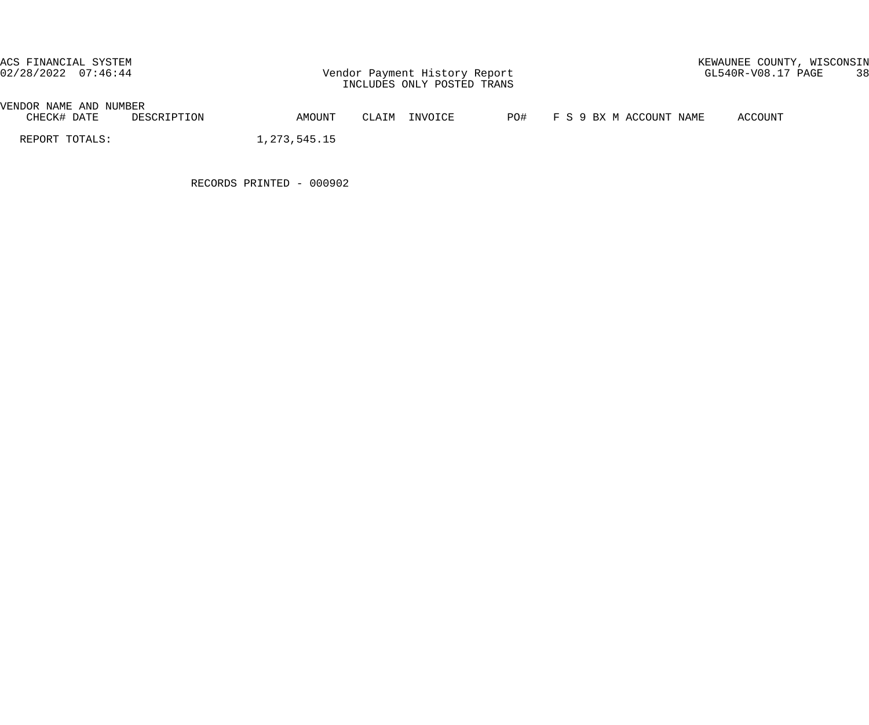02/28/2022 07:46:44 Vendor Payment History Report GL540R-V08.17 PAGE 38 INCLUDES ONLY POSTED TRANS

# ACS FINANCIAL SYSTEM KEWAUNEE COUNTY, WISCONSIN

| VENDOR<br>AND<br>NAME                                                                                                                                                                                                                                      | NUMBER           |        |                                    |     |                                   |                     |
|------------------------------------------------------------------------------------------------------------------------------------------------------------------------------------------------------------------------------------------------------------|------------------|--------|------------------------------------|-----|-----------------------------------|---------------------|
| DATE:<br>UHEUK #<br>____<br>and the contract of the contract of the contract of the contract of the contract of the contract of the contract of the contract of the contract of the contract of the contract of the contract of the contract of the contra | TON<br><u>لى</u> | AMOUNT | ™7∩T∩R<br>$\overline{\phantom{a}}$ | PO# | NAME<br>$\mathbf{K}$ $\mathbf{x}$ | <b>CCOUNT</b><br>Δ( |

REPORT TOTALS: 1,273,545.15

RECORDS PRINTED - 000902